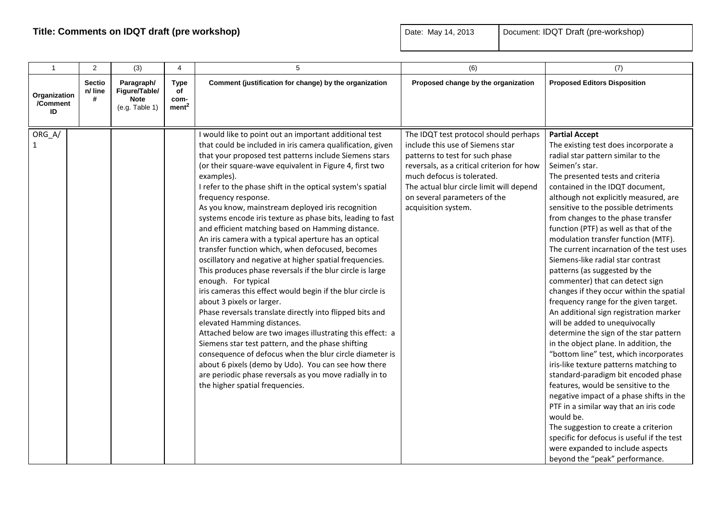| $\mathbf{1}$                   | 2                             | (3)                                                          | $\overline{4}$                                 | 5                                                                                                                                                                                                                                                                                                                                                                                                                                                                                                                                                                                                                                                                                                                                                                                                                                                                                                                                                                                                                                                                                                                                                                                                                                                                                                        | (6)                                                                                                                                                                                                                                                                                         | (7)                                                                                                                                                                                                                                                                                                                                                                                                                                                                                                                                                                                                                                                                                                                                                                                                                                                                                                                                                                                                                                                                                                                                                                                                                                           |
|--------------------------------|-------------------------------|--------------------------------------------------------------|------------------------------------------------|----------------------------------------------------------------------------------------------------------------------------------------------------------------------------------------------------------------------------------------------------------------------------------------------------------------------------------------------------------------------------------------------------------------------------------------------------------------------------------------------------------------------------------------------------------------------------------------------------------------------------------------------------------------------------------------------------------------------------------------------------------------------------------------------------------------------------------------------------------------------------------------------------------------------------------------------------------------------------------------------------------------------------------------------------------------------------------------------------------------------------------------------------------------------------------------------------------------------------------------------------------------------------------------------------------|---------------------------------------------------------------------------------------------------------------------------------------------------------------------------------------------------------------------------------------------------------------------------------------------|-----------------------------------------------------------------------------------------------------------------------------------------------------------------------------------------------------------------------------------------------------------------------------------------------------------------------------------------------------------------------------------------------------------------------------------------------------------------------------------------------------------------------------------------------------------------------------------------------------------------------------------------------------------------------------------------------------------------------------------------------------------------------------------------------------------------------------------------------------------------------------------------------------------------------------------------------------------------------------------------------------------------------------------------------------------------------------------------------------------------------------------------------------------------------------------------------------------------------------------------------|
| Organization<br>/Comment<br>ID | <b>Sectio</b><br>n/ line<br># | Paragraph/<br>Figure/Table/<br><b>Note</b><br>(e.g. Table 1) | <b>Type</b><br>of<br>com-<br>ment <sup>2</sup> | Comment (justification for change) by the organization                                                                                                                                                                                                                                                                                                                                                                                                                                                                                                                                                                                                                                                                                                                                                                                                                                                                                                                                                                                                                                                                                                                                                                                                                                                   | Proposed change by the organization                                                                                                                                                                                                                                                         | <b>Proposed Editors Disposition</b>                                                                                                                                                                                                                                                                                                                                                                                                                                                                                                                                                                                                                                                                                                                                                                                                                                                                                                                                                                                                                                                                                                                                                                                                           |
| ORG_A/                         |                               |                                                              |                                                | I would like to point out an important additional test<br>that could be included in iris camera qualification, given<br>that your proposed test patterns include Siemens stars<br>(or their square-wave equivalent in Figure 4, first two<br>examples).<br>I refer to the phase shift in the optical system's spatial<br>frequency response.<br>As you know, mainstream deployed iris recognition<br>systems encode iris texture as phase bits, leading to fast<br>and efficient matching based on Hamming distance.<br>An iris camera with a typical aperture has an optical<br>transfer function which, when defocused, becomes<br>oscillatory and negative at higher spatial frequencies.<br>This produces phase reversals if the blur circle is large<br>enough. For typical<br>iris cameras this effect would begin if the blur circle is<br>about 3 pixels or larger.<br>Phase reversals translate directly into flipped bits and<br>elevated Hamming distances.<br>Attached below are two images illustrating this effect: a<br>Siemens star test pattern, and the phase shifting<br>consequence of defocus when the blur circle diameter is<br>about 6 pixels (demo by Udo). You can see how there<br>are periodic phase reversals as you move radially in to<br>the higher spatial frequencies. | The IDQT test protocol should perhaps<br>include this use of Siemens star<br>patterns to test for such phase<br>reversals, as a critical criterion for how<br>much defocus is tolerated.<br>The actual blur circle limit will depend<br>on several parameters of the<br>acquisition system. | <b>Partial Accept</b><br>The existing test does incorporate a<br>radial star pattern similar to the<br>Seimen's star.<br>The presented tests and criteria<br>contained in the IDQT document,<br>although not explicitly measured, are<br>sensitive to the possible detriments<br>from changes to the phase transfer<br>function (PTF) as well as that of the<br>modulation transfer function (MTF).<br>The current incarnation of the test uses<br>Siemens-like radial star contrast<br>patterns (as suggested by the<br>commenter) that can detect sign<br>changes if they occur within the spatial<br>frequency range for the given target.<br>An additional sign registration marker<br>will be added to unequivocally<br>determine the sign of the star pattern<br>in the object plane. In addition, the<br>"bottom line" test, which incorporates<br>iris-like texture patterns matching to<br>standard-paradigm bit encoded phase<br>features, would be sensitive to the<br>negative impact of a phase shifts in the<br>PTF in a similar way that an iris code<br>would be.<br>The suggestion to create a criterion<br>specific for defocus is useful if the test<br>were expanded to include aspects<br>beyond the "peak" performance. |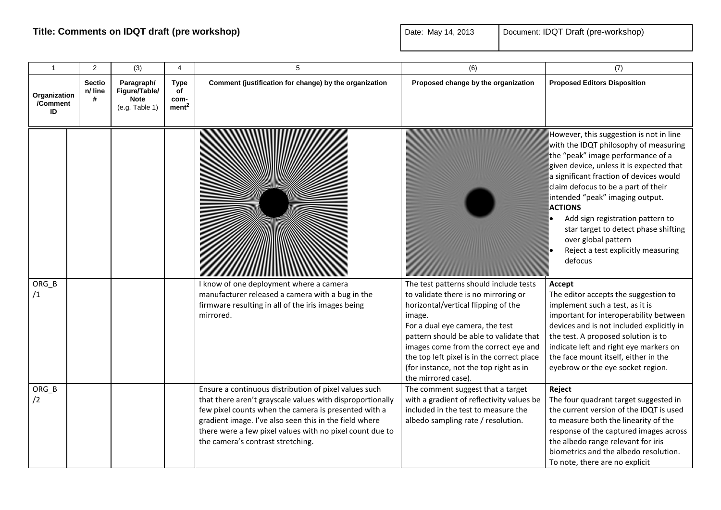| $\overline{1}$                 | 2                             | (3)                                                          | 4                                              | 5                                                                                                                                                                                                                                                                                                                                     | (6)                                                                                                                                                                                                                                                                                                                                                                  | (7)                                                                                                                                                                                                                                                                                                                                                                                                                                                          |
|--------------------------------|-------------------------------|--------------------------------------------------------------|------------------------------------------------|---------------------------------------------------------------------------------------------------------------------------------------------------------------------------------------------------------------------------------------------------------------------------------------------------------------------------------------|----------------------------------------------------------------------------------------------------------------------------------------------------------------------------------------------------------------------------------------------------------------------------------------------------------------------------------------------------------------------|--------------------------------------------------------------------------------------------------------------------------------------------------------------------------------------------------------------------------------------------------------------------------------------------------------------------------------------------------------------------------------------------------------------------------------------------------------------|
| Organization<br>/Comment<br>ID | <b>Sectio</b><br>n/ line<br># | Paragraph/<br>Figure/Table/<br><b>Note</b><br>(e.g. Table 1) | <b>Type</b><br>of<br>com-<br>ment <sup>2</sup> | Comment (justification for change) by the organization                                                                                                                                                                                                                                                                                | Proposed change by the organization                                                                                                                                                                                                                                                                                                                                  | <b>Proposed Editors Disposition</b>                                                                                                                                                                                                                                                                                                                                                                                                                          |
|                                |                               |                                                              |                                                |                                                                                                                                                                                                                                                                                                                                       |                                                                                                                                                                                                                                                                                                                                                                      | However, this suggestion is not in line<br>with the IDQT philosophy of measuring<br>the "peak" image performance of a<br>given device, unless it is expected that<br>a significant fraction of devices would<br>claim defocus to be a part of their<br>intended "peak" imaging output.<br><b>ACTIONS</b><br>Add sign registration pattern to<br>star target to detect phase shifting<br>over global pattern<br>Reject a test explicitly measuring<br>defocus |
| ORG_B<br>/1                    |                               |                                                              |                                                | I know of one deployment where a camera<br>manufacturer released a camera with a bug in the<br>firmware resulting in all of the iris images being<br>mirrored.                                                                                                                                                                        | The test patterns should include tests<br>to validate there is no mirroring or<br>horizontal/vertical flipping of the<br>image.<br>For a dual eye camera, the test<br>pattern should be able to validate that<br>images come from the correct eye and<br>the top left pixel is in the correct place<br>(for instance, not the top right as in<br>the mirrored case). | Accept<br>The editor accepts the suggestion to<br>implement such a test, as it is<br>important for interoperability between<br>devices and is not included explicitly in<br>the test. A proposed solution is to<br>indicate left and right eye markers on<br>the face mount itself, either in the<br>eyebrow or the eye socket region.                                                                                                                       |
| ORG B<br>/2                    |                               |                                                              |                                                | Ensure a continuous distribution of pixel values such<br>that there aren't grayscale values with disproportionally<br>few pixel counts when the camera is presented with a<br>gradient image. I've also seen this in the field where<br>there were a few pixel values with no pixel count due to<br>the camera's contrast stretching. | The comment suggest that a target<br>with a gradient of reflectivity values be<br>included in the test to measure the<br>albedo sampling rate / resolution.                                                                                                                                                                                                          | Reject<br>The four quadrant target suggested in<br>the current version of the IDQT is used<br>to measure both the linearity of the<br>response of the captured images across<br>the albedo range relevant for iris<br>biometrics and the albedo resolution.<br>To note, there are no explicit                                                                                                                                                                |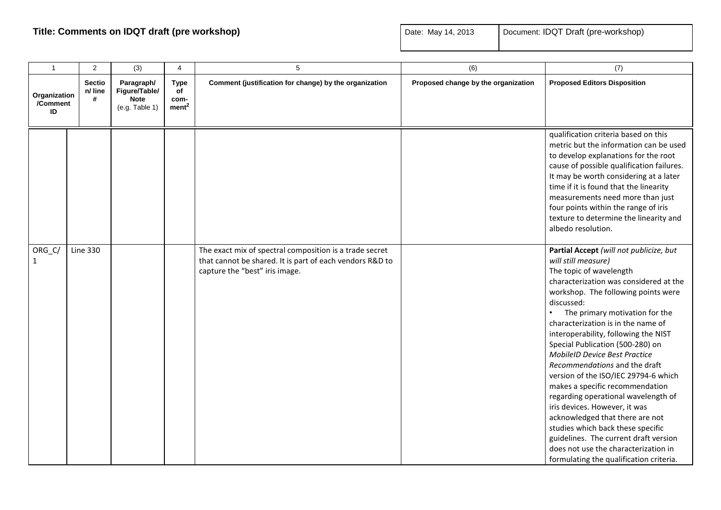| $\mathbf{1}$                   | 2                             | (3)                                                          | 4                                              | 5                                                                                                                                                     | (6)                                 | (7)                                                                                                                                                                                                                                                                                                                                                                                                                                                                                                                                                                                                                                                                                                                                                                          |
|--------------------------------|-------------------------------|--------------------------------------------------------------|------------------------------------------------|-------------------------------------------------------------------------------------------------------------------------------------------------------|-------------------------------------|------------------------------------------------------------------------------------------------------------------------------------------------------------------------------------------------------------------------------------------------------------------------------------------------------------------------------------------------------------------------------------------------------------------------------------------------------------------------------------------------------------------------------------------------------------------------------------------------------------------------------------------------------------------------------------------------------------------------------------------------------------------------------|
| Organization<br>/Comment<br>ID | <b>Sectio</b><br>n/ line<br># | Paragraph/<br>Figure/Table/<br><b>Note</b><br>(e.g. Table 1) | <b>Type</b><br>of<br>com-<br>ment <sup>2</sup> | Comment (justification for change) by the organization                                                                                                | Proposed change by the organization | <b>Proposed Editors Disposition</b>                                                                                                                                                                                                                                                                                                                                                                                                                                                                                                                                                                                                                                                                                                                                          |
|                                |                               |                                                              |                                                |                                                                                                                                                       |                                     | qualification criteria based on this<br>metric but the information can be used<br>to develop explanations for the root<br>cause of possible qualification failures.<br>It may be worth considering at a later<br>time if it is found that the linearity<br>measurements need more than just<br>four points within the range of iris<br>texture to determine the linearity and<br>albedo resolution.                                                                                                                                                                                                                                                                                                                                                                          |
| ORG_C/<br>$\mathbf{1}$         | <b>Line 330</b>               |                                                              |                                                | The exact mix of spectral composition is a trade secret<br>that cannot be shared. It is part of each vendors R&D to<br>capture the "best" iris image. |                                     | Partial Accept (will not publicize, but<br>will still measure)<br>The topic of wavelength<br>characterization was considered at the<br>workshop. The following points were<br>discussed:<br>The primary motivation for the<br>characterization is in the name of<br>interoperability, following the NIST<br>Special Publication (500-280) on<br><b>MobileID Device Best Practice</b><br>Recommendations and the draft<br>version of the ISO/IEC 29794-6 which<br>makes a specific recommendation<br>regarding operational wavelength of<br>iris devices. However, it was<br>acknowledged that there are not<br>studies which back these specific<br>guidelines. The current draft version<br>does not use the characterization in<br>formulating the qualification criteria. |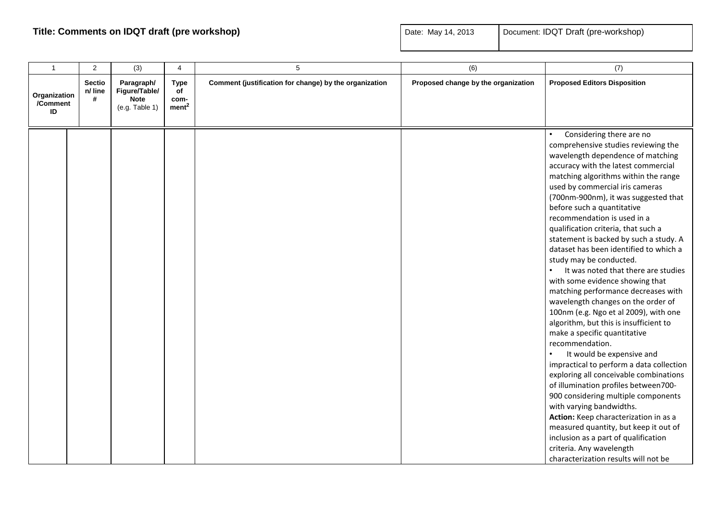| $\mathbf{1}$                   | $\overline{2}$                | (3)                                                          | 4                                              | 5                                                      | (6)                                 | (7)                                                                                                                                                                                                                                                                                                                                                                                                                                                                                                                                                                                                                                                                                                                                                                                                                                                                                                                                                                                                                                                                                                                                                                                                        |
|--------------------------------|-------------------------------|--------------------------------------------------------------|------------------------------------------------|--------------------------------------------------------|-------------------------------------|------------------------------------------------------------------------------------------------------------------------------------------------------------------------------------------------------------------------------------------------------------------------------------------------------------------------------------------------------------------------------------------------------------------------------------------------------------------------------------------------------------------------------------------------------------------------------------------------------------------------------------------------------------------------------------------------------------------------------------------------------------------------------------------------------------------------------------------------------------------------------------------------------------------------------------------------------------------------------------------------------------------------------------------------------------------------------------------------------------------------------------------------------------------------------------------------------------|
| Organization<br>/Comment<br>ID | <b>Sectio</b><br>n/ line<br># | Paragraph/<br>Figure/Table/<br><b>Note</b><br>(e.g. Table 1) | <b>Type</b><br>of<br>com-<br>ment <sup>2</sup> | Comment (justification for change) by the organization | Proposed change by the organization | <b>Proposed Editors Disposition</b>                                                                                                                                                                                                                                                                                                                                                                                                                                                                                                                                                                                                                                                                                                                                                                                                                                                                                                                                                                                                                                                                                                                                                                        |
|                                |                               |                                                              |                                                |                                                        |                                     | Considering there are no<br>comprehensive studies reviewing the<br>wavelength dependence of matching<br>accuracy with the latest commercial<br>matching algorithms within the range<br>used by commercial iris cameras<br>(700nm-900nm), it was suggested that<br>before such a quantitative<br>recommendation is used in a<br>qualification criteria, that such a<br>statement is backed by such a study. A<br>dataset has been identified to which a<br>study may be conducted.<br>It was noted that there are studies<br>with some evidence showing that<br>matching performance decreases with<br>wavelength changes on the order of<br>100nm (e.g. Ngo et al 2009), with one<br>algorithm, but this is insufficient to<br>make a specific quantitative<br>recommendation.<br>It would be expensive and<br>impractical to perform a data collection<br>exploring all conceivable combinations<br>of illumination profiles between700-<br>900 considering multiple components<br>with varying bandwidths.<br>Action: Keep characterization in as a<br>measured quantity, but keep it out of<br>inclusion as a part of qualification<br>criteria. Any wavelength<br>characterization results will not be |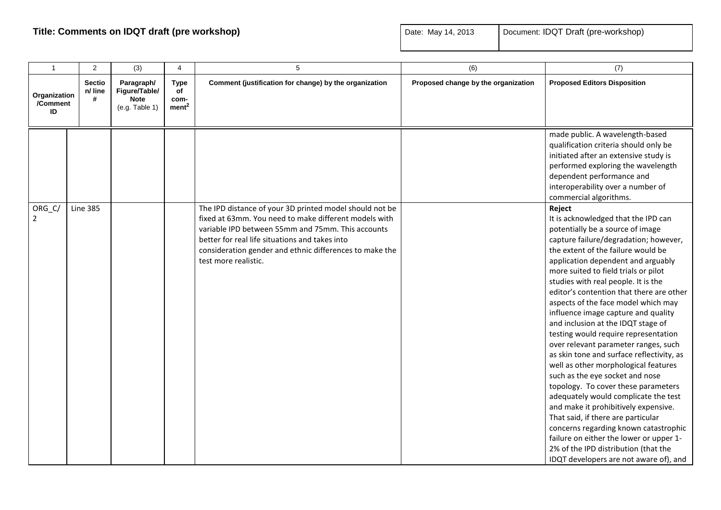| $\mathbf{1}$                   | 2                             | (3)                                                          | $\overline{4}$                                 | 5                                                                                                                                                                                                                                                                                                          | (6)                                 | (7)                                                                                                                                                                                                                                                                                                                                                                                                                                                                                                                                                                                                                                                                                                                                                                                                                                                                                                                                                                                              |
|--------------------------------|-------------------------------|--------------------------------------------------------------|------------------------------------------------|------------------------------------------------------------------------------------------------------------------------------------------------------------------------------------------------------------------------------------------------------------------------------------------------------------|-------------------------------------|--------------------------------------------------------------------------------------------------------------------------------------------------------------------------------------------------------------------------------------------------------------------------------------------------------------------------------------------------------------------------------------------------------------------------------------------------------------------------------------------------------------------------------------------------------------------------------------------------------------------------------------------------------------------------------------------------------------------------------------------------------------------------------------------------------------------------------------------------------------------------------------------------------------------------------------------------------------------------------------------------|
| Organization<br>/Comment<br>ID | <b>Sectio</b><br>n/ line<br># | Paragraph/<br>Figure/Table/<br><b>Note</b><br>(e.g. Table 1) | <b>Type</b><br>of<br>com-<br>ment <sup>2</sup> | Comment (justification for change) by the organization                                                                                                                                                                                                                                                     | Proposed change by the organization | <b>Proposed Editors Disposition</b>                                                                                                                                                                                                                                                                                                                                                                                                                                                                                                                                                                                                                                                                                                                                                                                                                                                                                                                                                              |
|                                |                               |                                                              |                                                |                                                                                                                                                                                                                                                                                                            |                                     | made public. A wavelength-based<br>qualification criteria should only be<br>initiated after an extensive study is<br>performed exploring the wavelength<br>dependent performance and<br>interoperability over a number of<br>commercial algorithms.                                                                                                                                                                                                                                                                                                                                                                                                                                                                                                                                                                                                                                                                                                                                              |
| ORG_C/<br>$\overline{2}$       | <b>Line 385</b>               |                                                              |                                                | The IPD distance of your 3D printed model should not be<br>fixed at 63mm. You need to make different models with<br>variable IPD between 55mm and 75mm. This accounts<br>better for real life situations and takes into<br>consideration gender and ethnic differences to make the<br>test more realistic. |                                     | Reject<br>It is acknowledged that the IPD can<br>potentially be a source of image<br>capture failure/degradation; however,<br>the extent of the failure would be<br>application dependent and arguably<br>more suited to field trials or pilot<br>studies with real people. It is the<br>editor's contention that there are other<br>aspects of the face model which may<br>influence image capture and quality<br>and inclusion at the IDQT stage of<br>testing would require representation<br>over relevant parameter ranges, such<br>as skin tone and surface reflectivity, as<br>well as other morphological features<br>such as the eye socket and nose<br>topology. To cover these parameters<br>adequately would complicate the test<br>and make it prohibitively expensive.<br>That said, if there are particular<br>concerns regarding known catastrophic<br>failure on either the lower or upper 1-<br>2% of the IPD distribution (that the<br>IDQT developers are not aware of), and |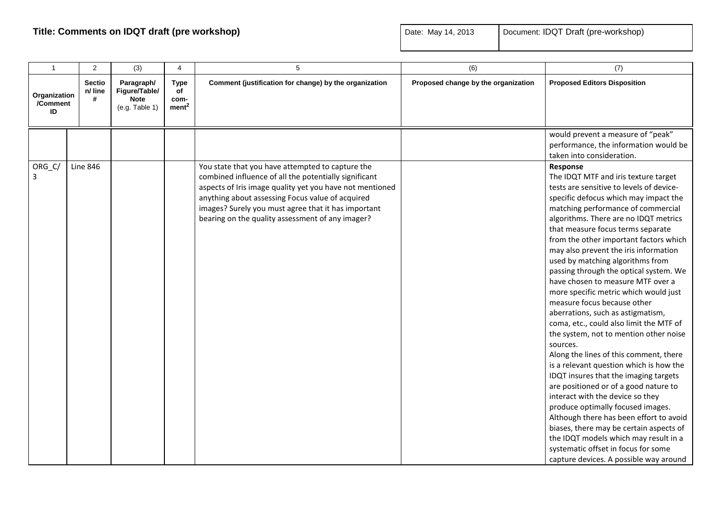| $\mathbf{1}$                   | $\overline{2}$                | (3)                                                          | 4                                              | 5                                                                                                                                                                                                                       | (6)                                 | (7)                                                                                                                                                                                                                                                                                                                                                                                                                                                                                                                                                                                                                                                                                                                                                                                                                                                                                                                                                                                                                                                                                       |
|--------------------------------|-------------------------------|--------------------------------------------------------------|------------------------------------------------|-------------------------------------------------------------------------------------------------------------------------------------------------------------------------------------------------------------------------|-------------------------------------|-------------------------------------------------------------------------------------------------------------------------------------------------------------------------------------------------------------------------------------------------------------------------------------------------------------------------------------------------------------------------------------------------------------------------------------------------------------------------------------------------------------------------------------------------------------------------------------------------------------------------------------------------------------------------------------------------------------------------------------------------------------------------------------------------------------------------------------------------------------------------------------------------------------------------------------------------------------------------------------------------------------------------------------------------------------------------------------------|
| Organization<br>/Comment<br>ID | <b>Sectio</b><br>n/ line<br># | Paragraph/<br>Figure/Table/<br><b>Note</b><br>(e.g. Table 1) | <b>Type</b><br>of<br>com-<br>ment <sup>2</sup> | Comment (justification for change) by the organization                                                                                                                                                                  | Proposed change by the organization | <b>Proposed Editors Disposition</b>                                                                                                                                                                                                                                                                                                                                                                                                                                                                                                                                                                                                                                                                                                                                                                                                                                                                                                                                                                                                                                                       |
| ORG_C/<br>3                    | <b>Line 846</b>               |                                                              |                                                | You state that you have attempted to capture the<br>combined influence of all the potentially significant                                                                                                               |                                     | would prevent a measure of "peak"<br>performance, the information would be<br>taken into consideration.<br>Response<br>The IDQT MTF and iris texture target                                                                                                                                                                                                                                                                                                                                                                                                                                                                                                                                                                                                                                                                                                                                                                                                                                                                                                                               |
|                                |                               |                                                              |                                                | aspects of Iris image quality yet you have not mentioned<br>anything about assessing Focus value of acquired<br>images? Surely you must agree that it has important<br>bearing on the quality assessment of any imager? |                                     | tests are sensitive to levels of device-<br>specific defocus which may impact the<br>matching performance of commercial<br>algorithms. There are no IDQT metrics<br>that measure focus terms separate<br>from the other important factors which<br>may also prevent the iris information<br>used by matching algorithms from<br>passing through the optical system. We<br>have chosen to measure MTF over a<br>more specific metric which would just<br>measure focus because other<br>aberrations, such as astigmatism,<br>coma, etc., could also limit the MTF of<br>the system, not to mention other noise<br>sources.<br>Along the lines of this comment, there<br>is a relevant question which is how the<br>IDQT insures that the imaging targets<br>are positioned or of a good nature to<br>interact with the device so they<br>produce optimally focused images.<br>Although there has been effort to avoid<br>biases, there may be certain aspects of<br>the IDQT models which may result in a<br>systematic offset in focus for some<br>capture devices. A possible way around |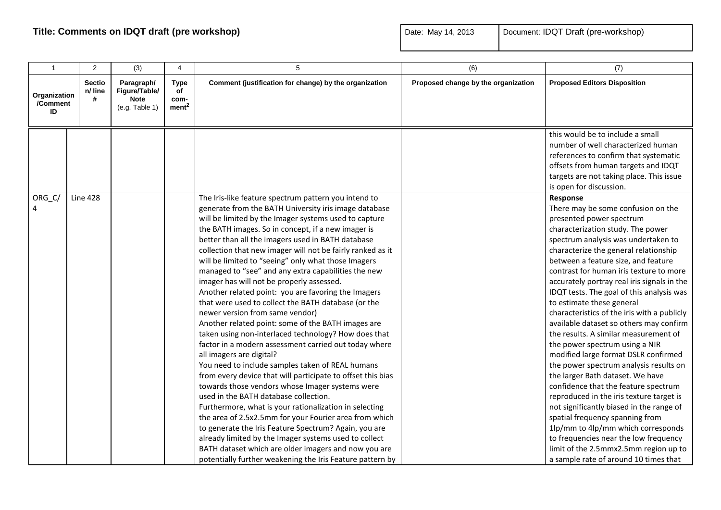| $\mathbf{1}$                   | 2                             | (3)                                                          | 4                                              | 5                                                                                                                                                                                                                                                                                                                                                                                                                                                                                                                                                                                                                                                                                                                                                                                                                                                                                                                                                                                                                                                                                                                                                                                                                                                                                                                                                                                                                                        | (6)                                 | (7)                                                                                                                                                                                                                                                                                                                                                                                                                                                                                                                                                                                                                                                                                                                                                                                                                                                                                                                                                                                                                                       |
|--------------------------------|-------------------------------|--------------------------------------------------------------|------------------------------------------------|------------------------------------------------------------------------------------------------------------------------------------------------------------------------------------------------------------------------------------------------------------------------------------------------------------------------------------------------------------------------------------------------------------------------------------------------------------------------------------------------------------------------------------------------------------------------------------------------------------------------------------------------------------------------------------------------------------------------------------------------------------------------------------------------------------------------------------------------------------------------------------------------------------------------------------------------------------------------------------------------------------------------------------------------------------------------------------------------------------------------------------------------------------------------------------------------------------------------------------------------------------------------------------------------------------------------------------------------------------------------------------------------------------------------------------------|-------------------------------------|-------------------------------------------------------------------------------------------------------------------------------------------------------------------------------------------------------------------------------------------------------------------------------------------------------------------------------------------------------------------------------------------------------------------------------------------------------------------------------------------------------------------------------------------------------------------------------------------------------------------------------------------------------------------------------------------------------------------------------------------------------------------------------------------------------------------------------------------------------------------------------------------------------------------------------------------------------------------------------------------------------------------------------------------|
| Organization<br>/Comment<br>ID | <b>Sectio</b><br>n/ line<br># | Paragraph/<br>Figure/Table/<br><b>Note</b><br>(e.g. Table 1) | <b>Type</b><br>of<br>com-<br>ment <sup>2</sup> | Comment (justification for change) by the organization                                                                                                                                                                                                                                                                                                                                                                                                                                                                                                                                                                                                                                                                                                                                                                                                                                                                                                                                                                                                                                                                                                                                                                                                                                                                                                                                                                                   | Proposed change by the organization | <b>Proposed Editors Disposition</b>                                                                                                                                                                                                                                                                                                                                                                                                                                                                                                                                                                                                                                                                                                                                                                                                                                                                                                                                                                                                       |
|                                |                               |                                                              |                                                |                                                                                                                                                                                                                                                                                                                                                                                                                                                                                                                                                                                                                                                                                                                                                                                                                                                                                                                                                                                                                                                                                                                                                                                                                                                                                                                                                                                                                                          |                                     | this would be to include a small<br>number of well characterized human<br>references to confirm that systematic<br>offsets from human targets and IDQT<br>targets are not taking place. This issue<br>is open for discussion.                                                                                                                                                                                                                                                                                                                                                                                                                                                                                                                                                                                                                                                                                                                                                                                                             |
| ORG_C/<br>4                    | <b>Line 428</b>               |                                                              |                                                | The Iris-like feature spectrum pattern you intend to<br>generate from the BATH University iris image database<br>will be limited by the Imager systems used to capture<br>the BATH images. So in concept, if a new imager is<br>better than all the imagers used in BATH database<br>collection that new imager will not be fairly ranked as it<br>will be limited to "seeing" only what those Imagers<br>managed to "see" and any extra capabilities the new<br>imager has will not be properly assessed.<br>Another related point: you are favoring the Imagers<br>that were used to collect the BATH database (or the<br>newer version from same vendor)<br>Another related point: some of the BATH images are<br>taken using non-interlaced technology? How does that<br>factor in a modern assessment carried out today where<br>all imagers are digital?<br>You need to include samples taken of REAL humans<br>from every device that will participate to offset this bias<br>towards those vendors whose Imager systems were<br>used in the BATH database collection.<br>Furthermore, what is your rationalization in selecting<br>the area of 2.5x2.5mm for your Fourier area from which<br>to generate the Iris Feature Spectrum? Again, you are<br>already limited by the Imager systems used to collect<br>BATH dataset which are older imagers and now you are<br>potentially further weakening the Iris Feature pattern by |                                     | Response<br>There may be some confusion on the<br>presented power spectrum<br>characterization study. The power<br>spectrum analysis was undertaken to<br>characterize the general relationship<br>between a feature size, and feature<br>contrast for human iris texture to more<br>accurately portray real iris signals in the<br>IDQT tests. The goal of this analysis was<br>to estimate these general<br>characteristics of the iris with a publicly<br>available dataset so others may confirm<br>the results. A similar measurement of<br>the power spectrum using a NIR<br>modified large format DSLR confirmed<br>the power spectrum analysis results on<br>the larger Bath dataset. We have<br>confidence that the feature spectrum<br>reproduced in the iris texture target is<br>not significantly biased in the range of<br>spatial frequency spanning from<br>1lp/mm to 4lp/mm which corresponds<br>to frequencies near the low frequency<br>limit of the 2.5mmx2.5mm region up to<br>a sample rate of around 10 times that |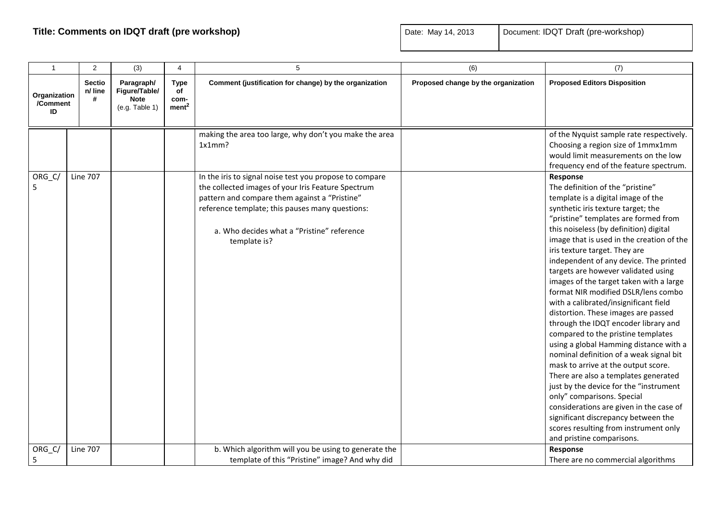| $\mathbf{1}$                   | 2                             | (3)                                                          | 4                                              | 5                                                                                                                                                                                                                                                                               | (6)                                 | (7)                                                                                                                                                                                                                                                                                                                                                                                                                                                                                                                                                                                                                                                                                                                                                                                                                                                                                                                                                                                                                           |
|--------------------------------|-------------------------------|--------------------------------------------------------------|------------------------------------------------|---------------------------------------------------------------------------------------------------------------------------------------------------------------------------------------------------------------------------------------------------------------------------------|-------------------------------------|-------------------------------------------------------------------------------------------------------------------------------------------------------------------------------------------------------------------------------------------------------------------------------------------------------------------------------------------------------------------------------------------------------------------------------------------------------------------------------------------------------------------------------------------------------------------------------------------------------------------------------------------------------------------------------------------------------------------------------------------------------------------------------------------------------------------------------------------------------------------------------------------------------------------------------------------------------------------------------------------------------------------------------|
| Organization<br>/Comment<br>ID | <b>Sectio</b><br>n/ line<br># | Paragraph/<br>Figure/Table/<br><b>Note</b><br>(e.g. Table 1) | <b>Type</b><br>οf<br>com-<br>ment <sup>2</sup> | Comment (justification for change) by the organization                                                                                                                                                                                                                          | Proposed change by the organization | <b>Proposed Editors Disposition</b>                                                                                                                                                                                                                                                                                                                                                                                                                                                                                                                                                                                                                                                                                                                                                                                                                                                                                                                                                                                           |
|                                |                               |                                                              |                                                | making the area too large, why don't you make the area<br>1x1mm?                                                                                                                                                                                                                |                                     | of the Nyquist sample rate respectively.<br>Choosing a region size of 1mmx1mm<br>would limit measurements on the low<br>frequency end of the feature spectrum.                                                                                                                                                                                                                                                                                                                                                                                                                                                                                                                                                                                                                                                                                                                                                                                                                                                                |
| ORG_C/<br>5                    | <b>Line 707</b>               |                                                              |                                                | In the iris to signal noise test you propose to compare<br>the collected images of your Iris Feature Spectrum<br>pattern and compare them against a "Pristine"<br>reference template; this pauses many questions:<br>a. Who decides what a "Pristine" reference<br>template is? |                                     | Response<br>The definition of the "pristine"<br>template is a digital image of the<br>synthetic iris texture target; the<br>"pristine" templates are formed from<br>this noiseless (by definition) digital<br>image that is used in the creation of the<br>iris texture target. They are<br>independent of any device. The printed<br>targets are however validated using<br>images of the target taken with a large<br>format NIR modified DSLR/lens combo<br>with a calibrated/insignificant field<br>distortion. These images are passed<br>through the IDQT encoder library and<br>compared to the pristine templates<br>using a global Hamming distance with a<br>nominal definition of a weak signal bit<br>mask to arrive at the output score.<br>There are also a templates generated<br>just by the device for the "instrument<br>only" comparisons. Special<br>considerations are given in the case of<br>significant discrepancy between the<br>scores resulting from instrument only<br>and pristine comparisons. |
| ORG_C/<br>5                    | <b>Line 707</b>               |                                                              |                                                | b. Which algorithm will you be using to generate the<br>template of this "Pristine" image? And why did                                                                                                                                                                          |                                     | Response<br>There are no commercial algorithms                                                                                                                                                                                                                                                                                                                                                                                                                                                                                                                                                                                                                                                                                                                                                                                                                                                                                                                                                                                |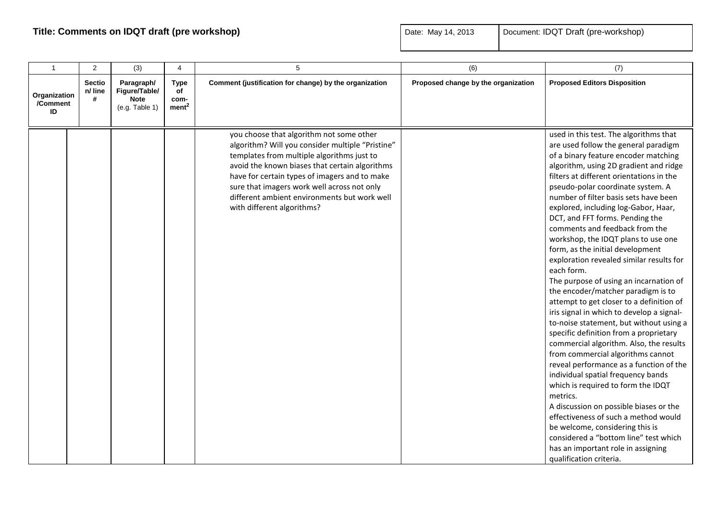| $\mathbf{1}$                   | 2                             | (3)                                                          | $\overline{4}$                                 | 5                                                                                                                                                                                                                                                                                                                                                                          | (6)                                 | (7)                                                                                                                                                                                                                                                                                                                                                                                                                                                                                                                                                                                                                                                                                                                                                                                                                                                                                                                                                                                                                                                                                                                                                                                                                                                          |
|--------------------------------|-------------------------------|--------------------------------------------------------------|------------------------------------------------|----------------------------------------------------------------------------------------------------------------------------------------------------------------------------------------------------------------------------------------------------------------------------------------------------------------------------------------------------------------------------|-------------------------------------|--------------------------------------------------------------------------------------------------------------------------------------------------------------------------------------------------------------------------------------------------------------------------------------------------------------------------------------------------------------------------------------------------------------------------------------------------------------------------------------------------------------------------------------------------------------------------------------------------------------------------------------------------------------------------------------------------------------------------------------------------------------------------------------------------------------------------------------------------------------------------------------------------------------------------------------------------------------------------------------------------------------------------------------------------------------------------------------------------------------------------------------------------------------------------------------------------------------------------------------------------------------|
| Organization<br>/Comment<br>ID | <b>Sectio</b><br>n/ line<br># | Paragraph/<br>Figure/Table/<br><b>Note</b><br>(e.g. Table 1) | <b>Type</b><br>οf<br>com-<br>ment <sup>2</sup> | Comment (justification for change) by the organization                                                                                                                                                                                                                                                                                                                     | Proposed change by the organization | <b>Proposed Editors Disposition</b>                                                                                                                                                                                                                                                                                                                                                                                                                                                                                                                                                                                                                                                                                                                                                                                                                                                                                                                                                                                                                                                                                                                                                                                                                          |
|                                |                               |                                                              |                                                | you choose that algorithm not some other<br>algorithm? Will you consider multiple "Pristine"<br>templates from multiple algorithms just to<br>avoid the known biases that certain algorithms<br>have for certain types of imagers and to make<br>sure that imagers work well across not only<br>different ambient environments but work well<br>with different algorithms? |                                     | used in this test. The algorithms that<br>are used follow the general paradigm<br>of a binary feature encoder matching<br>algorithm, using 2D gradient and ridge<br>filters at different orientations in the<br>pseudo-polar coordinate system. A<br>number of filter basis sets have been<br>explored, including log-Gabor, Haar,<br>DCT, and FFT forms. Pending the<br>comments and feedback from the<br>workshop, the IDQT plans to use one<br>form, as the initial development<br>exploration revealed similar results for<br>each form.<br>The purpose of using an incarnation of<br>the encoder/matcher paradigm is to<br>attempt to get closer to a definition of<br>iris signal in which to develop a signal-<br>to-noise statement, but without using a<br>specific definition from a proprietary<br>commercial algorithm. Also, the results<br>from commercial algorithms cannot<br>reveal performance as a function of the<br>individual spatial frequency bands<br>which is required to form the IDQT<br>metrics.<br>A discussion on possible biases or the<br>effectiveness of such a method would<br>be welcome, considering this is<br>considered a "bottom line" test which<br>has an important role in assigning<br>qualification criteria. |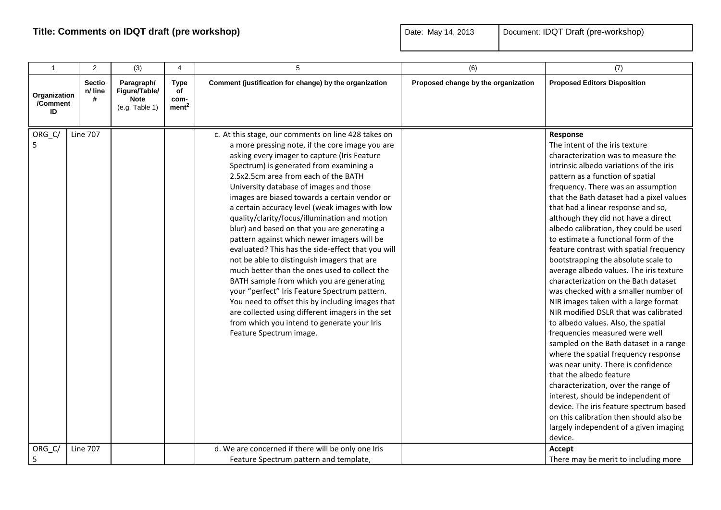| $\mathbf{1}$                   | 2                                  | (3)                                                          | $\overline{4}$                                 | 5                                                                                                                                                                                                                                                                                                                                                                                                                                                                                                                                                                                                                                                                                                                                                                                                                                                                                                                                                                                                                                  | (6)                                 | (7)                                                                                                                                                                                                                                                                                                                                                                                                                                                                                                                                                                                                                                                                                                                                                                                                                                                                                                                                                                                                                                                                                                                                                                            |
|--------------------------------|------------------------------------|--------------------------------------------------------------|------------------------------------------------|------------------------------------------------------------------------------------------------------------------------------------------------------------------------------------------------------------------------------------------------------------------------------------------------------------------------------------------------------------------------------------------------------------------------------------------------------------------------------------------------------------------------------------------------------------------------------------------------------------------------------------------------------------------------------------------------------------------------------------------------------------------------------------------------------------------------------------------------------------------------------------------------------------------------------------------------------------------------------------------------------------------------------------|-------------------------------------|--------------------------------------------------------------------------------------------------------------------------------------------------------------------------------------------------------------------------------------------------------------------------------------------------------------------------------------------------------------------------------------------------------------------------------------------------------------------------------------------------------------------------------------------------------------------------------------------------------------------------------------------------------------------------------------------------------------------------------------------------------------------------------------------------------------------------------------------------------------------------------------------------------------------------------------------------------------------------------------------------------------------------------------------------------------------------------------------------------------------------------------------------------------------------------|
| Organization<br>/Comment<br>ID | <b>Sectio</b><br>n/ line<br>#      | Paragraph/<br>Figure/Table/<br><b>Note</b><br>(e.g. Table 1) | <b>Type</b><br>of<br>com-<br>ment <sup>2</sup> | Comment (justification for change) by the organization                                                                                                                                                                                                                                                                                                                                                                                                                                                                                                                                                                                                                                                                                                                                                                                                                                                                                                                                                                             | Proposed change by the organization | <b>Proposed Editors Disposition</b>                                                                                                                                                                                                                                                                                                                                                                                                                                                                                                                                                                                                                                                                                                                                                                                                                                                                                                                                                                                                                                                                                                                                            |
| ORG_C/<br>5<br>ORG_C/          | <b>Line 707</b><br><b>Line 707</b> |                                                              |                                                | c. At this stage, our comments on line 428 takes on<br>a more pressing note, if the core image you are<br>asking every imager to capture (Iris Feature<br>Spectrum) is generated from examining a<br>2.5x2.5cm area from each of the BATH<br>University database of images and those<br>images are biased towards a certain vendor or<br>a certain accuracy level (weak images with low<br>quality/clarity/focus/illumination and motion<br>blur) and based on that you are generating a<br>pattern against which newer imagers will be<br>evaluated? This has the side-effect that you will<br>not be able to distinguish imagers that are<br>much better than the ones used to collect the<br>BATH sample from which you are generating<br>your "perfect" Iris Feature Spectrum pattern.<br>You need to offset this by including images that<br>are collected using different imagers in the set<br>from which you intend to generate your Iris<br>Feature Spectrum image.<br>d. We are concerned if there will be only one Iris |                                     | Response<br>The intent of the iris texture<br>characterization was to measure the<br>intrinsic albedo variations of the iris<br>pattern as a function of spatial<br>frequency. There was an assumption<br>that the Bath dataset had a pixel values<br>that had a linear response and so,<br>although they did not have a direct<br>albedo calibration, they could be used<br>to estimate a functional form of the<br>feature contrast with spatial frequency<br>bootstrapping the absolute scale to<br>average albedo values. The iris texture<br>characterization on the Bath dataset<br>was checked with a smaller number of<br>NIR images taken with a large format<br>NIR modified DSLR that was calibrated<br>to albedo values. Also, the spatial<br>frequencies measured were well<br>sampled on the Bath dataset in a range<br>where the spatial frequency response<br>was near unity. There is confidence<br>that the albedo feature<br>characterization, over the range of<br>interest, should be independent of<br>device. The iris feature spectrum based<br>on this calibration then should also be<br>largely independent of a given imaging<br>device.<br>Accept |
| 5                              |                                    |                                                              |                                                | Feature Spectrum pattern and template,                                                                                                                                                                                                                                                                                                                                                                                                                                                                                                                                                                                                                                                                                                                                                                                                                                                                                                                                                                                             |                                     | There may be merit to including more                                                                                                                                                                                                                                                                                                                                                                                                                                                                                                                                                                                                                                                                                                                                                                                                                                                                                                                                                                                                                                                                                                                                           |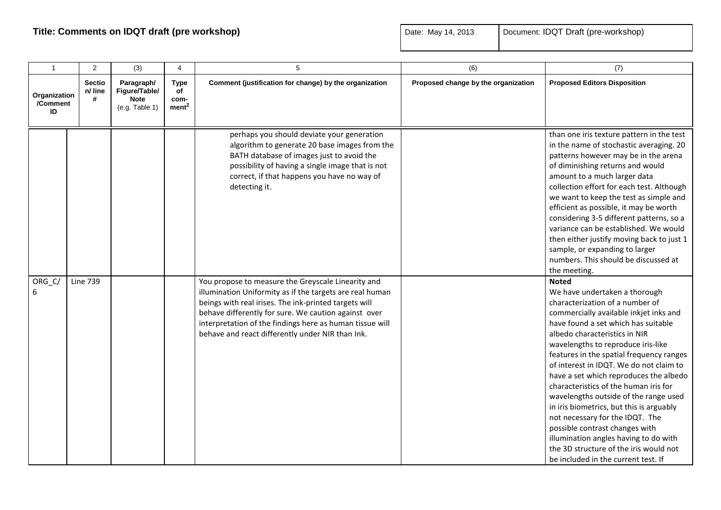| $\mathbf{1}$                   | $\overline{2}$                | (3)                                                          | 4                                              | 5                                                                                                                                                                                                                                                                                                                  | (6)                                 | (7)                                                                                                                                                                                                                                                                                                                                                                                                                                                                                                                                                                                                                                                                                    |
|--------------------------------|-------------------------------|--------------------------------------------------------------|------------------------------------------------|--------------------------------------------------------------------------------------------------------------------------------------------------------------------------------------------------------------------------------------------------------------------------------------------------------------------|-------------------------------------|----------------------------------------------------------------------------------------------------------------------------------------------------------------------------------------------------------------------------------------------------------------------------------------------------------------------------------------------------------------------------------------------------------------------------------------------------------------------------------------------------------------------------------------------------------------------------------------------------------------------------------------------------------------------------------------|
| Organization<br>/Comment<br>ID | <b>Sectio</b><br>n/ line<br># | Paragraph/<br>Figure/Table/<br><b>Note</b><br>(e.g. Table 1) | <b>Type</b><br>of<br>com-<br>ment <sup>2</sup> | Comment (justification for change) by the organization                                                                                                                                                                                                                                                             | Proposed change by the organization | <b>Proposed Editors Disposition</b>                                                                                                                                                                                                                                                                                                                                                                                                                                                                                                                                                                                                                                                    |
| ORG_C/                         | <b>Line 739</b>               |                                                              |                                                | perhaps you should deviate your generation<br>algorithm to generate 20 base images from the<br>BATH database of images just to avoid the<br>possibility of having a single image that is not<br>correct, if that happens you have no way of<br>detecting it.<br>You propose to measure the Greyscale Linearity and |                                     | than one iris texture pattern in the test<br>in the name of stochastic averaging. 20<br>patterns however may be in the arena<br>of diminishing returns and would<br>amount to a much larger data<br>collection effort for each test. Although<br>we want to keep the test as simple and<br>efficient as possible, it may be worth<br>considering 3-5 different patterns, so a<br>variance can be established. We would<br>then either justify moving back to just 1<br>sample, or expanding to larger<br>numbers. This should be discussed at<br>the meeting.<br><b>Noted</b>                                                                                                          |
| 6                              |                               |                                                              |                                                | illumination Uniformity as if the targets are real human<br>beings with real irises. The ink-printed targets will<br>behave differently for sure. We caution against over<br>interpretation of the findings here as human tissue will<br>behave and react differently under NIR than Ink.                          |                                     | We have undertaken a thorough<br>characterization of a number of<br>commercially available inkjet inks and<br>have found a set which has suitable<br>albedo characteristics in NIR<br>wavelengths to reproduce iris-like<br>features in the spatial frequency ranges<br>of interest in IDQT. We do not claim to<br>have a set which reproduces the albedo<br>characteristics of the human iris for<br>wavelengths outside of the range used<br>in iris biometrics, but this is arguably<br>not necessary for the IDQT. The<br>possible contrast changes with<br>illumination angles having to do with<br>the 3D structure of the iris would not<br>be included in the current test. If |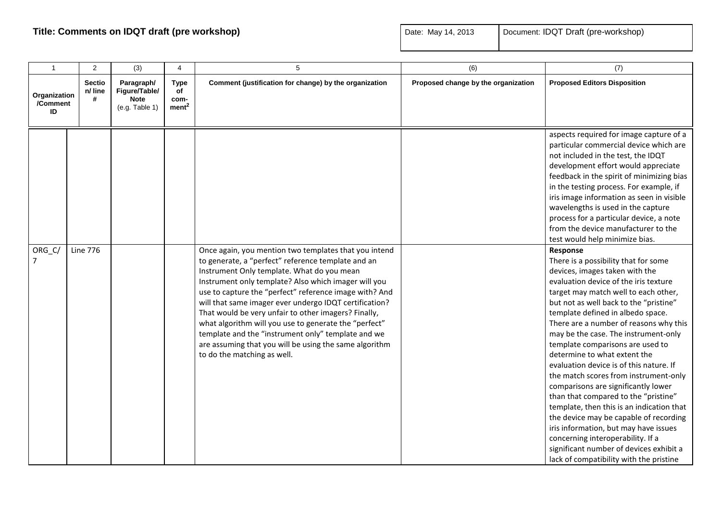| $\mathbf{1}$                   | 2                             | (3)                                                          | 4                                              | 5                                                                                                                                                                                                                                                                                                                                                                                                                                                                                                                                                                                                     | (6)                                 | (7)                                                                                                                                                                                                                                                                                                                                                                                                                                                                                                                                                                                                                                                                                                                                                                                                                                    |
|--------------------------------|-------------------------------|--------------------------------------------------------------|------------------------------------------------|-------------------------------------------------------------------------------------------------------------------------------------------------------------------------------------------------------------------------------------------------------------------------------------------------------------------------------------------------------------------------------------------------------------------------------------------------------------------------------------------------------------------------------------------------------------------------------------------------------|-------------------------------------|----------------------------------------------------------------------------------------------------------------------------------------------------------------------------------------------------------------------------------------------------------------------------------------------------------------------------------------------------------------------------------------------------------------------------------------------------------------------------------------------------------------------------------------------------------------------------------------------------------------------------------------------------------------------------------------------------------------------------------------------------------------------------------------------------------------------------------------|
| Organization<br>/Comment<br>ID | <b>Sectio</b><br>n/ line<br># | Paragraph/<br>Figure/Table/<br><b>Note</b><br>(e.g. Table 1) | <b>Type</b><br>of<br>com-<br>ment <sup>2</sup> | Comment (justification for change) by the organization                                                                                                                                                                                                                                                                                                                                                                                                                                                                                                                                                | Proposed change by the organization | <b>Proposed Editors Disposition</b>                                                                                                                                                                                                                                                                                                                                                                                                                                                                                                                                                                                                                                                                                                                                                                                                    |
|                                |                               |                                                              |                                                |                                                                                                                                                                                                                                                                                                                                                                                                                                                                                                                                                                                                       |                                     | aspects required for image capture of a<br>particular commercial device which are<br>not included in the test, the IDQT<br>development effort would appreciate<br>feedback in the spirit of minimizing bias<br>in the testing process. For example, if<br>iris image information as seen in visible<br>wavelengths is used in the capture<br>process for a particular device, a note<br>from the device manufacturer to the<br>test would help minimize bias.                                                                                                                                                                                                                                                                                                                                                                          |
| ORG_C/<br>7                    | <b>Line 776</b>               |                                                              |                                                | Once again, you mention two templates that you intend<br>to generate, a "perfect" reference template and an<br>Instrument Only template. What do you mean<br>Instrument only template? Also which imager will you<br>use to capture the "perfect" reference image with? And<br>will that same imager ever undergo IDQT certification?<br>That would be very unfair to other imagers? Finally,<br>what algorithm will you use to generate the "perfect"<br>template and the "instrument only" template and we<br>are assuming that you will be using the same algorithm<br>to do the matching as well. |                                     | Response<br>There is a possibility that for some<br>devices, images taken with the<br>evaluation device of the iris texture<br>target may match well to each other,<br>but not as well back to the "pristine"<br>template defined in albedo space.<br>There are a number of reasons why this<br>may be the case. The instrument-only<br>template comparisons are used to<br>determine to what extent the<br>evaluation device is of this nature. If<br>the match scores from instrument-only<br>comparisons are significantly lower<br>than that compared to the "pristine"<br>template, then this is an indication that<br>the device may be capable of recording<br>iris information, but may have issues<br>concerning interoperability. If a<br>significant number of devices exhibit a<br>lack of compatibility with the pristine |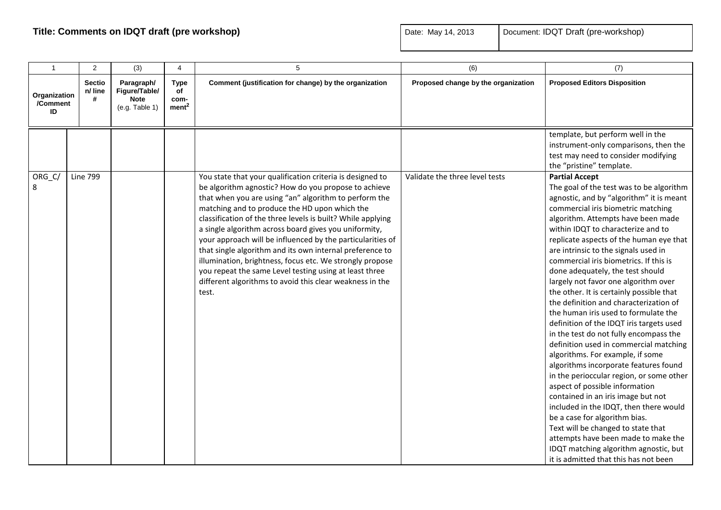| $\mathbf{1}$                   | 2                             | (3)                                                          | 4                                              | 5                                                                                                                                                                                                                                                                                                                                                                                                                                                                                                                                                                                                                                                                        | (6)                                 | (7)                                                                                                                                                                                                                                                                                                                                                                                                                                                                                                                                                                                                                                                                                                                                                                                                                                                                                                                                                                                                                                                                                                                                               |
|--------------------------------|-------------------------------|--------------------------------------------------------------|------------------------------------------------|--------------------------------------------------------------------------------------------------------------------------------------------------------------------------------------------------------------------------------------------------------------------------------------------------------------------------------------------------------------------------------------------------------------------------------------------------------------------------------------------------------------------------------------------------------------------------------------------------------------------------------------------------------------------------|-------------------------------------|---------------------------------------------------------------------------------------------------------------------------------------------------------------------------------------------------------------------------------------------------------------------------------------------------------------------------------------------------------------------------------------------------------------------------------------------------------------------------------------------------------------------------------------------------------------------------------------------------------------------------------------------------------------------------------------------------------------------------------------------------------------------------------------------------------------------------------------------------------------------------------------------------------------------------------------------------------------------------------------------------------------------------------------------------------------------------------------------------------------------------------------------------|
| Organization<br>/Comment<br>ID | <b>Sectio</b><br>n/ line<br># | Paragraph/<br>Figure/Table/<br><b>Note</b><br>(e.g. Table 1) | <b>Type</b><br>of<br>com-<br>ment <sup>2</sup> | Comment (justification for change) by the organization                                                                                                                                                                                                                                                                                                                                                                                                                                                                                                                                                                                                                   | Proposed change by the organization | <b>Proposed Editors Disposition</b>                                                                                                                                                                                                                                                                                                                                                                                                                                                                                                                                                                                                                                                                                                                                                                                                                                                                                                                                                                                                                                                                                                               |
|                                |                               |                                                              |                                                |                                                                                                                                                                                                                                                                                                                                                                                                                                                                                                                                                                                                                                                                          |                                     | template, but perform well in the<br>instrument-only comparisons, then the<br>test may need to consider modifying<br>the "pristine" template.                                                                                                                                                                                                                                                                                                                                                                                                                                                                                                                                                                                                                                                                                                                                                                                                                                                                                                                                                                                                     |
| ORG_C/<br>8                    | <b>Line 799</b>               |                                                              |                                                | You state that your qualification criteria is designed to<br>be algorithm agnostic? How do you propose to achieve<br>that when you are using "an" algorithm to perform the<br>matching and to produce the HD upon which the<br>classification of the three levels is built? While applying<br>a single algorithm across board gives you uniformity,<br>your approach will be influenced by the particularities of<br>that single algorithm and its own internal preference to<br>illumination, brightness, focus etc. We strongly propose<br>you repeat the same Level testing using at least three<br>different algorithms to avoid this clear weakness in the<br>test. | Validate the three level tests      | <b>Partial Accept</b><br>The goal of the test was to be algorithm<br>agnostic, and by "algorithm" it is meant<br>commercial iris biometric matching<br>algorithm. Attempts have been made<br>within IDQT to characterize and to<br>replicate aspects of the human eye that<br>are intrinsic to the signals used in<br>commercial iris biometrics. If this is<br>done adequately, the test should<br>largely not favor one algorithm over<br>the other. It is certainly possible that<br>the definition and characterization of<br>the human iris used to formulate the<br>definition of the IDQT iris targets used<br>in the test do not fully encompass the<br>definition used in commercial matching<br>algorithms. For example, if some<br>algorithms incorporate features found<br>in the perioccular region, or some other<br>aspect of possible information<br>contained in an iris image but not<br>included in the IDQT, then there would<br>be a case for algorithm bias.<br>Text will be changed to state that<br>attempts have been made to make the<br>IDQT matching algorithm agnostic, but<br>it is admitted that this has not been |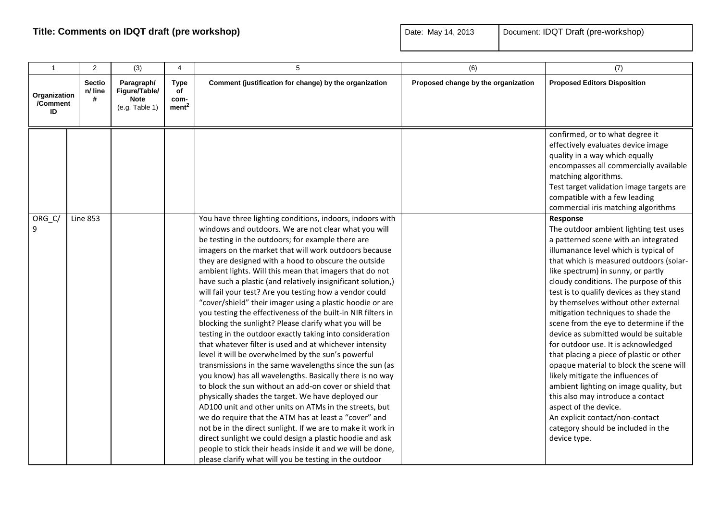| $\mathbf{1}$                   | $\overline{2}$                | (3)                                                          | $\overline{4}$                                 | 5                                                                                                                                                                                                                                                                                                                                                                                                                                                                                                                                                                                                                                                                                                                                                                                                                                                                                                                                                                                                                                                                                                                                                                                                                                                                                                                                                                                                                                                               | (6)                                 | (7)                                                                                                                                                                                                                                                                                                                                                                                                                                                                                                                                                                                                                                                                                                                                                                                                                                             |
|--------------------------------|-------------------------------|--------------------------------------------------------------|------------------------------------------------|-----------------------------------------------------------------------------------------------------------------------------------------------------------------------------------------------------------------------------------------------------------------------------------------------------------------------------------------------------------------------------------------------------------------------------------------------------------------------------------------------------------------------------------------------------------------------------------------------------------------------------------------------------------------------------------------------------------------------------------------------------------------------------------------------------------------------------------------------------------------------------------------------------------------------------------------------------------------------------------------------------------------------------------------------------------------------------------------------------------------------------------------------------------------------------------------------------------------------------------------------------------------------------------------------------------------------------------------------------------------------------------------------------------------------------------------------------------------|-------------------------------------|-------------------------------------------------------------------------------------------------------------------------------------------------------------------------------------------------------------------------------------------------------------------------------------------------------------------------------------------------------------------------------------------------------------------------------------------------------------------------------------------------------------------------------------------------------------------------------------------------------------------------------------------------------------------------------------------------------------------------------------------------------------------------------------------------------------------------------------------------|
| Organization<br>/Comment<br>ID | <b>Sectio</b><br>n/ line<br># | Paragraph/<br>Figure/Table/<br><b>Note</b><br>(e.g. Table 1) | <b>Type</b><br>оf<br>com-<br>ment <sup>2</sup> | Comment (justification for change) by the organization                                                                                                                                                                                                                                                                                                                                                                                                                                                                                                                                                                                                                                                                                                                                                                                                                                                                                                                                                                                                                                                                                                                                                                                                                                                                                                                                                                                                          | Proposed change by the organization | <b>Proposed Editors Disposition</b>                                                                                                                                                                                                                                                                                                                                                                                                                                                                                                                                                                                                                                                                                                                                                                                                             |
|                                |                               |                                                              |                                                |                                                                                                                                                                                                                                                                                                                                                                                                                                                                                                                                                                                                                                                                                                                                                                                                                                                                                                                                                                                                                                                                                                                                                                                                                                                                                                                                                                                                                                                                 |                                     | confirmed, or to what degree it<br>effectively evaluates device image<br>quality in a way which equally<br>encompasses all commercially available<br>matching algorithms.<br>Test target validation image targets are<br>compatible with a few leading<br>commercial iris matching algorithms                                                                                                                                                                                                                                                                                                                                                                                                                                                                                                                                                   |
| ORG_C/<br>9                    | <b>Line 853</b>               |                                                              |                                                | You have three lighting conditions, indoors, indoors with<br>windows and outdoors. We are not clear what you will<br>be testing in the outdoors; for example there are<br>imagers on the market that will work outdoors because<br>they are designed with a hood to obscure the outside<br>ambient lights. Will this mean that imagers that do not<br>have such a plastic (and relatively insignificant solution,)<br>will fail your test? Are you testing how a vendor could<br>"cover/shield" their imager using a plastic hoodie or are<br>you testing the effectiveness of the built-in NIR filters in<br>blocking the sunlight? Please clarify what you will be<br>testing in the outdoor exactly taking into consideration<br>that whatever filter is used and at whichever intensity<br>level it will be overwhelmed by the sun's powerful<br>transmissions in the same wavelengths since the sun (as<br>you know) has all wavelengths. Basically there is no way<br>to block the sun without an add-on cover or shield that<br>physically shades the target. We have deployed our<br>AD100 unit and other units on ATMs in the streets, but<br>we do require that the ATM has at least a "cover" and<br>not be in the direct sunlight. If we are to make it work in<br>direct sunlight we could design a plastic hoodie and ask<br>people to stick their heads inside it and we will be done,<br>please clarify what will you be testing in the outdoor |                                     | Response<br>The outdoor ambient lighting test uses<br>a patterned scene with an integrated<br>illumanance level which is typical of<br>that which is measured outdoors (solar-<br>like spectrum) in sunny, or partly<br>cloudy conditions. The purpose of this<br>test is to qualify devices as they stand<br>by themselves without other external<br>mitigation techniques to shade the<br>scene from the eye to determine if the<br>device as submitted would be suitable<br>for outdoor use. It is acknowledged<br>that placing a piece of plastic or other<br>opaque material to block the scene will<br>likely mitigate the influences of<br>ambient lighting on image quality, but<br>this also may introduce a contact<br>aspect of the device.<br>An explicit contact/non-contact<br>category should be included in the<br>device type. |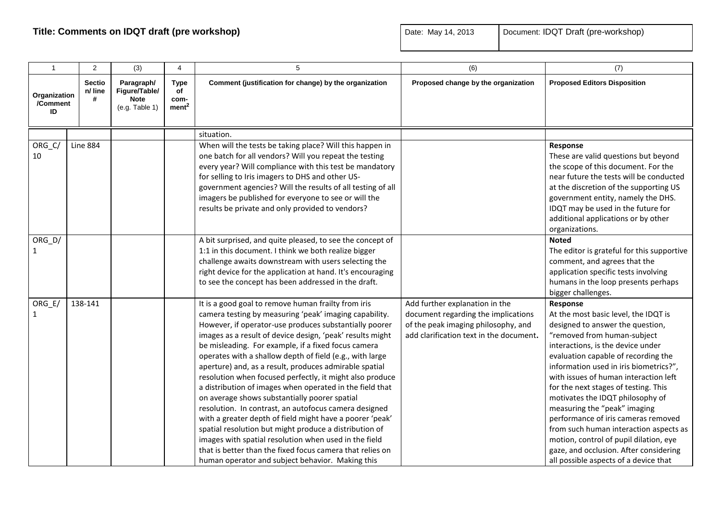| $\mathbf{1}$                   | 2                             | (3)                                                          | 4                                              | 5                                                                                                                                                                                                                                                                                                                                                                                                                                                                                                                                                                                                                                                                                                                                                                                                                                                                                                                                                   | (6)                                                                                                                                                     | (7)                                                                                                                                                                                                                                                                                                                                                                                                                                                                                                                                                                                                          |
|--------------------------------|-------------------------------|--------------------------------------------------------------|------------------------------------------------|-----------------------------------------------------------------------------------------------------------------------------------------------------------------------------------------------------------------------------------------------------------------------------------------------------------------------------------------------------------------------------------------------------------------------------------------------------------------------------------------------------------------------------------------------------------------------------------------------------------------------------------------------------------------------------------------------------------------------------------------------------------------------------------------------------------------------------------------------------------------------------------------------------------------------------------------------------|---------------------------------------------------------------------------------------------------------------------------------------------------------|--------------------------------------------------------------------------------------------------------------------------------------------------------------------------------------------------------------------------------------------------------------------------------------------------------------------------------------------------------------------------------------------------------------------------------------------------------------------------------------------------------------------------------------------------------------------------------------------------------------|
| Organization<br>/Comment<br>ID | <b>Sectio</b><br>n/ line<br># | Paragraph/<br>Figure/Table/<br><b>Note</b><br>(e.g. Table 1) | <b>Type</b><br>оf<br>com-<br>ment <sup>2</sup> | Comment (justification for change) by the organization                                                                                                                                                                                                                                                                                                                                                                                                                                                                                                                                                                                                                                                                                                                                                                                                                                                                                              | Proposed change by the organization                                                                                                                     | <b>Proposed Editors Disposition</b>                                                                                                                                                                                                                                                                                                                                                                                                                                                                                                                                                                          |
|                                |                               |                                                              |                                                | situation.                                                                                                                                                                                                                                                                                                                                                                                                                                                                                                                                                                                                                                                                                                                                                                                                                                                                                                                                          |                                                                                                                                                         |                                                                                                                                                                                                                                                                                                                                                                                                                                                                                                                                                                                                              |
| ORG_C/<br>10                   | Line 884                      |                                                              |                                                | When will the tests be taking place? Will this happen in<br>one batch for all vendors? Will you repeat the testing<br>every year? Will compliance with this test be mandatory<br>for selling to Iris imagers to DHS and other US-<br>government agencies? Will the results of all testing of all<br>imagers be published for everyone to see or will the<br>results be private and only provided to vendors?                                                                                                                                                                                                                                                                                                                                                                                                                                                                                                                                        |                                                                                                                                                         | Response<br>These are valid questions but beyond<br>the scope of this document. For the<br>near future the tests will be conducted<br>at the discretion of the supporting US<br>government entity, namely the DHS.<br>IDQT may be used in the future for<br>additional applications or by other<br>organizations.                                                                                                                                                                                                                                                                                            |
| $ORG_D/$<br>1                  |                               |                                                              |                                                | A bit surprised, and quite pleased, to see the concept of<br>1:1 in this document. I think we both realize bigger<br>challenge awaits downstream with users selecting the<br>right device for the application at hand. It's encouraging<br>to see the concept has been addressed in the draft.                                                                                                                                                                                                                                                                                                                                                                                                                                                                                                                                                                                                                                                      |                                                                                                                                                         | <b>Noted</b><br>The editor is grateful for this supportive<br>comment, and agrees that the<br>application specific tests involving<br>humans in the loop presents perhaps<br>bigger challenges.                                                                                                                                                                                                                                                                                                                                                                                                              |
| $ORG_E$<br>$\mathbf{1}$        | 138-141                       |                                                              |                                                | It is a good goal to remove human frailty from iris<br>camera testing by measuring 'peak' imaging capability.<br>However, if operator-use produces substantially poorer<br>images as a result of device design, 'peak' results might<br>be misleading. For example, if a fixed focus camera<br>operates with a shallow depth of field (e.g., with large<br>aperture) and, as a result, produces admirable spatial<br>resolution when focused perfectly, it might also produce<br>a distribution of images when operated in the field that<br>on average shows substantially poorer spatial<br>resolution. In contrast, an autofocus camera designed<br>with a greater depth of field might have a poorer 'peak'<br>spatial resolution but might produce a distribution of<br>images with spatial resolution when used in the field<br>that is better than the fixed focus camera that relies on<br>human operator and subject behavior. Making this | Add further explanation in the<br>document regarding the implications<br>of the peak imaging philosophy, and<br>add clarification text in the document. | Response<br>At the most basic level, the IDQT is<br>designed to answer the question,<br>"removed from human-subject<br>interactions, is the device under<br>evaluation capable of recording the<br>information used in iris biometrics?",<br>with issues of human interaction left<br>for the next stages of testing. This<br>motivates the IDQT philosophy of<br>measuring the "peak" imaging<br>performance of iris cameras removed<br>from such human interaction aspects as<br>motion, control of pupil dilation, eye<br>gaze, and occlusion. After considering<br>all possible aspects of a device that |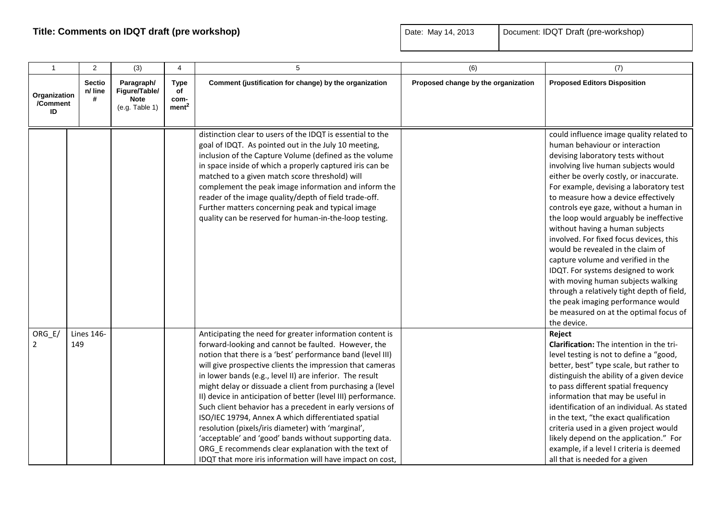| $\mathbf{1}$                   | 2                             | (3)                                                          | $\overline{4}$                                 | $\sqrt{5}$                                                                                                                                                                                                                                                                                                                                                                                                                                                                                                                                                                                                                                                                                                                                                                                   | (6)                                 | (7)                                                                                                                                                                                                                                                                                                                                                                                                                                                                                                                                                                                                                                                                                                                                                      |
|--------------------------------|-------------------------------|--------------------------------------------------------------|------------------------------------------------|----------------------------------------------------------------------------------------------------------------------------------------------------------------------------------------------------------------------------------------------------------------------------------------------------------------------------------------------------------------------------------------------------------------------------------------------------------------------------------------------------------------------------------------------------------------------------------------------------------------------------------------------------------------------------------------------------------------------------------------------------------------------------------------------|-------------------------------------|----------------------------------------------------------------------------------------------------------------------------------------------------------------------------------------------------------------------------------------------------------------------------------------------------------------------------------------------------------------------------------------------------------------------------------------------------------------------------------------------------------------------------------------------------------------------------------------------------------------------------------------------------------------------------------------------------------------------------------------------------------|
| Organization<br>/Comment<br>ID | <b>Sectio</b><br>n/ line<br># | Paragraph/<br>Figure/Table/<br><b>Note</b><br>(e.g. Table 1) | <b>Type</b><br>of<br>com-<br>ment <sup>2</sup> | Comment (justification for change) by the organization                                                                                                                                                                                                                                                                                                                                                                                                                                                                                                                                                                                                                                                                                                                                       | Proposed change by the organization | <b>Proposed Editors Disposition</b>                                                                                                                                                                                                                                                                                                                                                                                                                                                                                                                                                                                                                                                                                                                      |
|                                |                               |                                                              |                                                | distinction clear to users of the IDQT is essential to the<br>goal of IDQT. As pointed out in the July 10 meeting,<br>inclusion of the Capture Volume (defined as the volume<br>in space inside of which a properly captured iris can be<br>matched to a given match score threshold) will<br>complement the peak image information and inform the<br>reader of the image quality/depth of field trade-off.<br>Further matters concerning peak and typical image<br>quality can be reserved for human-in-the-loop testing.                                                                                                                                                                                                                                                                   |                                     | could influence image quality related to<br>human behaviour or interaction<br>devising laboratory tests without<br>involving live human subjects would<br>either be overly costly, or inaccurate.<br>For example, devising a laboratory test<br>to measure how a device effectively<br>controls eye gaze, without a human in<br>the loop would arguably be ineffective<br>without having a human subjects<br>involved. For fixed focus devices, this<br>would be revealed in the claim of<br>capture volume and verified in the<br>IDQT. For systems designed to work<br>with moving human subjects walking<br>through a relatively tight depth of field,<br>the peak imaging performance would<br>be measured on at the optimal focus of<br>the device. |
| $ORG_E$<br>$\overline{2}$      | <b>Lines 146-</b><br>149      |                                                              |                                                | Anticipating the need for greater information content is<br>forward-looking and cannot be faulted. However, the<br>notion that there is a 'best' performance band (level III)<br>will give prospective clients the impression that cameras<br>in lower bands (e.g., level II) are inferior. The result<br>might delay or dissuade a client from purchasing a (level<br>II) device in anticipation of better (level III) performance.<br>Such client behavior has a precedent in early versions of<br>ISO/IEC 19794, Annex A which differentiated spatial<br>resolution (pixels/iris diameter) with 'marginal',<br>'acceptable' and 'good' bands without supporting data.<br>ORG E recommends clear explanation with the text of<br>IDQT that more iris information will have impact on cost, |                                     | Reject<br>Clarification: The intention in the tri-<br>level testing is not to define a "good,<br>better, best" type scale, but rather to<br>distinguish the ability of a given device<br>to pass different spatial frequency<br>information that may be useful in<br>identification of an individual. As stated<br>in the text, "the exact qualification<br>criteria used in a given project would<br>likely depend on the application." For<br>example, if a level I criteria is deemed<br>all that is needed for a given                                                                                                                                                                                                                               |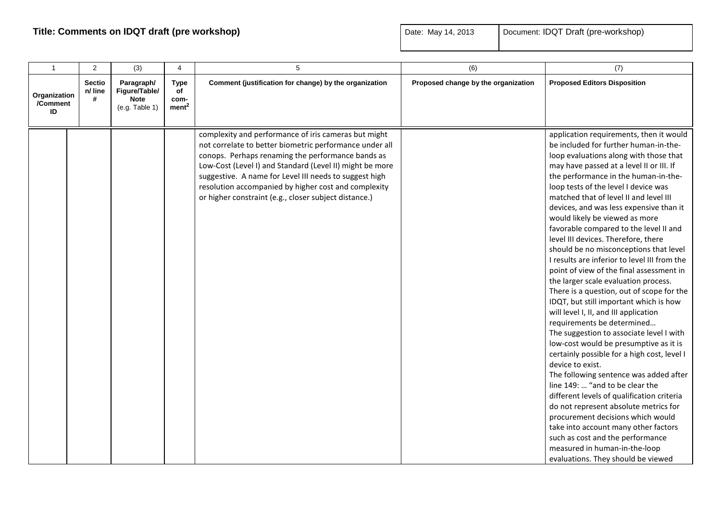| $\mathbf{1}$                   | 2                             | (3)                                                          | $\overline{4}$                                 | 5                                                                                                                                                                                                                                                                                                                                                                                                           | (6)                                 | (7)                                                                                                                                                                                                                                                                                                                                                                                                                                                                                                                                                                                                                                                                                                                                                                                                                                                                                                                                                                                                                                                                                                                                                                                                                                                                                                                             |
|--------------------------------|-------------------------------|--------------------------------------------------------------|------------------------------------------------|-------------------------------------------------------------------------------------------------------------------------------------------------------------------------------------------------------------------------------------------------------------------------------------------------------------------------------------------------------------------------------------------------------------|-------------------------------------|---------------------------------------------------------------------------------------------------------------------------------------------------------------------------------------------------------------------------------------------------------------------------------------------------------------------------------------------------------------------------------------------------------------------------------------------------------------------------------------------------------------------------------------------------------------------------------------------------------------------------------------------------------------------------------------------------------------------------------------------------------------------------------------------------------------------------------------------------------------------------------------------------------------------------------------------------------------------------------------------------------------------------------------------------------------------------------------------------------------------------------------------------------------------------------------------------------------------------------------------------------------------------------------------------------------------------------|
| Organization<br>/Comment<br>ID | <b>Sectio</b><br>n/ line<br># | Paragraph/<br>Figure/Table/<br><b>Note</b><br>(e.g. Table 1) | <b>Type</b><br>of<br>com-<br>ment <sup>2</sup> | Comment (justification for change) by the organization                                                                                                                                                                                                                                                                                                                                                      | Proposed change by the organization | <b>Proposed Editors Disposition</b>                                                                                                                                                                                                                                                                                                                                                                                                                                                                                                                                                                                                                                                                                                                                                                                                                                                                                                                                                                                                                                                                                                                                                                                                                                                                                             |
|                                |                               |                                                              |                                                | complexity and performance of iris cameras but might<br>not correlate to better biometric performance under all<br>conops. Perhaps renaming the performance bands as<br>Low-Cost (Level I) and Standard (Level II) might be more<br>suggestive. A name for Level III needs to suggest high<br>resolution accompanied by higher cost and complexity<br>or higher constraint (e.g., closer subject distance.) |                                     | application requirements, then it would<br>be included for further human-in-the-<br>loop evaluations along with those that<br>may have passed at a level II or III. If<br>the performance in the human-in-the-<br>loop tests of the level I device was<br>matched that of level II and level III<br>devices, and was less expensive than it<br>would likely be viewed as more<br>favorable compared to the level II and<br>level III devices. Therefore, there<br>should be no misconceptions that level<br>I results are inferior to level III from the<br>point of view of the final assessment in<br>the larger scale evaluation process.<br>There is a question, out of scope for the<br>IDQT, but still important which is how<br>will level I, II, and III application<br>requirements be determined<br>The suggestion to associate level I with<br>low-cost would be presumptive as it is<br>certainly possible for a high cost, level I<br>device to exist.<br>The following sentence was added after<br>line 149:  "and to be clear the<br>different levels of qualification criteria<br>do not represent absolute metrics for<br>procurement decisions which would<br>take into account many other factors<br>such as cost and the performance<br>measured in human-in-the-loop<br>evaluations. They should be viewed |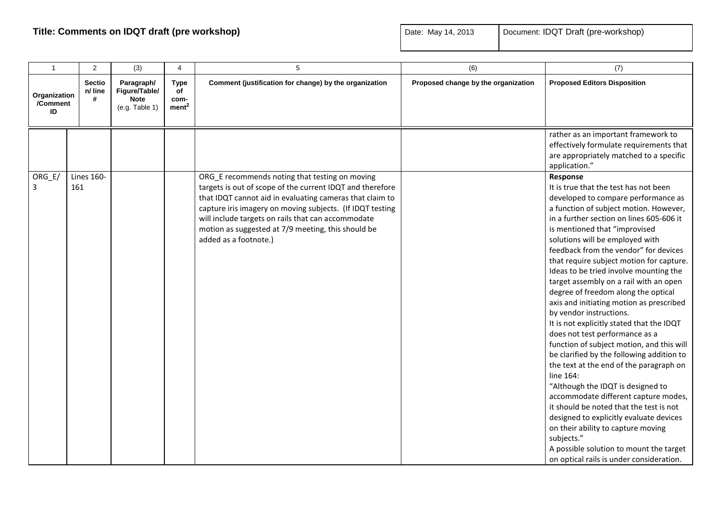| $\overline{1}$                 | $\overline{2}$                | (3)                                                          | 4                                              | 5                                                                                                                                                                                                                                                                                                                                                                         | (6)                                 | (7)                                                                                                                                                                                                                                                                                                                                                                                                                                                                                                                                                                                                                                                                                                                                                                                                                                                                                                                                                                                                                                                                                      |
|--------------------------------|-------------------------------|--------------------------------------------------------------|------------------------------------------------|---------------------------------------------------------------------------------------------------------------------------------------------------------------------------------------------------------------------------------------------------------------------------------------------------------------------------------------------------------------------------|-------------------------------------|------------------------------------------------------------------------------------------------------------------------------------------------------------------------------------------------------------------------------------------------------------------------------------------------------------------------------------------------------------------------------------------------------------------------------------------------------------------------------------------------------------------------------------------------------------------------------------------------------------------------------------------------------------------------------------------------------------------------------------------------------------------------------------------------------------------------------------------------------------------------------------------------------------------------------------------------------------------------------------------------------------------------------------------------------------------------------------------|
| Organization<br>/Comment<br>ID | <b>Sectio</b><br>n/ line<br># | Paragraph/<br>Figure/Table/<br><b>Note</b><br>(e.g. Table 1) | <b>Type</b><br>of<br>com-<br>ment <sup>2</sup> | Comment (justification for change) by the organization                                                                                                                                                                                                                                                                                                                    | Proposed change by the organization | <b>Proposed Editors Disposition</b>                                                                                                                                                                                                                                                                                                                                                                                                                                                                                                                                                                                                                                                                                                                                                                                                                                                                                                                                                                                                                                                      |
|                                |                               |                                                              |                                                |                                                                                                                                                                                                                                                                                                                                                                           |                                     | rather as an important framework to<br>effectively formulate requirements that<br>are appropriately matched to a specific<br>application."                                                                                                                                                                                                                                                                                                                                                                                                                                                                                                                                                                                                                                                                                                                                                                                                                                                                                                                                               |
| ORG_E/<br>3                    | <b>Lines 160-</b><br>161      |                                                              |                                                | ORG_E recommends noting that testing on moving<br>targets is out of scope of the current IDQT and therefore<br>that IDQT cannot aid in evaluating cameras that claim to<br>capture iris imagery on moving subjects. (If IDQT testing<br>will include targets on rails that can accommodate<br>motion as suggested at 7/9 meeting, this should be<br>added as a footnote.) |                                     | Response<br>It is true that the test has not been<br>developed to compare performance as<br>a function of subject motion. However,<br>in a further section on lines 605-606 it<br>is mentioned that "improvised<br>solutions will be employed with<br>feedback from the vendor" for devices<br>that require subject motion for capture.<br>Ideas to be tried involve mounting the<br>target assembly on a rail with an open<br>degree of freedom along the optical<br>axis and initiating motion as prescribed<br>by vendor instructions.<br>It is not explicitly stated that the IDQT<br>does not test performance as a<br>function of subject motion, and this will<br>be clarified by the following addition to<br>the text at the end of the paragraph on<br>line 164:<br>"Although the IDQT is designed to<br>accommodate different capture modes,<br>it should be noted that the test is not<br>designed to explicitly evaluate devices<br>on their ability to capture moving<br>subjects."<br>A possible solution to mount the target<br>on optical rails is under consideration. |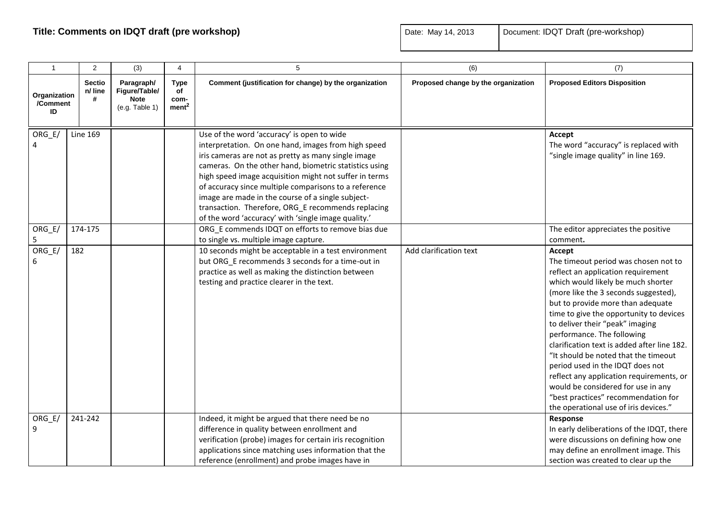| $\mathbf{1}$                   | 2                             | (3)                                                          | 4                                              | 5                                                                                                                                                                                                                                                                                                                                                                                                                                                                                                       | (6)                                 | (7)                                                                                                                                                                                                                                                                                                                                                                                                                                                                                                                                                                                                              |
|--------------------------------|-------------------------------|--------------------------------------------------------------|------------------------------------------------|---------------------------------------------------------------------------------------------------------------------------------------------------------------------------------------------------------------------------------------------------------------------------------------------------------------------------------------------------------------------------------------------------------------------------------------------------------------------------------------------------------|-------------------------------------|------------------------------------------------------------------------------------------------------------------------------------------------------------------------------------------------------------------------------------------------------------------------------------------------------------------------------------------------------------------------------------------------------------------------------------------------------------------------------------------------------------------------------------------------------------------------------------------------------------------|
| Organization<br>/Comment<br>ID | <b>Sectio</b><br>n/ line<br># | Paragraph/<br>Figure/Table/<br><b>Note</b><br>(e.g. Table 1) | <b>Type</b><br>of<br>com-<br>ment <sup>2</sup> | Comment (justification for change) by the organization                                                                                                                                                                                                                                                                                                                                                                                                                                                  | Proposed change by the organization | <b>Proposed Editors Disposition</b>                                                                                                                                                                                                                                                                                                                                                                                                                                                                                                                                                                              |
| ORG_E/                         | <b>Line 169</b>               |                                                              |                                                | Use of the word 'accuracy' is open to wide<br>interpretation. On one hand, images from high speed<br>iris cameras are not as pretty as many single image<br>cameras. On the other hand, biometric statistics using<br>high speed image acquisition might not suffer in terms<br>of accuracy since multiple comparisons to a reference<br>image are made in the course of a single subject-<br>transaction. Therefore, ORG_E recommends replacing<br>of the word 'accuracy' with 'single image quality.' |                                     | Accept<br>The word "accuracy" is replaced with<br>"single image quality" in line 169.                                                                                                                                                                                                                                                                                                                                                                                                                                                                                                                            |
| ORG_E/<br>5                    | 174-175                       |                                                              |                                                | ORG E commends IDQT on efforts to remove bias due<br>to single vs. multiple image capture.                                                                                                                                                                                                                                                                                                                                                                                                              |                                     | The editor appreciates the positive<br>comment.                                                                                                                                                                                                                                                                                                                                                                                                                                                                                                                                                                  |
| $ORG_E/$<br>6                  | 182                           |                                                              |                                                | 10 seconds might be acceptable in a test environment<br>but ORG_E recommends 3 seconds for a time-out in<br>practice as well as making the distinction between<br>testing and practice clearer in the text.                                                                                                                                                                                                                                                                                             | Add clarification text              | Accept<br>The timeout period was chosen not to<br>reflect an application requirement<br>which would likely be much shorter<br>(more like the 3 seconds suggested),<br>but to provide more than adequate<br>time to give the opportunity to devices<br>to deliver their "peak" imaging<br>performance. The following<br>clarification text is added after line 182.<br>"It should be noted that the timeout<br>period used in the IDQT does not<br>reflect any application requirements, or<br>would be considered for use in any<br>"best practices" recommendation for<br>the operational use of iris devices." |
| $ORG_E/$<br>9                  | 241-242                       |                                                              |                                                | Indeed, it might be argued that there need be no<br>difference in quality between enrollment and<br>verification (probe) images for certain iris recognition<br>applications since matching uses information that the<br>reference (enrollment) and probe images have in                                                                                                                                                                                                                                |                                     | Response<br>In early deliberations of the IDQT, there<br>were discussions on defining how one<br>may define an enrollment image. This<br>section was created to clear up the                                                                                                                                                                                                                                                                                                                                                                                                                                     |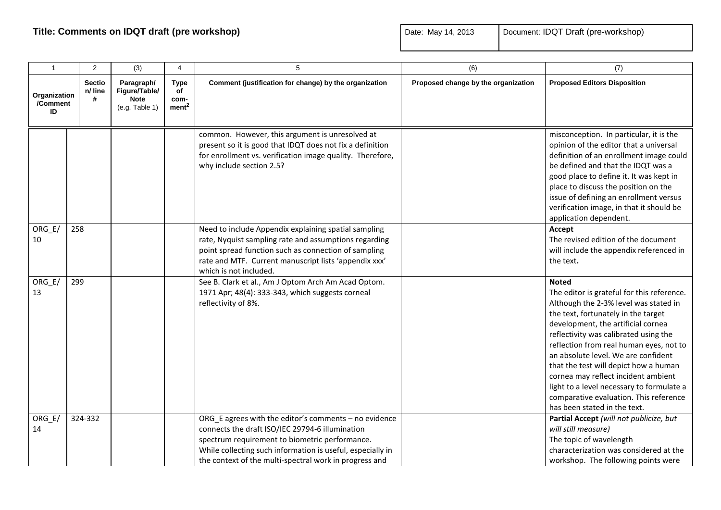| $\overline{1}$                 | $\overline{2}$                | (3)                                                          | 4                                              | 5                                                                                                                                                                                                                                                                                  | (6)                                 | (7)                                                                                                                                                                                                                                                                                                                                                                                                                                                                                                                |
|--------------------------------|-------------------------------|--------------------------------------------------------------|------------------------------------------------|------------------------------------------------------------------------------------------------------------------------------------------------------------------------------------------------------------------------------------------------------------------------------------|-------------------------------------|--------------------------------------------------------------------------------------------------------------------------------------------------------------------------------------------------------------------------------------------------------------------------------------------------------------------------------------------------------------------------------------------------------------------------------------------------------------------------------------------------------------------|
| Organization<br>/Comment<br>ID | <b>Sectio</b><br>n/ line<br># | Paragraph/<br>Figure/Table/<br><b>Note</b><br>(e.g. Table 1) | <b>Type</b><br>of<br>com-<br>ment <sup>2</sup> | Comment (justification for change) by the organization                                                                                                                                                                                                                             | Proposed change by the organization | <b>Proposed Editors Disposition</b>                                                                                                                                                                                                                                                                                                                                                                                                                                                                                |
|                                |                               |                                                              |                                                | common. However, this argument is unresolved at<br>present so it is good that IDQT does not fix a definition<br>for enrollment vs. verification image quality. Therefore,<br>why include section 2.5?                                                                              |                                     | misconception. In particular, it is the<br>opinion of the editor that a universal<br>definition of an enrollment image could<br>be defined and that the IDQT was a<br>good place to define it. It was kept in<br>place to discuss the position on the<br>issue of defining an enrollment versus<br>verification image, in that it should be<br>application dependent.                                                                                                                                              |
| $ORG_E$<br>10                  | 258                           |                                                              |                                                | Need to include Appendix explaining spatial sampling<br>rate, Nyquist sampling rate and assumptions regarding<br>point spread function such as connection of sampling<br>rate and MTF. Current manuscript lists 'appendix xxx'<br>which is not included.                           |                                     | Accept<br>The revised edition of the document<br>will include the appendix referenced in<br>the text.                                                                                                                                                                                                                                                                                                                                                                                                              |
| ORG E/<br>13                   | 299                           |                                                              |                                                | See B. Clark et al., Am J Optom Arch Am Acad Optom.<br>1971 Apr; 48(4): 333-343, which suggests corneal<br>reflectivity of 8%.                                                                                                                                                     |                                     | <b>Noted</b><br>The editor is grateful for this reference.<br>Although the 2-3% level was stated in<br>the text, fortunately in the target<br>development, the artificial cornea<br>reflectivity was calibrated using the<br>reflection from real human eyes, not to<br>an absolute level. We are confident<br>that the test will depict how a human<br>cornea may reflect incident ambient<br>light to a level necessary to formulate a<br>comparative evaluation. This reference<br>has been stated in the text. |
| $ORG_E/$<br>14                 | 324-332                       |                                                              |                                                | ORG_E agrees with the editor's comments - no evidence<br>connects the draft ISO/IEC 29794-6 illumination<br>spectrum requirement to biometric performance.<br>While collecting such information is useful, especially in<br>the context of the multi-spectral work in progress and |                                     | Partial Accept (will not publicize, but<br>will still measure)<br>The topic of wavelength<br>characterization was considered at the<br>workshop. The following points were                                                                                                                                                                                                                                                                                                                                         |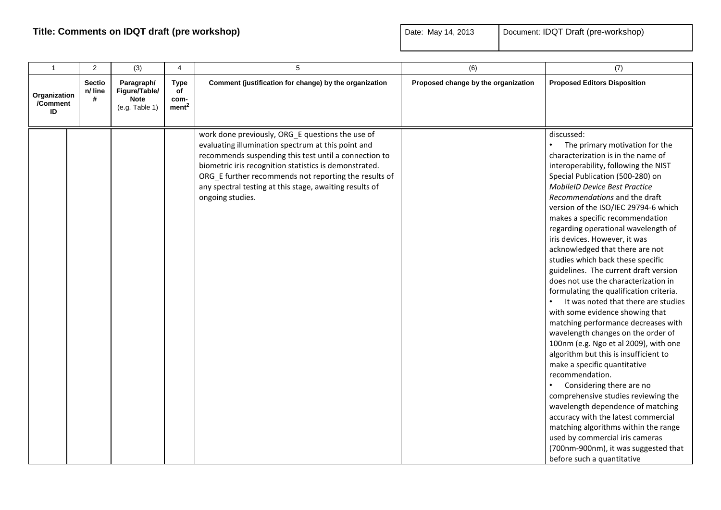| $\mathbf{1}$                   | 2                             | (3)                                                          | $\overline{4}$                          | 5                                                                                                                                                                                                                                                                                                                                                                 | (6)                                 | (7)                                                                                                                                                                                                                                                                                                                                                                                                                                                                                                                                                                                                                                                                                                                                                                                                                                                                                                                                                                                                                                                                                                                                                                                                                  |
|--------------------------------|-------------------------------|--------------------------------------------------------------|-----------------------------------------|-------------------------------------------------------------------------------------------------------------------------------------------------------------------------------------------------------------------------------------------------------------------------------------------------------------------------------------------------------------------|-------------------------------------|----------------------------------------------------------------------------------------------------------------------------------------------------------------------------------------------------------------------------------------------------------------------------------------------------------------------------------------------------------------------------------------------------------------------------------------------------------------------------------------------------------------------------------------------------------------------------------------------------------------------------------------------------------------------------------------------------------------------------------------------------------------------------------------------------------------------------------------------------------------------------------------------------------------------------------------------------------------------------------------------------------------------------------------------------------------------------------------------------------------------------------------------------------------------------------------------------------------------|
| Organization<br>/Comment<br>ID | <b>Sectio</b><br>n/ line<br># | Paragraph/<br>Figure/Table/<br><b>Note</b><br>(e.g. Table 1) | Type<br>of<br>com-<br>ment <sup>2</sup> | Comment (justification for change) by the organization                                                                                                                                                                                                                                                                                                            | Proposed change by the organization | <b>Proposed Editors Disposition</b>                                                                                                                                                                                                                                                                                                                                                                                                                                                                                                                                                                                                                                                                                                                                                                                                                                                                                                                                                                                                                                                                                                                                                                                  |
|                                |                               |                                                              |                                         | work done previously, ORG_E questions the use of<br>evaluating illumination spectrum at this point and<br>recommends suspending this test until a connection to<br>biometric iris recognition statistics is demonstrated.<br>ORG_E further recommends not reporting the results of<br>any spectral testing at this stage, awaiting results of<br>ongoing studies. |                                     | discussed:<br>$\bullet$<br>The primary motivation for the<br>characterization is in the name of<br>interoperability, following the NIST<br>Special Publication (500-280) on<br><b>MobileID Device Best Practice</b><br>Recommendations and the draft<br>version of the ISO/IEC 29794-6 which<br>makes a specific recommendation<br>regarding operational wavelength of<br>iris devices. However, it was<br>acknowledged that there are not<br>studies which back these specific<br>guidelines. The current draft version<br>does not use the characterization in<br>formulating the qualification criteria.<br>It was noted that there are studies<br>$\bullet$<br>with some evidence showing that<br>matching performance decreases with<br>wavelength changes on the order of<br>100nm (e.g. Ngo et al 2009), with one<br>algorithm but this is insufficient to<br>make a specific quantitative<br>recommendation.<br>Considering there are no<br>comprehensive studies reviewing the<br>wavelength dependence of matching<br>accuracy with the latest commercial<br>matching algorithms within the range<br>used by commercial iris cameras<br>(700nm-900nm), it was suggested that<br>before such a quantitative |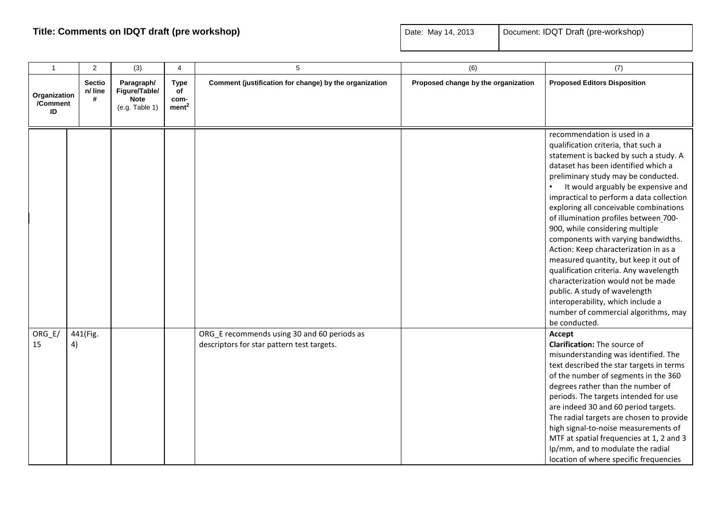| $\mathbf{1}$                   | $\overline{2}$                | (3)                                                          | 4                                              | 5                                                                                         | (6)                                 | (7)                                                                                                                                                                                                                                                                                                                                                                                                                                                                                                                                                                                                                                                                                                                                        |
|--------------------------------|-------------------------------|--------------------------------------------------------------|------------------------------------------------|-------------------------------------------------------------------------------------------|-------------------------------------|--------------------------------------------------------------------------------------------------------------------------------------------------------------------------------------------------------------------------------------------------------------------------------------------------------------------------------------------------------------------------------------------------------------------------------------------------------------------------------------------------------------------------------------------------------------------------------------------------------------------------------------------------------------------------------------------------------------------------------------------|
| Organization<br>/Comment<br>ID | <b>Sectio</b><br>n/ line<br># | Paragraph/<br>Figure/Table/<br><b>Note</b><br>(e.g. Table 1) | <b>Type</b><br>of<br>com-<br>ment <sup>2</sup> | Comment (justification for change) by the organization                                    | Proposed change by the organization | <b>Proposed Editors Disposition</b>                                                                                                                                                                                                                                                                                                                                                                                                                                                                                                                                                                                                                                                                                                        |
|                                |                               |                                                              |                                                |                                                                                           |                                     | recommendation is used in a<br>qualification criteria, that such a<br>statement is backed by such a study. A<br>dataset has been identified which a<br>preliminary study may be conducted.<br>It would arguably be expensive and<br>impractical to perform a data collection<br>exploring all conceivable combinations<br>of illumination profiles between_700-<br>900, while considering multiple<br>components with varying bandwidths.<br>Action: Keep characterization in as a<br>measured quantity, but keep it out of<br>qualification criteria. Any wavelength<br>characterization would not be made<br>public. A study of wavelength<br>interoperability, which include a<br>number of commercial algorithms, may<br>be conducted. |
| $ORG_E$<br>15                  | 441(Fig.<br>4)                |                                                              |                                                | ORG_E recommends using 30 and 60 periods as<br>descriptors for star pattern test targets. |                                     | Accept<br>Clarification: The source of<br>misunderstanding was identified. The<br>text described the star targets in terms<br>of the number of segments in the 360<br>degrees rather than the number of<br>periods. The targets intended for use<br>are indeed 30 and 60 period targets.<br>The radial targets are chosen to provide<br>high signal-to-noise measurements of<br>MTF at spatial frequencies at 1, 2 and 3<br>lp/mm, and to modulate the radial<br>location of where specific frequencies                                                                                                                                                                                                                                    |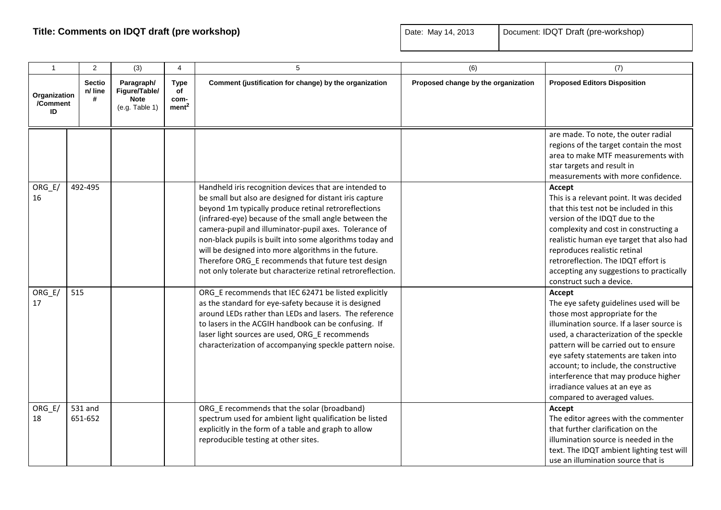| $\mathbf{1}$                   | $\overline{2}$                | (3)                                                          | 4                                              | 5                                                                                                                                                                                                                                                                                                                                                                                                                                                                                                                                    | (6)                                 | (7)                                                                                                                                                                                                                                                                                                                                                                                                            |
|--------------------------------|-------------------------------|--------------------------------------------------------------|------------------------------------------------|--------------------------------------------------------------------------------------------------------------------------------------------------------------------------------------------------------------------------------------------------------------------------------------------------------------------------------------------------------------------------------------------------------------------------------------------------------------------------------------------------------------------------------------|-------------------------------------|----------------------------------------------------------------------------------------------------------------------------------------------------------------------------------------------------------------------------------------------------------------------------------------------------------------------------------------------------------------------------------------------------------------|
| Organization<br>/Comment<br>ID | <b>Sectio</b><br>n/ line<br># | Paragraph/<br>Figure/Table/<br><b>Note</b><br>(e.g. Table 1) | <b>Type</b><br>of<br>com-<br>ment <sup>2</sup> | Comment (justification for change) by the organization                                                                                                                                                                                                                                                                                                                                                                                                                                                                               | Proposed change by the organization | <b>Proposed Editors Disposition</b>                                                                                                                                                                                                                                                                                                                                                                            |
|                                |                               |                                                              |                                                |                                                                                                                                                                                                                                                                                                                                                                                                                                                                                                                                      |                                     | are made. To note, the outer radial<br>regions of the target contain the most<br>area to make MTF measurements with<br>star targets and result in<br>measurements with more confidence.                                                                                                                                                                                                                        |
| ORG_E/<br>16                   | 492-495                       |                                                              |                                                | Handheld iris recognition devices that are intended to<br>be small but also are designed for distant iris capture<br>beyond 1m typically produce retinal retroreflections<br>(infrared-eye) because of the small angle between the<br>camera-pupil and illuminator-pupil axes. Tolerance of<br>non-black pupils is built into some algorithms today and<br>will be designed into more algorithms in the future.<br>Therefore ORG_E recommends that future test design<br>not only tolerate but characterize retinal retroreflection. |                                     | Accept<br>This is a relevant point. It was decided<br>that this test not be included in this<br>version of the IDQT due to the<br>complexity and cost in constructing a<br>realistic human eye target that also had<br>reproduces realistic retinal<br>retroreflection. The IDQT effort is<br>accepting any suggestions to practically<br>construct such a device.                                             |
| ORG_E/<br>17                   | 515                           |                                                              |                                                | ORG E recommends that IEC 62471 be listed explicitly<br>as the standard for eye-safety because it is designed<br>around LEDs rather than LEDs and lasers. The reference<br>to lasers in the ACGIH handbook can be confusing. If<br>laser light sources are used, ORG_E recommends<br>characterization of accompanying speckle pattern noise.                                                                                                                                                                                         |                                     | Accept<br>The eye safety guidelines used will be<br>those most appropriate for the<br>illumination source. If a laser source is<br>used, a characterization of the speckle<br>pattern will be carried out to ensure<br>eye safety statements are taken into<br>account; to include, the constructive<br>interference that may produce higher<br>irradiance values at an eye as<br>compared to averaged values. |
| $ORG_E$<br>18                  | 531 and<br>651-652            |                                                              |                                                | ORG_E recommends that the solar (broadband)<br>spectrum used for ambient light qualification be listed<br>explicitly in the form of a table and graph to allow<br>reproducible testing at other sites.                                                                                                                                                                                                                                                                                                                               |                                     | Accept<br>The editor agrees with the commenter<br>that further clarification on the<br>illumination source is needed in the<br>text. The IDQT ambient lighting test will<br>use an illumination source that is                                                                                                                                                                                                 |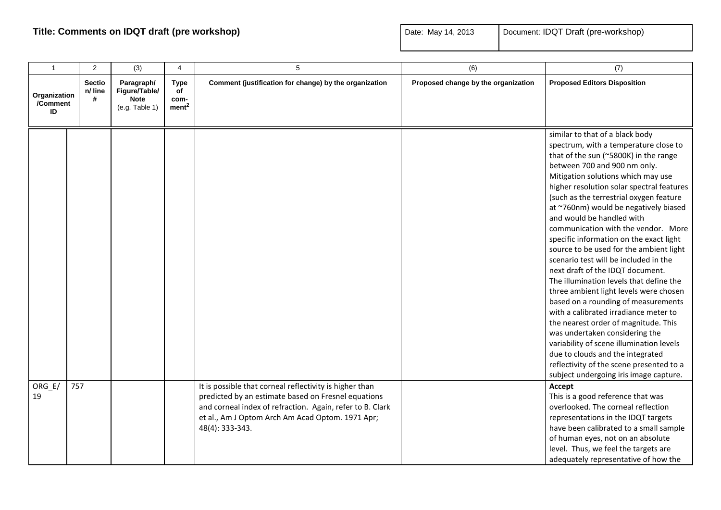| $\mathbf{1}$                   | 2                             | (3)                                                          | $\overline{4}$                                 | 5                                                                                                                                                                                                                                                  | (6)                                 | (7)                                                                                                                                                                                                                                                                                                                                                                                                                                                                                                                                                                                                                                                                                                                                                                                                                                                                                                                                                                                  |
|--------------------------------|-------------------------------|--------------------------------------------------------------|------------------------------------------------|----------------------------------------------------------------------------------------------------------------------------------------------------------------------------------------------------------------------------------------------------|-------------------------------------|--------------------------------------------------------------------------------------------------------------------------------------------------------------------------------------------------------------------------------------------------------------------------------------------------------------------------------------------------------------------------------------------------------------------------------------------------------------------------------------------------------------------------------------------------------------------------------------------------------------------------------------------------------------------------------------------------------------------------------------------------------------------------------------------------------------------------------------------------------------------------------------------------------------------------------------------------------------------------------------|
| Organization<br>/Comment<br>ID | <b>Sectio</b><br>n/ line<br># | Paragraph/<br>Figure/Table/<br><b>Note</b><br>(e.g. Table 1) | <b>Type</b><br>of<br>com-<br>ment <sup>2</sup> | Comment (justification for change) by the organization                                                                                                                                                                                             | Proposed change by the organization | <b>Proposed Editors Disposition</b>                                                                                                                                                                                                                                                                                                                                                                                                                                                                                                                                                                                                                                                                                                                                                                                                                                                                                                                                                  |
|                                |                               |                                                              |                                                |                                                                                                                                                                                                                                                    |                                     | similar to that of a black body<br>spectrum, with a temperature close to<br>that of the sun (~5800K) in the range<br>between 700 and 900 nm only.<br>Mitigation solutions which may use<br>higher resolution solar spectral features<br>(such as the terrestrial oxygen feature<br>at ~760nm) would be negatively biased<br>and would be handled with<br>communication with the vendor. More<br>specific information on the exact light<br>source to be used for the ambient light<br>scenario test will be included in the<br>next draft of the IDQT document.<br>The illumination levels that define the<br>three ambient light levels were chosen<br>based on a rounding of measurements<br>with a calibrated irradiance meter to<br>the nearest order of magnitude. This<br>was undertaken considering the<br>variability of scene illumination levels<br>due to clouds and the integrated<br>reflectivity of the scene presented to a<br>subject undergoing iris image capture. |
| ORG_E/<br>19                   | 757                           |                                                              |                                                | It is possible that corneal reflectivity is higher than<br>predicted by an estimate based on Fresnel equations<br>and corneal index of refraction. Again, refer to B. Clark<br>et al., Am J Optom Arch Am Acad Optom. 1971 Apr;<br>48(4): 333-343. |                                     | Accept<br>This is a good reference that was<br>overlooked. The corneal reflection<br>representations in the IDQT targets<br>have been calibrated to a small sample<br>of human eyes, not on an absolute<br>level. Thus, we feel the targets are<br>adequately representative of how the                                                                                                                                                                                                                                                                                                                                                                                                                                                                                                                                                                                                                                                                                              |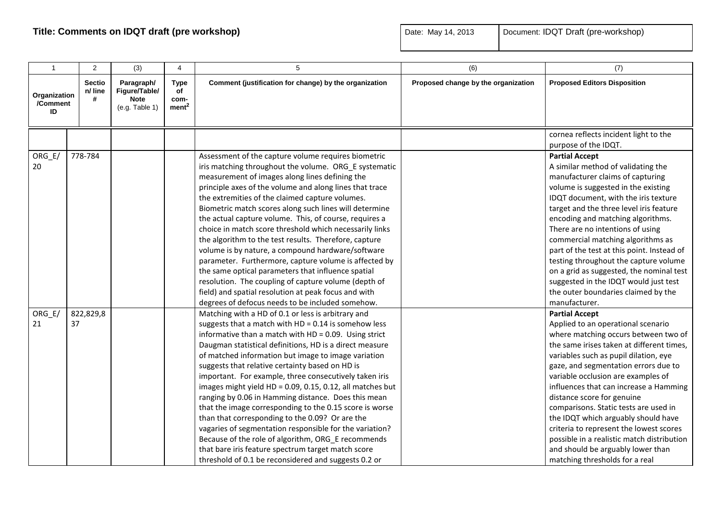| $\mathbf{1}$                   | 2                             | (3)                                                          | 4                                              | 5                                                                                                                                                                                                                                                                                                                                                                                                                                                                                                                                                                                                                                                                                                                                                                                                                                                                                                                            | (6)                                 | (7)                                                                                                                                                                                                                                                                                                                                                                                                                                                                                                                                                                                                              |
|--------------------------------|-------------------------------|--------------------------------------------------------------|------------------------------------------------|------------------------------------------------------------------------------------------------------------------------------------------------------------------------------------------------------------------------------------------------------------------------------------------------------------------------------------------------------------------------------------------------------------------------------------------------------------------------------------------------------------------------------------------------------------------------------------------------------------------------------------------------------------------------------------------------------------------------------------------------------------------------------------------------------------------------------------------------------------------------------------------------------------------------------|-------------------------------------|------------------------------------------------------------------------------------------------------------------------------------------------------------------------------------------------------------------------------------------------------------------------------------------------------------------------------------------------------------------------------------------------------------------------------------------------------------------------------------------------------------------------------------------------------------------------------------------------------------------|
| Organization<br>/Comment<br>ID | <b>Sectio</b><br>n/ line<br># | Paragraph/<br>Figure/Table/<br><b>Note</b><br>(e.g. Table 1) | <b>Type</b><br>of<br>com-<br>ment <sup>2</sup> | Comment (justification for change) by the organization                                                                                                                                                                                                                                                                                                                                                                                                                                                                                                                                                                                                                                                                                                                                                                                                                                                                       | Proposed change by the organization | <b>Proposed Editors Disposition</b>                                                                                                                                                                                                                                                                                                                                                                                                                                                                                                                                                                              |
|                                |                               |                                                              |                                                |                                                                                                                                                                                                                                                                                                                                                                                                                                                                                                                                                                                                                                                                                                                                                                                                                                                                                                                              |                                     | cornea reflects incident light to the<br>purpose of the IDQT.                                                                                                                                                                                                                                                                                                                                                                                                                                                                                                                                                    |
| ORG_E/<br>20                   | 778-784                       |                                                              |                                                | Assessment of the capture volume requires biometric<br>iris matching throughout the volume. ORG_E systematic<br>measurement of images along lines defining the<br>principle axes of the volume and along lines that trace<br>the extremities of the claimed capture volumes.<br>Biometric match scores along such lines will determine<br>the actual capture volume. This, of course, requires a<br>choice in match score threshold which necessarily links<br>the algorithm to the test results. Therefore, capture<br>volume is by nature, a compound hardware/software<br>parameter. Furthermore, capture volume is affected by<br>the same optical parameters that influence spatial<br>resolution. The coupling of capture volume (depth of<br>field) and spatial resolution at peak focus and with                                                                                                                     |                                     | <b>Partial Accept</b><br>A similar method of validating the<br>manufacturer claims of capturing<br>volume is suggested in the existing<br>IDQT document, with the iris texture<br>target and the three level iris feature<br>encoding and matching algorithms.<br>There are no intentions of using<br>commercial matching algorithms as<br>part of the test at this point. Instead of<br>testing throughout the capture volume<br>on a grid as suggested, the nominal test<br>suggested in the IDQT would just test<br>the outer boundaries claimed by the                                                       |
| ORG E/<br>21                   | 822,829,8<br>37               |                                                              |                                                | degrees of defocus needs to be included somehow.<br>Matching with a HD of 0.1 or less is arbitrary and<br>suggests that a match with $HD = 0.14$ is somehow less<br>informative than a match with $HD = 0.09$ . Using strict<br>Daugman statistical definitions, HD is a direct measure<br>of matched information but image to image variation<br>suggests that relative certainty based on HD is<br>important. For example, three consecutively taken iris<br>images might yield HD = 0.09, 0.15, 0.12, all matches but<br>ranging by 0.06 in Hamming distance. Does this mean<br>that the image corresponding to the 0.15 score is worse<br>than that corresponding to the 0.09? Or are the<br>vagaries of segmentation responsible for the variation?<br>Because of the role of algorithm, ORG_E recommends<br>that bare iris feature spectrum target match score<br>threshold of 0.1 be reconsidered and suggests 0.2 or |                                     | manufacturer.<br><b>Partial Accept</b><br>Applied to an operational scenario<br>where matching occurs between two of<br>the same irises taken at different times,<br>variables such as pupil dilation, eye<br>gaze, and segmentation errors due to<br>variable occlusion are examples of<br>influences that can increase a Hamming<br>distance score for genuine<br>comparisons. Static tests are used in<br>the IDQT which arguably should have<br>criteria to represent the lowest scores<br>possible in a realistic match distribution<br>and should be arguably lower than<br>matching thresholds for a real |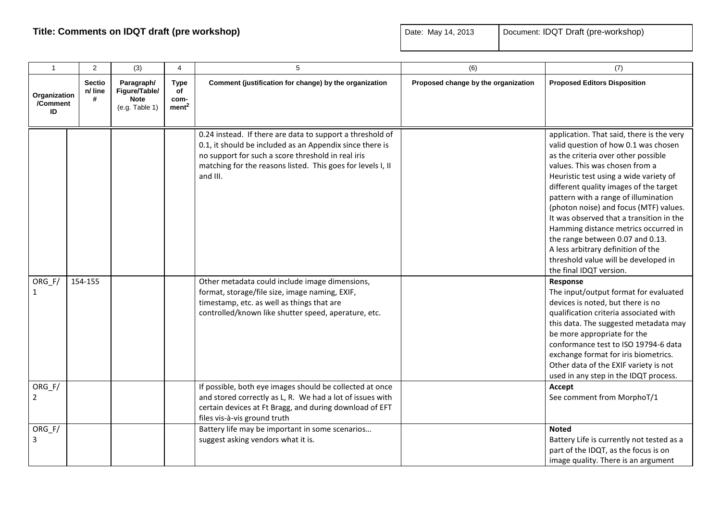| $\overline{1}$                 | $\overline{2}$                | (3)                                                          | 4                                              | 5                                                                                                                                                                                                                                                                                                        | (6)                                 | (7)                                                                                                                                                                                                                                                                                                                                                                                                                                                                                                                                                                           |
|--------------------------------|-------------------------------|--------------------------------------------------------------|------------------------------------------------|----------------------------------------------------------------------------------------------------------------------------------------------------------------------------------------------------------------------------------------------------------------------------------------------------------|-------------------------------------|-------------------------------------------------------------------------------------------------------------------------------------------------------------------------------------------------------------------------------------------------------------------------------------------------------------------------------------------------------------------------------------------------------------------------------------------------------------------------------------------------------------------------------------------------------------------------------|
| Organization<br>/Comment<br>ID | <b>Sectio</b><br>n/ line<br># | Paragraph/<br>Figure/Table/<br><b>Note</b><br>(e.g. Table 1) | <b>Type</b><br>of<br>com-<br>ment <sup>2</sup> | Comment (justification for change) by the organization                                                                                                                                                                                                                                                   | Proposed change by the organization | <b>Proposed Editors Disposition</b>                                                                                                                                                                                                                                                                                                                                                                                                                                                                                                                                           |
| $ORG_F/$                       | 154-155                       |                                                              |                                                | 0.24 instead. If there are data to support a threshold of<br>0.1, it should be included as an Appendix since there is<br>no support for such a score threshold in real iris<br>matching for the reasons listed. This goes for levels I, II<br>and III.<br>Other metadata could include image dimensions, |                                     | application. That said, there is the very<br>valid question of how 0.1 was chosen<br>as the criteria over other possible<br>values. This was chosen from a<br>Heuristic test using a wide variety of<br>different quality images of the target<br>pattern with a range of illumination<br>(photon noise) and focus (MTF) values.<br>It was observed that a transition in the<br>Hamming distance metrics occurred in<br>the range between 0.07 and 0.13.<br>A less arbitrary definition of the<br>threshold value will be developed in<br>the final IDQT version.<br>Response |
| $\mathbf{1}$                   |                               |                                                              |                                                | format, storage/file size, image naming, EXIF,<br>timestamp, etc. as well as things that are<br>controlled/known like shutter speed, aperature, etc.                                                                                                                                                     |                                     | The input/output format for evaluated<br>devices is noted, but there is no<br>qualification criteria associated with<br>this data. The suggested metadata may<br>be more appropriate for the<br>conformance test to ISO 19794-6 data<br>exchange format for iris biometrics.<br>Other data of the EXIF variety is not<br>used in any step in the IDQT process.                                                                                                                                                                                                                |
| $ORG_F/$<br>$\overline{2}$     |                               |                                                              |                                                | If possible, both eye images should be collected at once<br>and stored correctly as L, R. We had a lot of issues with<br>certain devices at Ft Bragg, and during download of EFT<br>files vis-à-vis ground truth                                                                                         |                                     | Accept<br>See comment from MorphoT/1                                                                                                                                                                                                                                                                                                                                                                                                                                                                                                                                          |
| ORG_F/<br>3                    |                               |                                                              |                                                | Battery life may be important in some scenarios<br>suggest asking vendors what it is.                                                                                                                                                                                                                    |                                     | <b>Noted</b><br>Battery Life is currently not tested as a<br>part of the IDQT, as the focus is on<br>image quality. There is an argument                                                                                                                                                                                                                                                                                                                                                                                                                                      |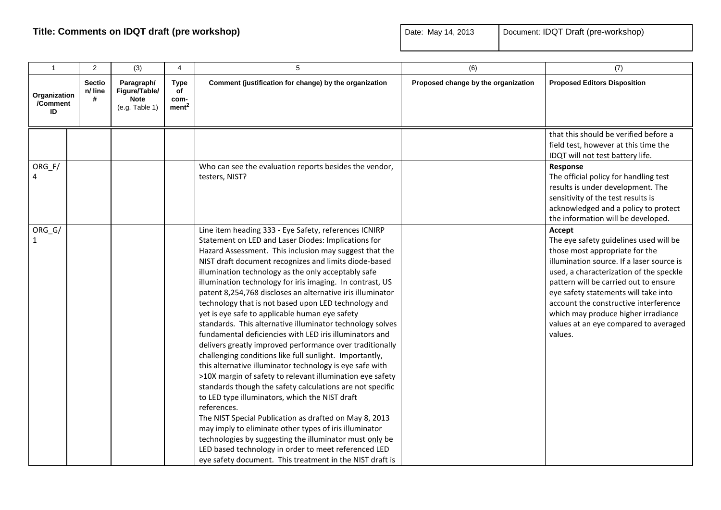| $\mathbf{1}$                   | 2                             | (3)                                                          | 4                                              | 5                                                                                                                                                                                                                                                                                                                                                                                                                                                                                                                                                                                                                                                                                                                                                                                                                                                                                                                                                                                                                                                                                                                                                                                                                                                                                                                                    | (6)                                 | (7)                                                                                                                                                                                                                                                                                                                                                                                             |
|--------------------------------|-------------------------------|--------------------------------------------------------------|------------------------------------------------|--------------------------------------------------------------------------------------------------------------------------------------------------------------------------------------------------------------------------------------------------------------------------------------------------------------------------------------------------------------------------------------------------------------------------------------------------------------------------------------------------------------------------------------------------------------------------------------------------------------------------------------------------------------------------------------------------------------------------------------------------------------------------------------------------------------------------------------------------------------------------------------------------------------------------------------------------------------------------------------------------------------------------------------------------------------------------------------------------------------------------------------------------------------------------------------------------------------------------------------------------------------------------------------------------------------------------------------|-------------------------------------|-------------------------------------------------------------------------------------------------------------------------------------------------------------------------------------------------------------------------------------------------------------------------------------------------------------------------------------------------------------------------------------------------|
| Organization<br>/Comment<br>ID | <b>Sectio</b><br>n/ line<br># | Paragraph/<br>Figure/Table/<br><b>Note</b><br>(e.g. Table 1) | <b>Type</b><br>of<br>com-<br>ment <sup>2</sup> | Comment (justification for change) by the organization                                                                                                                                                                                                                                                                                                                                                                                                                                                                                                                                                                                                                                                                                                                                                                                                                                                                                                                                                                                                                                                                                                                                                                                                                                                                               | Proposed change by the organization | <b>Proposed Editors Disposition</b>                                                                                                                                                                                                                                                                                                                                                             |
| ORG_F/                         |                               |                                                              |                                                | Who can see the evaluation reports besides the vendor,<br>testers, NIST?                                                                                                                                                                                                                                                                                                                                                                                                                                                                                                                                                                                                                                                                                                                                                                                                                                                                                                                                                                                                                                                                                                                                                                                                                                                             |                                     | that this should be verified before a<br>field test, however at this time the<br>IDQT will not test battery life.<br>Response<br>The official policy for handling test<br>results is under development. The<br>sensitivity of the test results is<br>acknowledged and a policy to protect<br>the information will be developed.                                                                 |
| ORG_G/<br>$\mathbf{1}$         |                               |                                                              |                                                | Line item heading 333 - Eye Safety, references ICNIRP<br>Statement on LED and Laser Diodes: Implications for<br>Hazard Assessment. This inclusion may suggest that the<br>NIST draft document recognizes and limits diode-based<br>illumination technology as the only acceptably safe<br>illumination technology for iris imaging. In contrast, US<br>patent 8,254,768 discloses an alternative iris illuminator<br>technology that is not based upon LED technology and<br>yet is eye safe to applicable human eye safety<br>standards. This alternative illuminator technology solves<br>fundamental deficiencies with LED iris illuminators and<br>delivers greatly improved performance over traditionally<br>challenging conditions like full sunlight. Importantly,<br>this alternative illuminator technology is eye safe with<br>>10X margin of safety to relevant illumination eye safety<br>standards though the safety calculations are not specific<br>to LED type illuminators, which the NIST draft<br>references.<br>The NIST Special Publication as drafted on May 8, 2013<br>may imply to eliminate other types of iris illuminator<br>technologies by suggesting the illuminator must only be<br>LED based technology in order to meet referenced LED<br>eye safety document. This treatment in the NIST draft is |                                     | Accept<br>The eye safety guidelines used will be<br>those most appropriate for the<br>illumination source. If a laser source is<br>used, a characterization of the speckle<br>pattern will be carried out to ensure<br>eye safety statements will take into<br>account the constructive interference<br>which may produce higher irradiance<br>values at an eye compared to averaged<br>values. |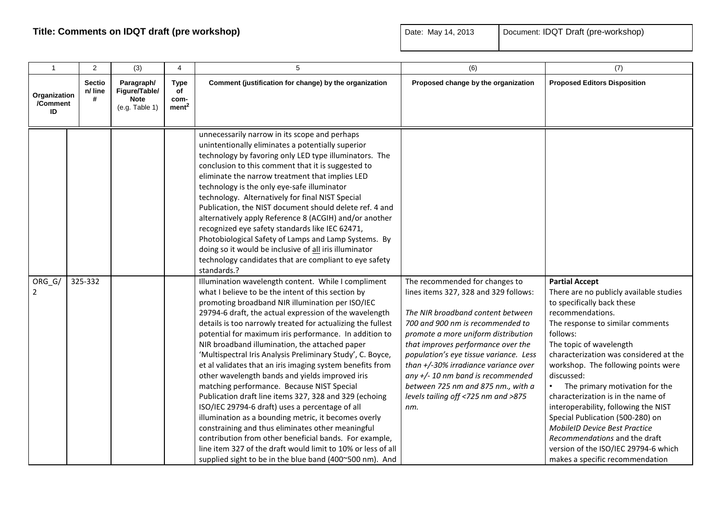| $\mathbf{1}$                   | 2                             | (3)                                                          | 4                                              | 5                                                                                                                                                                                                                                                                                                                                                                                                                                                                                                                                                                                                                                                                                                                                                                                                                                                                                                                                                                                                                                                                                                                                                                                                                                                                                                                                                                                                                                                                                                                                                                                                                                                                                                                                                                                            | (6)                                                                                                                                                                                                                                                                                                                                                                                                                                        | (7)                                                                                                                                                                                                                                                                                                                                                                                                                                                                                                                                                                                                  |
|--------------------------------|-------------------------------|--------------------------------------------------------------|------------------------------------------------|----------------------------------------------------------------------------------------------------------------------------------------------------------------------------------------------------------------------------------------------------------------------------------------------------------------------------------------------------------------------------------------------------------------------------------------------------------------------------------------------------------------------------------------------------------------------------------------------------------------------------------------------------------------------------------------------------------------------------------------------------------------------------------------------------------------------------------------------------------------------------------------------------------------------------------------------------------------------------------------------------------------------------------------------------------------------------------------------------------------------------------------------------------------------------------------------------------------------------------------------------------------------------------------------------------------------------------------------------------------------------------------------------------------------------------------------------------------------------------------------------------------------------------------------------------------------------------------------------------------------------------------------------------------------------------------------------------------------------------------------------------------------------------------------|--------------------------------------------------------------------------------------------------------------------------------------------------------------------------------------------------------------------------------------------------------------------------------------------------------------------------------------------------------------------------------------------------------------------------------------------|------------------------------------------------------------------------------------------------------------------------------------------------------------------------------------------------------------------------------------------------------------------------------------------------------------------------------------------------------------------------------------------------------------------------------------------------------------------------------------------------------------------------------------------------------------------------------------------------------|
| Organization<br>/Comment<br>ID | <b>Sectio</b><br>n/ line<br># | Paragraph/<br>Figure/Table/<br><b>Note</b><br>(e.g. Table 1) | <b>Type</b><br>of<br>com-<br>ment <sup>2</sup> | Comment (justification for change) by the organization                                                                                                                                                                                                                                                                                                                                                                                                                                                                                                                                                                                                                                                                                                                                                                                                                                                                                                                                                                                                                                                                                                                                                                                                                                                                                                                                                                                                                                                                                                                                                                                                                                                                                                                                       | Proposed change by the organization                                                                                                                                                                                                                                                                                                                                                                                                        | <b>Proposed Editors Disposition</b>                                                                                                                                                                                                                                                                                                                                                                                                                                                                                                                                                                  |
| ORG_G/<br>$\overline{2}$       | 325-332                       |                                                              |                                                | unnecessarily narrow in its scope and perhaps<br>unintentionally eliminates a potentially superior<br>technology by favoring only LED type illuminators. The<br>conclusion to this comment that it is suggested to<br>eliminate the narrow treatment that implies LED<br>technology is the only eye-safe illuminator<br>technology. Alternatively for final NIST Special<br>Publication, the NIST document should delete ref. 4 and<br>alternatively apply Reference 8 (ACGIH) and/or another<br>recognized eye safety standards like IEC 62471,<br>Photobiological Safety of Lamps and Lamp Systems. By<br>doing so it would be inclusive of all iris illuminator<br>technology candidates that are compliant to eye safety<br>standards.?<br>Illumination wavelength content. While I compliment<br>what I believe to be the intent of this section by<br>promoting broadband NIR illumination per ISO/IEC<br>29794-6 draft, the actual expression of the wavelength<br>details is too narrowly treated for actualizing the fullest<br>potential for maximum iris performance. In addition to<br>NIR broadband illumination, the attached paper<br>'Multispectral Iris Analysis Preliminary Study', C. Boyce,<br>et al validates that an iris imaging system benefits from<br>other wavelength bands and yields improved iris<br>matching performance. Because NIST Special<br>Publication draft line items 327, 328 and 329 (echoing<br>ISO/IEC 29794-6 draft) uses a percentage of all<br>illumination as a bounding metric, it becomes overly<br>constraining and thus eliminates other meaningful<br>contribution from other beneficial bands. For example,<br>line item 327 of the draft would limit to 10% or less of all<br>supplied sight to be in the blue band (400~500 nm). And | The recommended for changes to<br>lines items 327, 328 and 329 follows:<br>The NIR broadband content between<br>700 and 900 nm is recommended to<br>promote a more uniform distribution<br>that improves performance over the<br>population's eye tissue variance. Less<br>than +/-30% irradiance variance over<br>any $+/-$ 10 nm band is recommended<br>between 725 nm and 875 nm., with a<br>levels tailing off <725 nm and >875<br>nm. | <b>Partial Accept</b><br>There are no publicly available studies<br>to specifically back these<br>recommendations.<br>The response to similar comments<br>follows:<br>The topic of wavelength<br>characterization was considered at the<br>workshop. The following points were<br>discussed:<br>The primary motivation for the<br>characterization is in the name of<br>interoperability, following the NIST<br>Special Publication (500-280) on<br><b>MobileID Device Best Practice</b><br>Recommendations and the draft<br>version of the ISO/IEC 29794-6 which<br>makes a specific recommendation |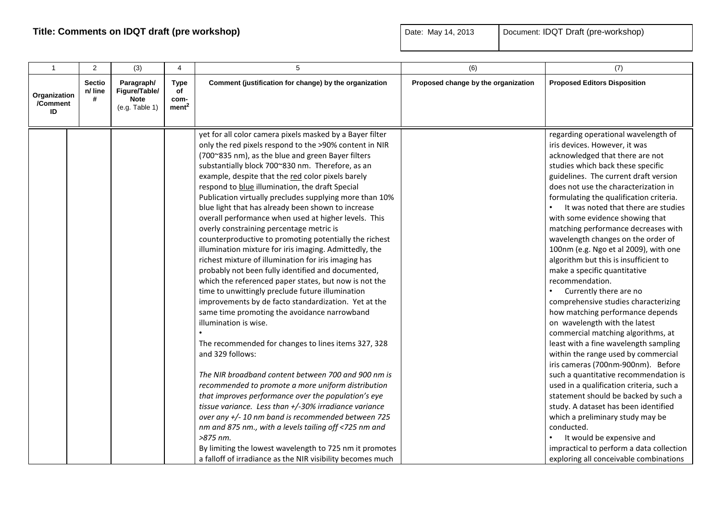| $\mathbf{1}$                   | $\overline{2}$                | (3)                                                          | $\overline{4}$                          | 5                                                                                                                                                                                                                                                                                                                                                                                                                                                                                                                                                                                                                                                                                                                                                                                                                                                                                                                                                                                                                                                                                                                                                                                                                                                                                                                                                                                                                                                                                                                                                                                                    | (6)                                 | (7)                                                                                                                                                                                                                                                                                                                                                                                                                                                                                                                                                                                                                                                                                                                                                                                                                                                                                                                                                                                                                                                                                                                                                                                                               |
|--------------------------------|-------------------------------|--------------------------------------------------------------|-----------------------------------------|------------------------------------------------------------------------------------------------------------------------------------------------------------------------------------------------------------------------------------------------------------------------------------------------------------------------------------------------------------------------------------------------------------------------------------------------------------------------------------------------------------------------------------------------------------------------------------------------------------------------------------------------------------------------------------------------------------------------------------------------------------------------------------------------------------------------------------------------------------------------------------------------------------------------------------------------------------------------------------------------------------------------------------------------------------------------------------------------------------------------------------------------------------------------------------------------------------------------------------------------------------------------------------------------------------------------------------------------------------------------------------------------------------------------------------------------------------------------------------------------------------------------------------------------------------------------------------------------------|-------------------------------------|-------------------------------------------------------------------------------------------------------------------------------------------------------------------------------------------------------------------------------------------------------------------------------------------------------------------------------------------------------------------------------------------------------------------------------------------------------------------------------------------------------------------------------------------------------------------------------------------------------------------------------------------------------------------------------------------------------------------------------------------------------------------------------------------------------------------------------------------------------------------------------------------------------------------------------------------------------------------------------------------------------------------------------------------------------------------------------------------------------------------------------------------------------------------------------------------------------------------|
| Organization<br>/Comment<br>ID | <b>Sectio</b><br>n/ line<br># | Paragraph/<br>Figure/Table/<br><b>Note</b><br>(e.g. Table 1) | Type<br>of<br>com-<br>ment <sup>2</sup> | Comment (justification for change) by the organization                                                                                                                                                                                                                                                                                                                                                                                                                                                                                                                                                                                                                                                                                                                                                                                                                                                                                                                                                                                                                                                                                                                                                                                                                                                                                                                                                                                                                                                                                                                                               | Proposed change by the organization | <b>Proposed Editors Disposition</b>                                                                                                                                                                                                                                                                                                                                                                                                                                                                                                                                                                                                                                                                                                                                                                                                                                                                                                                                                                                                                                                                                                                                                                               |
|                                |                               |                                                              |                                         | yet for all color camera pixels masked by a Bayer filter<br>only the red pixels respond to the >90% content in NIR<br>(700~835 nm), as the blue and green Bayer filters<br>substantially block 700~830 nm. Therefore, as an<br>example, despite that the red color pixels barely<br>respond to blue illumination, the draft Special<br>Publication virtually precludes supplying more than 10%<br>blue light that has already been shown to increase<br>overall performance when used at higher levels. This<br>overly constraining percentage metric is<br>counterproductive to promoting potentially the richest<br>illumination mixture for iris imaging. Admittedly, the<br>richest mixture of illumination for iris imaging has<br>probably not been fully identified and documented,<br>which the referenced paper states, but now is not the<br>time to unwittingly preclude future illumination<br>improvements by de facto standardization. Yet at the<br>same time promoting the avoidance narrowband<br>illumination is wise.<br>The recommended for changes to lines items 327, 328<br>and 329 follows:<br>The NIR broadband content between 700 and 900 nm is<br>recommended to promote a more uniform distribution<br>that improves performance over the population's eye<br>tissue variance. Less than +/-30% irradiance variance<br>over any +/- 10 nm band is recommended between 725<br>nm and 875 nm., with a levels tailing off <725 nm and<br>>875 nm.<br>By limiting the lowest wavelength to 725 nm it promotes<br>a falloff of irradiance as the NIR visibility becomes much |                                     | regarding operational wavelength of<br>iris devices. However, it was<br>acknowledged that there are not<br>studies which back these specific<br>guidelines. The current draft version<br>does not use the characterization in<br>formulating the qualification criteria.<br>It was noted that there are studies<br>with some evidence showing that<br>matching performance decreases with<br>wavelength changes on the order of<br>100nm (e.g. Ngo et al 2009), with one<br>algorithm but this is insufficient to<br>make a specific quantitative<br>recommendation.<br>Currently there are no<br>comprehensive studies characterizing<br>how matching performance depends<br>on wavelength with the latest<br>commercial matching algorithms, at<br>least with a fine wavelength sampling<br>within the range used by commercial<br>iris cameras (700nm-900nm). Before<br>such a quantitative recommendation is<br>used in a qualification criteria, such a<br>statement should be backed by such a<br>study. A dataset has been identified<br>which a preliminary study may be<br>conducted.<br>It would be expensive and<br>impractical to perform a data collection<br>exploring all conceivable combinations |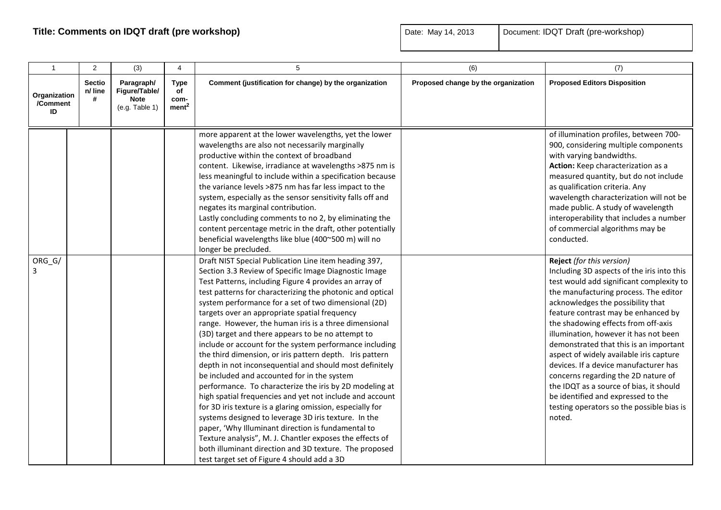| $\mathbf{1}$                   | 2                      | (3)                                                          | $\overline{4}$                          | 5                                                                                                                                                                                                                                                                                                                                                                                                                                                                                                                                                                                                                                                                                                                                                                                                                                                                                                                                                                                                                                                                                                                                                                    | (6)                                 | (7)                                                                                                                                                                                                                                                                                                                                                                                                                                                                                                                                                                                                                                   |
|--------------------------------|------------------------|--------------------------------------------------------------|-----------------------------------------|----------------------------------------------------------------------------------------------------------------------------------------------------------------------------------------------------------------------------------------------------------------------------------------------------------------------------------------------------------------------------------------------------------------------------------------------------------------------------------------------------------------------------------------------------------------------------------------------------------------------------------------------------------------------------------------------------------------------------------------------------------------------------------------------------------------------------------------------------------------------------------------------------------------------------------------------------------------------------------------------------------------------------------------------------------------------------------------------------------------------------------------------------------------------|-------------------------------------|---------------------------------------------------------------------------------------------------------------------------------------------------------------------------------------------------------------------------------------------------------------------------------------------------------------------------------------------------------------------------------------------------------------------------------------------------------------------------------------------------------------------------------------------------------------------------------------------------------------------------------------|
| Organization<br>/Comment<br>ID | Sectio<br>n/ line<br># | Paragraph/<br>Figure/Table/<br><b>Note</b><br>(e.g. Table 1) | Type<br>of<br>com-<br>ment <sup>2</sup> | Comment (justification for change) by the organization                                                                                                                                                                                                                                                                                                                                                                                                                                                                                                                                                                                                                                                                                                                                                                                                                                                                                                                                                                                                                                                                                                               | Proposed change by the organization | <b>Proposed Editors Disposition</b>                                                                                                                                                                                                                                                                                                                                                                                                                                                                                                                                                                                                   |
|                                |                        |                                                              |                                         | more apparent at the lower wavelengths, yet the lower<br>wavelengths are also not necessarily marginally<br>productive within the context of broadband<br>content. Likewise, irradiance at wavelengths >875 nm is<br>less meaningful to include within a specification because<br>the variance levels >875 nm has far less impact to the<br>system, especially as the sensor sensitivity falls off and<br>negates its marginal contribution.<br>Lastly concluding comments to no 2, by eliminating the<br>content percentage metric in the draft, other potentially<br>beneficial wavelengths like blue (400~500 m) will no<br>longer be precluded.                                                                                                                                                                                                                                                                                                                                                                                                                                                                                                                  |                                     | of illumination profiles, between 700-<br>900, considering multiple components<br>with varying bandwidths.<br>Action: Keep characterization as a<br>measured quantity, but do not include<br>as qualification criteria. Any<br>wavelength characterization will not be<br>made public. A study of wavelength<br>interoperability that includes a number<br>of commercial algorithms may be<br>conducted.                                                                                                                                                                                                                              |
| ORG_G/                         |                        |                                                              |                                         | Draft NIST Special Publication Line item heading 397,<br>Section 3.3 Review of Specific Image Diagnostic Image<br>Test Patterns, including Figure 4 provides an array of<br>test patterns for characterizing the photonic and optical<br>system performance for a set of two dimensional (2D)<br>targets over an appropriate spatial frequency<br>range. However, the human iris is a three dimensional<br>(3D) target and there appears to be no attempt to<br>include or account for the system performance including<br>the third dimension, or iris pattern depth. Iris pattern<br>depth in not inconsequential and should most definitely<br>be included and accounted for in the system<br>performance. To characterize the iris by 2D modeling at<br>high spatial frequencies and yet not include and account<br>for 3D iris texture is a glaring omission, especially for<br>systems designed to leverage 3D iris texture. In the<br>paper, 'Why Illuminant direction is fundamental to<br>Texture analysis", M. J. Chantler exposes the effects of<br>both illuminant direction and 3D texture. The proposed<br>test target set of Figure 4 should add a 3D |                                     | Reject (for this version)<br>Including 3D aspects of the iris into this<br>test would add significant complexity to<br>the manufacturing process. The editor<br>acknowledges the possibility that<br>feature contrast may be enhanced by<br>the shadowing effects from off-axis<br>illumination, however it has not been<br>demonstrated that this is an important<br>aspect of widely available iris capture<br>devices. If a device manufacturer has<br>concerns regarding the 2D nature of<br>the IDQT as a source of bias, it should<br>be identified and expressed to the<br>testing operators so the possible bias is<br>noted. |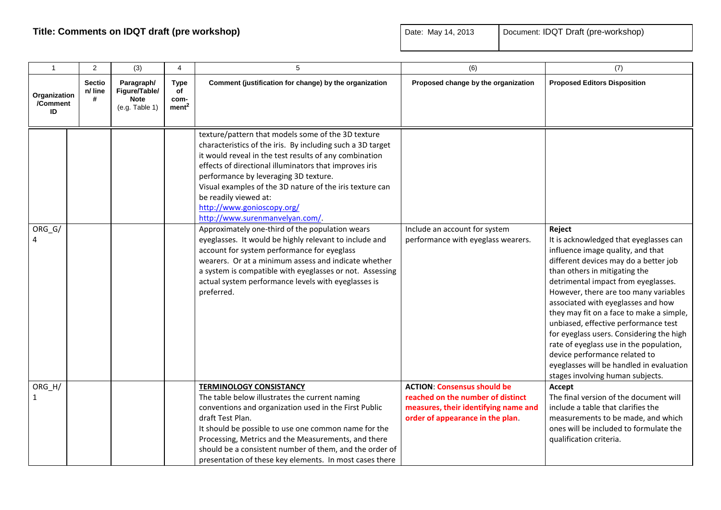| $\overline{1}$                 | $\overline{2}$                | (3)                                                          | 4                                              | 5                                                                                                                                                                                                                                                                                                                                                                                                                                   | (6)                                                                                                                                                 | (7)                                                                                                                                                                                                                                                                                                                                                                                                                                                                                                                                                                               |
|--------------------------------|-------------------------------|--------------------------------------------------------------|------------------------------------------------|-------------------------------------------------------------------------------------------------------------------------------------------------------------------------------------------------------------------------------------------------------------------------------------------------------------------------------------------------------------------------------------------------------------------------------------|-----------------------------------------------------------------------------------------------------------------------------------------------------|-----------------------------------------------------------------------------------------------------------------------------------------------------------------------------------------------------------------------------------------------------------------------------------------------------------------------------------------------------------------------------------------------------------------------------------------------------------------------------------------------------------------------------------------------------------------------------------|
| Organization<br>/Comment<br>ID | <b>Sectio</b><br>n/ line<br># | Paragraph/<br>Figure/Table/<br><b>Note</b><br>(e.g. Table 1) | <b>Type</b><br>of<br>com-<br>ment <sup>2</sup> | Comment (justification for change) by the organization                                                                                                                                                                                                                                                                                                                                                                              | Proposed change by the organization                                                                                                                 | <b>Proposed Editors Disposition</b>                                                                                                                                                                                                                                                                                                                                                                                                                                                                                                                                               |
|                                |                               |                                                              |                                                | texture/pattern that models some of the 3D texture<br>characteristics of the iris. By including such a 3D target<br>it would reveal in the test results of any combination<br>effects of directional illuminators that improves iris<br>performance by leveraging 3D texture.<br>Visual examples of the 3D nature of the iris texture can<br>be readily viewed at:<br>http://www.gonioscopy.org/<br>http://www.surenmanvelyan.com/. |                                                                                                                                                     |                                                                                                                                                                                                                                                                                                                                                                                                                                                                                                                                                                                   |
| ORG_G/                         |                               |                                                              |                                                | Approximately one-third of the population wears<br>eyeglasses. It would be highly relevant to include and<br>account for system performance for eyeglass<br>wearers. Or at a minimum assess and indicate whether<br>a system is compatible with eyeglasses or not. Assessing<br>actual system performance levels with eyeglasses is<br>preferred.                                                                                   | Include an account for system<br>performance with eyeglass wearers.                                                                                 | Reject<br>It is acknowledged that eyeglasses can<br>influence image quality, and that<br>different devices may do a better job<br>than others in mitigating the<br>detrimental impact from eyeglasses.<br>However, there are too many variables<br>associated with eyeglasses and how<br>they may fit on a face to make a simple,<br>unbiased, effective performance test<br>for eyeglass users. Considering the high<br>rate of eyeglass use in the population,<br>device performance related to<br>eyeglasses will be handled in evaluation<br>stages involving human subjects. |
| ORG_H/<br>1                    |                               |                                                              |                                                | <b>TERMINOLOGY CONSISTANCY</b><br>The table below illustrates the current naming<br>conventions and organization used in the First Public<br>draft Test Plan.<br>It should be possible to use one common name for the<br>Processing, Metrics and the Measurements, and there<br>should be a consistent number of them, and the order of<br>presentation of these key elements. In most cases there                                  | <b>ACTION: Consensus should be</b><br>reached on the number of distinct<br>measures, their identifying name and<br>order of appearance in the plan. | Accept<br>The final version of the document will<br>include a table that clarifies the<br>measurements to be made, and which<br>ones will be included to formulate the<br>qualification criteria.                                                                                                                                                                                                                                                                                                                                                                                 |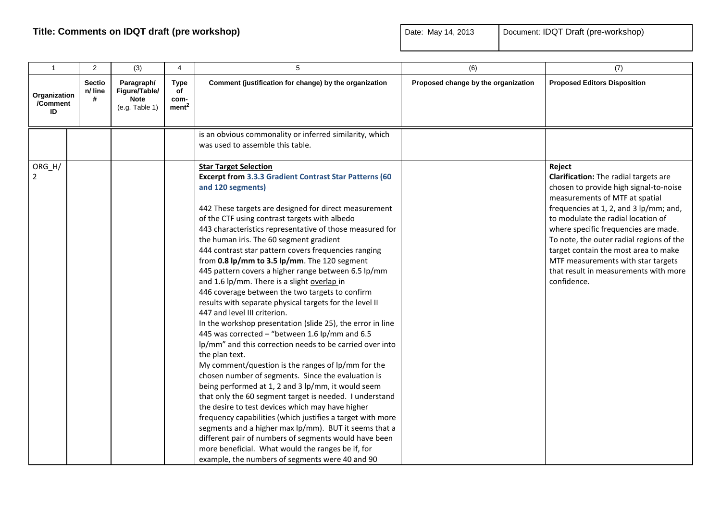| $\mathbf{1}$                   | $\overline{2}$                | (3)                                                          | 4                                              | 5                                                                                                                                                                                                                                                                                                                                                                                                                                                                                                                                                                                                                                                                                                                                                                                                                                                                                                                                                                                                                                                                                                                                                                                                                                                                                                                                                                                                                                                                      | (6)                                 | (7)                                                                                                                                                                                                                                                                                                                                                                                                                                          |
|--------------------------------|-------------------------------|--------------------------------------------------------------|------------------------------------------------|------------------------------------------------------------------------------------------------------------------------------------------------------------------------------------------------------------------------------------------------------------------------------------------------------------------------------------------------------------------------------------------------------------------------------------------------------------------------------------------------------------------------------------------------------------------------------------------------------------------------------------------------------------------------------------------------------------------------------------------------------------------------------------------------------------------------------------------------------------------------------------------------------------------------------------------------------------------------------------------------------------------------------------------------------------------------------------------------------------------------------------------------------------------------------------------------------------------------------------------------------------------------------------------------------------------------------------------------------------------------------------------------------------------------------------------------------------------------|-------------------------------------|----------------------------------------------------------------------------------------------------------------------------------------------------------------------------------------------------------------------------------------------------------------------------------------------------------------------------------------------------------------------------------------------------------------------------------------------|
| Organization<br>/Comment<br>ID | <b>Sectio</b><br>n/ line<br># | Paragraph/<br>Figure/Table/<br><b>Note</b><br>(e.g. Table 1) | <b>Type</b><br>of<br>com-<br>ment <sup>2</sup> | Comment (justification for change) by the organization                                                                                                                                                                                                                                                                                                                                                                                                                                                                                                                                                                                                                                                                                                                                                                                                                                                                                                                                                                                                                                                                                                                                                                                                                                                                                                                                                                                                                 | Proposed change by the organization | <b>Proposed Editors Disposition</b>                                                                                                                                                                                                                                                                                                                                                                                                          |
|                                |                               |                                                              |                                                | is an obvious commonality or inferred similarity, which<br>was used to assemble this table.                                                                                                                                                                                                                                                                                                                                                                                                                                                                                                                                                                                                                                                                                                                                                                                                                                                                                                                                                                                                                                                                                                                                                                                                                                                                                                                                                                            |                                     |                                                                                                                                                                                                                                                                                                                                                                                                                                              |
| ORG_H/<br>$\overline{2}$       |                               |                                                              |                                                | <b>Star Target Selection</b><br><b>Excerpt from 3.3.3 Gradient Contrast Star Patterns (60</b><br>and 120 segments)<br>442 These targets are designed for direct measurement<br>of the CTF using contrast targets with albedo<br>443 characteristics representative of those measured for<br>the human iris. The 60 segment gradient<br>444 contrast star pattern covers frequencies ranging<br>from 0.8 lp/mm to 3.5 lp/mm. The 120 segment<br>445 pattern covers a higher range between 6.5 lp/mm<br>and 1.6 lp/mm. There is a slight overlap in<br>446 coverage between the two targets to confirm<br>results with separate physical targets for the level II<br>447 and level III criterion.<br>In the workshop presentation (slide 25), the error in line<br>445 was corrected - "between 1.6 lp/mm and 6.5<br>lp/mm" and this correction needs to be carried over into<br>the plan text.<br>My comment/question is the ranges of lp/mm for the<br>chosen number of segments. Since the evaluation is<br>being performed at 1, 2 and 3 lp/mm, it would seem<br>that only the 60 segment target is needed. I understand<br>the desire to test devices which may have higher<br>frequency capabilities (which justifies a target with more<br>segments and a higher max lp/mm). BUT it seems that a<br>different pair of numbers of segments would have been<br>more beneficial. What would the ranges be if, for<br>example, the numbers of segments were 40 and 90 |                                     | Reject<br><b>Clarification:</b> The radial targets are<br>chosen to provide high signal-to-noise<br>measurements of MTF at spatial<br>frequencies at 1, 2, and 3 lp/mm; and,<br>to modulate the radial location of<br>where specific frequencies are made.<br>To note, the outer radial regions of the<br>target contain the most area to make<br>MTF measurements with star targets<br>that result in measurements with more<br>confidence. |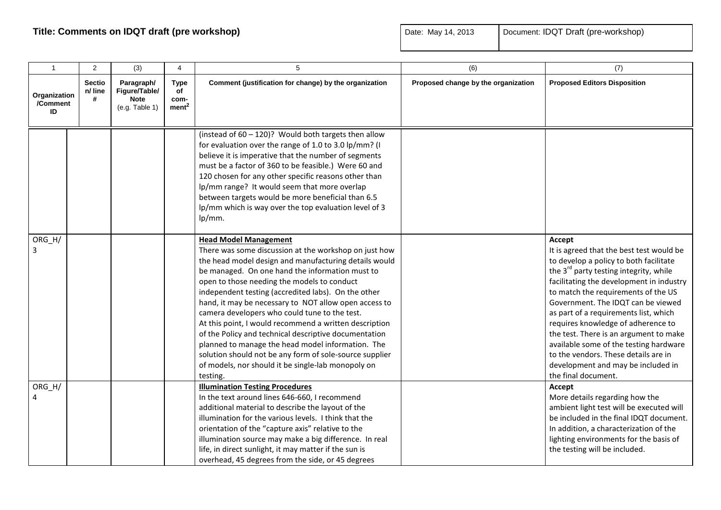| $\mathbf{1}$                   | 2                             | (3)                                                          | 4                                              | 5                                                                                                                                                                                                                                                                                                                                                                                                                                                                                                                                                                                                                                                                                                                      | (6)                                 | (7)                                                                                                                                                                                                                                                                                                                                                                                                                                                                                                                                                 |
|--------------------------------|-------------------------------|--------------------------------------------------------------|------------------------------------------------|------------------------------------------------------------------------------------------------------------------------------------------------------------------------------------------------------------------------------------------------------------------------------------------------------------------------------------------------------------------------------------------------------------------------------------------------------------------------------------------------------------------------------------------------------------------------------------------------------------------------------------------------------------------------------------------------------------------------|-------------------------------------|-----------------------------------------------------------------------------------------------------------------------------------------------------------------------------------------------------------------------------------------------------------------------------------------------------------------------------------------------------------------------------------------------------------------------------------------------------------------------------------------------------------------------------------------------------|
| Organization<br>/Comment<br>ID | <b>Sectio</b><br>n/ line<br># | Paragraph/<br>Figure/Table/<br><b>Note</b><br>(e.g. Table 1) | <b>Type</b><br>of<br>com-<br>ment <sup>2</sup> | Comment (justification for change) by the organization                                                                                                                                                                                                                                                                                                                                                                                                                                                                                                                                                                                                                                                                 | Proposed change by the organization | <b>Proposed Editors Disposition</b>                                                                                                                                                                                                                                                                                                                                                                                                                                                                                                                 |
|                                |                               |                                                              |                                                | (instead of $60 - 120$ )? Would both targets then allow<br>for evaluation over the range of 1.0 to 3.0 lp/mm? (I<br>believe it is imperative that the number of segments<br>must be a factor of 360 to be feasible.) Were 60 and<br>120 chosen for any other specific reasons other than<br>lp/mm range? It would seem that more overlap<br>between targets would be more beneficial than 6.5<br>lp/mm which is way over the top evaluation level of 3<br>lp/mm.                                                                                                                                                                                                                                                       |                                     |                                                                                                                                                                                                                                                                                                                                                                                                                                                                                                                                                     |
| $ORG_H/$<br>3                  |                               |                                                              |                                                | <b>Head Model Management</b><br>There was some discussion at the workshop on just how<br>the head model design and manufacturing details would<br>be managed. On one hand the information must to<br>open to those needing the models to conduct<br>independent testing (accredited labs). On the other<br>hand, it may be necessary to NOT allow open access to<br>camera developers who could tune to the test.<br>At this point, I would recommend a written description<br>of the Policy and technical descriptive documentation<br>planned to manage the head model information. The<br>solution should not be any form of sole-source supplier<br>of models, nor should it be single-lab monopoly on<br>testing. |                                     | Accept<br>It is agreed that the best test would be<br>to develop a policy to both facilitate<br>the 3 <sup>rd</sup> party testing integrity, while<br>facilitating the development in industry<br>to match the requirements of the US<br>Government. The IDQT can be viewed<br>as part of a requirements list, which<br>requires knowledge of adherence to<br>the test. There is an argument to make<br>available some of the testing hardware<br>to the vendors. These details are in<br>development and may be included in<br>the final document. |
| $ORG_H/$<br>4                  |                               |                                                              |                                                | <b>Illumination Testing Procedures</b><br>In the text around lines 646-660, I recommend<br>additional material to describe the layout of the<br>illumination for the various levels. I think that the<br>orientation of the "capture axis" relative to the<br>illumination source may make a big difference. In real<br>life, in direct sunlight, it may matter if the sun is<br>overhead, 45 degrees from the side, or 45 degrees                                                                                                                                                                                                                                                                                     |                                     | Accept<br>More details regarding how the<br>ambient light test will be executed will<br>be included in the final IDQT document.<br>In addition, a characterization of the<br>lighting environments for the basis of<br>the testing will be included.                                                                                                                                                                                                                                                                                                |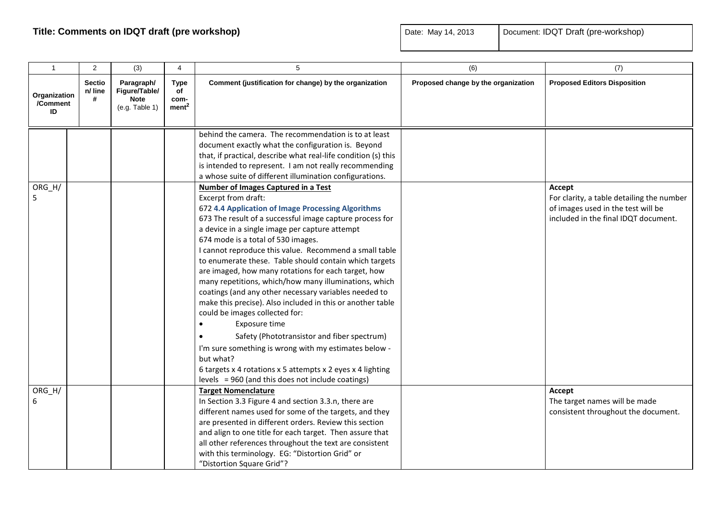| $\mathbf{1}$                   | 2                             | (3)                                                          | 4                                       | $\sqrt{5}$                                                                                                                                                                                                                                                                                                                                                                                                                                                                                                                                                                                                                                                                                                                                                                                                                                                                                                                          | (6)                                 | (7)                                                                                                                               |
|--------------------------------|-------------------------------|--------------------------------------------------------------|-----------------------------------------|-------------------------------------------------------------------------------------------------------------------------------------------------------------------------------------------------------------------------------------------------------------------------------------------------------------------------------------------------------------------------------------------------------------------------------------------------------------------------------------------------------------------------------------------------------------------------------------------------------------------------------------------------------------------------------------------------------------------------------------------------------------------------------------------------------------------------------------------------------------------------------------------------------------------------------------|-------------------------------------|-----------------------------------------------------------------------------------------------------------------------------------|
| Organization<br>/Comment<br>ID | <b>Sectio</b><br>n/ line<br># | Paragraph/<br>Figure/Table/<br><b>Note</b><br>(e.g. Table 1) | Type<br>of<br>com-<br>ment <sup>2</sup> | Comment (justification for change) by the organization                                                                                                                                                                                                                                                                                                                                                                                                                                                                                                                                                                                                                                                                                                                                                                                                                                                                              | Proposed change by the organization | <b>Proposed Editors Disposition</b>                                                                                               |
|                                |                               |                                                              |                                         | behind the camera. The recommendation is to at least<br>document exactly what the configuration is. Beyond<br>that, if practical, describe what real-life condition (s) this<br>is intended to represent. I am not really recommending<br>a whose suite of different illumination configurations.                                                                                                                                                                                                                                                                                                                                                                                                                                                                                                                                                                                                                                   |                                     |                                                                                                                                   |
| ORG_H/<br>5                    |                               |                                                              |                                         | <b>Number of Images Captured in a Test</b><br>Excerpt from draft:<br>672 4.4 Application of Image Processing Algorithms<br>673 The result of a successful image capture process for<br>a device in a single image per capture attempt<br>674 mode is a total of 530 images.<br>I cannot reproduce this value. Recommend a small table<br>to enumerate these. Table should contain which targets<br>are imaged, how many rotations for each target, how<br>many repetitions, which/how many illuminations, which<br>coatings (and any other necessary variables needed to<br>make this precise). Also included in this or another table<br>could be images collected for:<br>Exposure time<br>Safety (Phototransistor and fiber spectrum)<br>I'm sure something is wrong with my estimates below -<br>but what?<br>6 targets x 4 rotations x 5 attempts x 2 eyes x 4 lighting<br>levels = $960$ (and this does not include coatings) |                                     | Accept<br>For clarity, a table detailing the number<br>of images used in the test will be<br>included in the final IDQT document. |
| ORG_H/<br>6                    |                               |                                                              |                                         | <b>Target Nomenclature</b><br>In Section 3.3 Figure 4 and section 3.3.n, there are<br>different names used for some of the targets, and they<br>are presented in different orders. Review this section<br>and align to one title for each target. Then assure that<br>all other references throughout the text are consistent<br>with this terminology. EG: "Distortion Grid" or<br>"Distortion Square Grid"?                                                                                                                                                                                                                                                                                                                                                                                                                                                                                                                       |                                     | Accept<br>The target names will be made<br>consistent throughout the document.                                                    |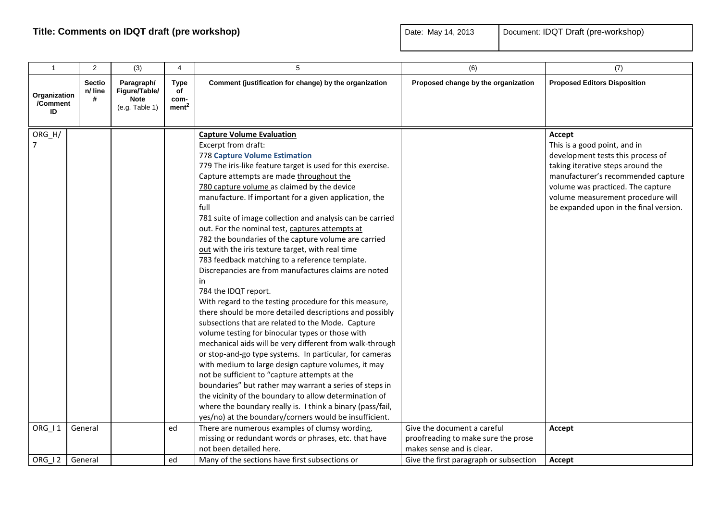| $\mathbf{1}$                   | 2                             | (3)                                                          | 4                                              | 5                                                                                                                                                                                                                                                                                                                                                                                                                                                                                                                                                                                                                                                                                                                                                                                                                                                                                                                                                                                                                                                                                                                                                                                                                                                                                                                                                                                                         | (6)                                                                                             | (7)                                                                                                                                                                                                                                                                        |
|--------------------------------|-------------------------------|--------------------------------------------------------------|------------------------------------------------|-----------------------------------------------------------------------------------------------------------------------------------------------------------------------------------------------------------------------------------------------------------------------------------------------------------------------------------------------------------------------------------------------------------------------------------------------------------------------------------------------------------------------------------------------------------------------------------------------------------------------------------------------------------------------------------------------------------------------------------------------------------------------------------------------------------------------------------------------------------------------------------------------------------------------------------------------------------------------------------------------------------------------------------------------------------------------------------------------------------------------------------------------------------------------------------------------------------------------------------------------------------------------------------------------------------------------------------------------------------------------------------------------------------|-------------------------------------------------------------------------------------------------|----------------------------------------------------------------------------------------------------------------------------------------------------------------------------------------------------------------------------------------------------------------------------|
| Organization<br>/Comment<br>ID | <b>Sectio</b><br>n/ line<br># | Paragraph/<br>Figure/Table/<br><b>Note</b><br>(e.g. Table 1) | <b>Type</b><br>of<br>com-<br>ment <sup>2</sup> | Comment (justification for change) by the organization                                                                                                                                                                                                                                                                                                                                                                                                                                                                                                                                                                                                                                                                                                                                                                                                                                                                                                                                                                                                                                                                                                                                                                                                                                                                                                                                                    | Proposed change by the organization                                                             | <b>Proposed Editors Disposition</b>                                                                                                                                                                                                                                        |
| ORG_H/                         |                               |                                                              |                                                | <b>Capture Volume Evaluation</b><br>Excerpt from draft:<br><b>778 Capture Volume Estimation</b><br>779 The iris-like feature target is used for this exercise.<br>Capture attempts are made throughout the<br>780 capture volume as claimed by the device<br>manufacture. If important for a given application, the<br>full<br>781 suite of image collection and analysis can be carried<br>out. For the nominal test, captures attempts at<br>782 the boundaries of the capture volume are carried<br>out with the iris texture target, with real time<br>783 feedback matching to a reference template.<br>Discrepancies are from manufactures claims are noted<br>in<br>784 the IDQT report.<br>With regard to the testing procedure for this measure,<br>there should be more detailed descriptions and possibly<br>subsections that are related to the Mode. Capture<br>volume testing for binocular types or those with<br>mechanical aids will be very different from walk-through<br>or stop-and-go type systems. In particular, for cameras<br>with medium to large design capture volumes, it may<br>not be sufficient to "capture attempts at the<br>boundaries" but rather may warrant a series of steps in<br>the vicinity of the boundary to allow determination of<br>where the boundary really is. I think a binary (pass/fail,<br>yes/no) at the boundary/corners would be insufficient. |                                                                                                 | Accept<br>This is a good point, and in<br>development tests this process of<br>taking iterative steps around the<br>manufacturer's recommended capture<br>volume was practiced. The capture<br>volume measurement procedure will<br>be expanded upon in the final version. |
| ORG_I1                         | General                       |                                                              | ed                                             | There are numerous examples of clumsy wording,<br>missing or redundant words or phrases, etc. that have<br>not been detailed here.                                                                                                                                                                                                                                                                                                                                                                                                                                                                                                                                                                                                                                                                                                                                                                                                                                                                                                                                                                                                                                                                                                                                                                                                                                                                        | Give the document a careful<br>proofreading to make sure the prose<br>makes sense and is clear. | Accept                                                                                                                                                                                                                                                                     |
| ORG 12                         | General                       |                                                              | ed                                             | Many of the sections have first subsections or                                                                                                                                                                                                                                                                                                                                                                                                                                                                                                                                                                                                                                                                                                                                                                                                                                                                                                                                                                                                                                                                                                                                                                                                                                                                                                                                                            | Give the first paragraph or subsection                                                          | Accept                                                                                                                                                                                                                                                                     |
|                                |                               |                                                              |                                                |                                                                                                                                                                                                                                                                                                                                                                                                                                                                                                                                                                                                                                                                                                                                                                                                                                                                                                                                                                                                                                                                                                                                                                                                                                                                                                                                                                                                           |                                                                                                 |                                                                                                                                                                                                                                                                            |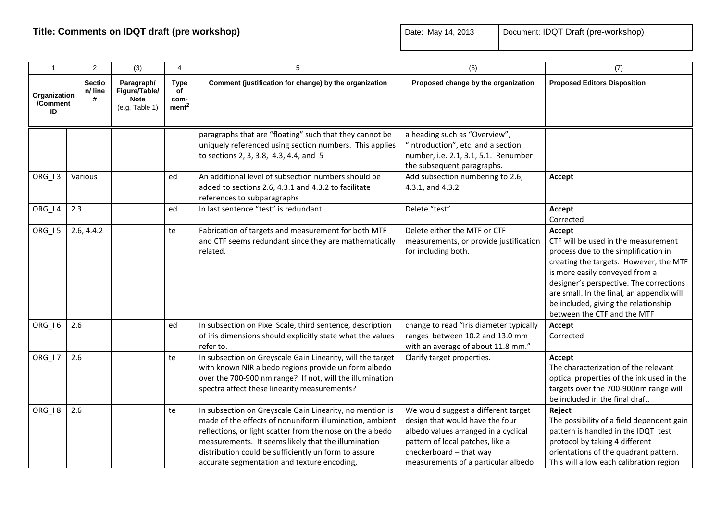| $\mathbf{1}$                   | 2                             | (3)                                                          | $\overline{4}$                                 | 5                                                                                                                                                                                                                                                                                                                                              | (6)                                                                                                                                                                                                                  | (7)                                                                                                                                                                                                                                                                                                                              |
|--------------------------------|-------------------------------|--------------------------------------------------------------|------------------------------------------------|------------------------------------------------------------------------------------------------------------------------------------------------------------------------------------------------------------------------------------------------------------------------------------------------------------------------------------------------|----------------------------------------------------------------------------------------------------------------------------------------------------------------------------------------------------------------------|----------------------------------------------------------------------------------------------------------------------------------------------------------------------------------------------------------------------------------------------------------------------------------------------------------------------------------|
| Organization<br>/Comment<br>ID | <b>Sectio</b><br>n/ line<br># | Paragraph/<br>Figure/Table/<br><b>Note</b><br>(e.g. Table 1) | <b>Type</b><br>of<br>com-<br>ment <sup>2</sup> | Comment (justification for change) by the organization                                                                                                                                                                                                                                                                                         | Proposed change by the organization                                                                                                                                                                                  | <b>Proposed Editors Disposition</b>                                                                                                                                                                                                                                                                                              |
|                                |                               |                                                              |                                                | paragraphs that are "floating" such that they cannot be<br>uniquely referenced using section numbers. This applies<br>to sections 2, 3, 3.8, 4.3, 4.4, and 5                                                                                                                                                                                   | a heading such as "Overview",<br>"Introduction", etc. and a section<br>number, i.e. 2.1, 3.1, 5.1. Renumber<br>the subsequent paragraphs.                                                                            |                                                                                                                                                                                                                                                                                                                                  |
| ORG_I3                         | Various                       |                                                              | ed                                             | An additional level of subsection numbers should be<br>added to sections 2.6, 4.3.1 and 4.3.2 to facilitate<br>references to subparagraphs                                                                                                                                                                                                     | Add subsection numbering to 2.6,<br>4.3.1, and 4.3.2                                                                                                                                                                 | Accept                                                                                                                                                                                                                                                                                                                           |
| ORG_I4                         | 2.3                           |                                                              | ed                                             | In last sentence "test" is redundant                                                                                                                                                                                                                                                                                                           | Delete "test"                                                                                                                                                                                                        | Accept<br>Corrected                                                                                                                                                                                                                                                                                                              |
| ORG_I5                         | 2.6, 4.4.2                    |                                                              | te                                             | Fabrication of targets and measurement for both MTF<br>and CTF seems redundant since they are mathematically<br>related.                                                                                                                                                                                                                       | Delete either the MTF or CTF<br>measurements, or provide justification<br>for including both.                                                                                                                        | Accept<br>CTF will be used in the measurement<br>process due to the simplification in<br>creating the targets. However, the MTF<br>is more easily conveyed from a<br>designer's perspective. The corrections<br>are small. In the final, an appendix will<br>be included, giving the relationship<br>between the CTF and the MTF |
| ORG_I6                         | 2.6                           |                                                              | ed                                             | In subsection on Pixel Scale, third sentence, description<br>of iris dimensions should explicitly state what the values<br>refer to.                                                                                                                                                                                                           | change to read "Iris diameter typically<br>ranges between 10.2 and 13.0 mm<br>with an average of about 11.8 mm."                                                                                                     | Accept<br>Corrected                                                                                                                                                                                                                                                                                                              |
| ORG_I7                         | 2.6                           |                                                              | te                                             | In subsection on Greyscale Gain Linearity, will the target<br>with known NIR albedo regions provide uniform albedo<br>over the 700-900 nm range? If not, will the illumination<br>spectra affect these linearity measurements?                                                                                                                 | Clarify target properties.                                                                                                                                                                                           | Accept<br>The characterization of the relevant<br>optical properties of the ink used in the<br>targets over the 700-900nm range will<br>be included in the final draft.                                                                                                                                                          |
| ORG_I <sub>8</sub>             | 2.6                           |                                                              | te                                             | In subsection on Greyscale Gain Linearity, no mention is<br>made of the effects of nonuniform illumination, ambient<br>reflections, or light scatter from the nose on the albedo<br>measurements. It seems likely that the illumination<br>distribution could be sufficiently uniform to assure<br>accurate segmentation and texture encoding, | We would suggest a different target<br>design that would have the four<br>albedo values arranged in a cyclical<br>pattern of local patches, like a<br>checkerboard - that way<br>measurements of a particular albedo | Reject<br>The possibility of a field dependent gain<br>pattern is handled in the IDQT test<br>protocol by taking 4 different<br>orientations of the quadrant pattern.<br>This will allow each calibration region                                                                                                                 |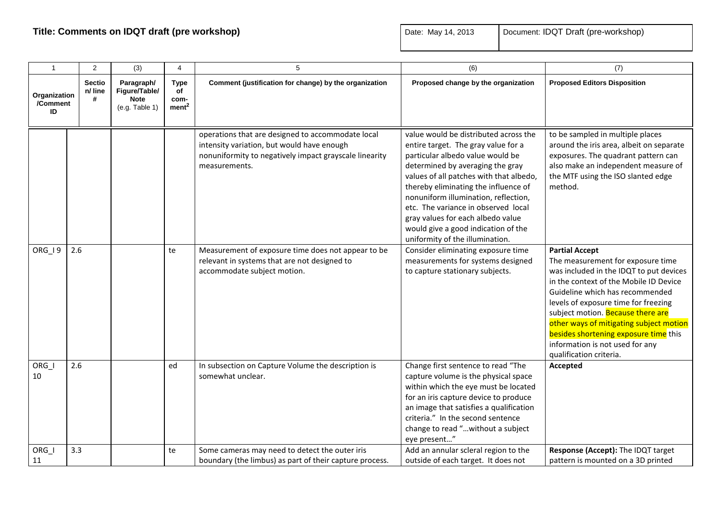| $\mathbf{1}$                   | 2                             | (3)                                                          | $\overline{4}$                                 | 5                                                                                                                                                                          | (6)                                                                                                                                                                                                                                                                                                                                                                                                                                   | (7)                                                                                                                                                                                                                                                                                                                                                                                                               |
|--------------------------------|-------------------------------|--------------------------------------------------------------|------------------------------------------------|----------------------------------------------------------------------------------------------------------------------------------------------------------------------------|---------------------------------------------------------------------------------------------------------------------------------------------------------------------------------------------------------------------------------------------------------------------------------------------------------------------------------------------------------------------------------------------------------------------------------------|-------------------------------------------------------------------------------------------------------------------------------------------------------------------------------------------------------------------------------------------------------------------------------------------------------------------------------------------------------------------------------------------------------------------|
| Organization<br>/Comment<br>ID | <b>Sectio</b><br>n/ line<br># | Paragraph/<br>Figure/Table/<br><b>Note</b><br>(e.g. Table 1) | <b>Type</b><br>of<br>com-<br>ment <sup>2</sup> | Comment (justification for change) by the organization                                                                                                                     | Proposed change by the organization                                                                                                                                                                                                                                                                                                                                                                                                   | <b>Proposed Editors Disposition</b>                                                                                                                                                                                                                                                                                                                                                                               |
|                                |                               |                                                              |                                                | operations that are designed to accommodate local<br>intensity variation, but would have enough<br>nonuniformity to negatively impact grayscale linearity<br>measurements. | value would be distributed across the<br>entire target. The gray value for a<br>particular albedo value would be<br>determined by averaging the gray<br>values of all patches with that albedo,<br>thereby eliminating the influence of<br>nonuniform illumination, reflection,<br>etc. The variance in observed local<br>gray values for each albedo value<br>would give a good indication of the<br>uniformity of the illumination. | to be sampled in multiple places<br>around the iris area, albeit on separate<br>exposures. The quadrant pattern can<br>also make an independent measure of<br>the MTF using the ISO slanted edge<br>method.                                                                                                                                                                                                       |
| ORG_I9                         | 2.6                           |                                                              | te                                             | Measurement of exposure time does not appear to be<br>relevant in systems that are not designed to<br>accommodate subject motion.                                          | Consider eliminating exposure time<br>measurements for systems designed<br>to capture stationary subjects.                                                                                                                                                                                                                                                                                                                            | <b>Partial Accept</b><br>The measurement for exposure time<br>was included in the IDQT to put devices<br>in the context of the Mobile ID Device<br>Guideline which has recommended<br>levels of exposure time for freezing<br>subject motion. Because there are<br>other ways of mitigating subject motion<br>besides shortening exposure time this<br>information is not used for any<br>qualification criteria. |
| ORG_I<br>10                    | 2.6                           |                                                              | ed                                             | In subsection on Capture Volume the description is<br>somewhat unclear.                                                                                                    | Change first sentence to read "The<br>capture volume is the physical space<br>within which the eye must be located<br>for an iris capture device to produce<br>an image that satisfies a qualification<br>criteria." In the second sentence<br>change to read "without a subject<br>eye present"                                                                                                                                      | Accepted                                                                                                                                                                                                                                                                                                                                                                                                          |
| ORG_I<br>11                    | 3.3                           |                                                              | te                                             | Some cameras may need to detect the outer iris<br>boundary (the limbus) as part of their capture process.                                                                  | Add an annular scleral region to the<br>outside of each target. It does not                                                                                                                                                                                                                                                                                                                                                           | Response (Accept): The IDQT target<br>pattern is mounted on a 3D printed                                                                                                                                                                                                                                                                                                                                          |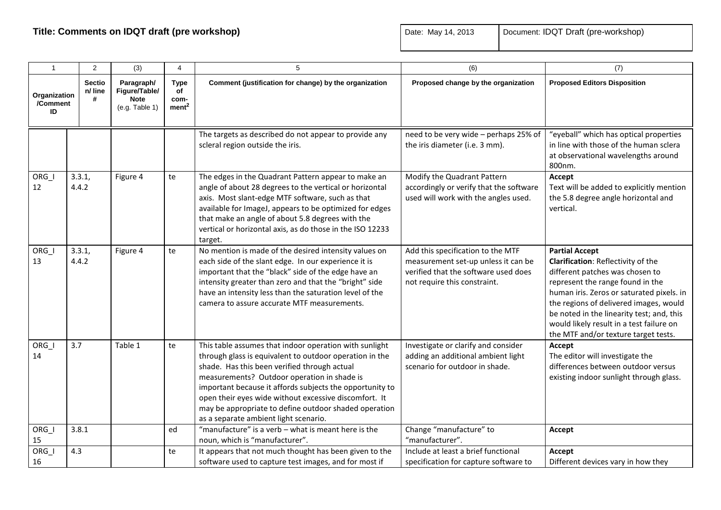| $\mathbf{1}$                   | $\overline{2}$                | (3)                                                          | $\overline{4}$                                 | 5                                                                                                                                                                                                                                                                                                                                                                                                                                       | (6)                                                                                                                                              | (7)                                                                                                                                                                                                                                                                                                                                                        |
|--------------------------------|-------------------------------|--------------------------------------------------------------|------------------------------------------------|-----------------------------------------------------------------------------------------------------------------------------------------------------------------------------------------------------------------------------------------------------------------------------------------------------------------------------------------------------------------------------------------------------------------------------------------|--------------------------------------------------------------------------------------------------------------------------------------------------|------------------------------------------------------------------------------------------------------------------------------------------------------------------------------------------------------------------------------------------------------------------------------------------------------------------------------------------------------------|
| Organization<br>/Comment<br>ID | <b>Sectio</b><br>n/ line<br># | Paragraph/<br>Figure/Table/<br><b>Note</b><br>(e.g. Table 1) | <b>Type</b><br>of<br>com-<br>ment <sup>2</sup> | Comment (justification for change) by the organization                                                                                                                                                                                                                                                                                                                                                                                  | Proposed change by the organization                                                                                                              | <b>Proposed Editors Disposition</b>                                                                                                                                                                                                                                                                                                                        |
|                                |                               |                                                              |                                                | The targets as described do not appear to provide any<br>scleral region outside the iris.                                                                                                                                                                                                                                                                                                                                               | need to be very wide - perhaps 25% of<br>the iris diameter (i.e. 3 mm).                                                                          | "eyeball" which has optical properties<br>in line with those of the human sclera<br>at observational wavelengths around<br>800nm.                                                                                                                                                                                                                          |
| $ORG_l$<br>12                  | 3.3.1,<br>4.4.2               | Figure 4                                                     | te                                             | The edges in the Quadrant Pattern appear to make an<br>angle of about 28 degrees to the vertical or horizontal<br>axis. Most slant-edge MTF software, such as that<br>available for ImageJ, appears to be optimized for edges<br>that make an angle of about 5.8 degrees with the<br>vertical or horizontal axis, as do those in the ISO 12233<br>target.                                                                               | Modify the Quadrant Pattern<br>accordingly or verify that the software<br>used will work with the angles used.                                   | Accept<br>Text will be added to explicitly mention<br>the 5.8 degree angle horizontal and<br>vertical.                                                                                                                                                                                                                                                     |
| ORG I<br>13                    | 3.3.1,<br>4.4.2               | Figure 4                                                     | te                                             | No mention is made of the desired intensity values on<br>each side of the slant edge. In our experience it is<br>important that the "black" side of the edge have an<br>intensity greater than zero and that the "bright" side<br>have an intensity less than the saturation level of the<br>camera to assure accurate MTF measurements.                                                                                                | Add this specification to the MTF<br>measurement set-up unless it can be<br>verified that the software used does<br>not require this constraint. | <b>Partial Accept</b><br>Clarification: Reflectivity of the<br>different patches was chosen to<br>represent the range found in the<br>human iris. Zeros or saturated pixels. in<br>the regions of delivered images, would<br>be noted in the linearity test; and, this<br>would likely result in a test failure on<br>the MTF and/or texture target tests. |
| ORG I<br>14                    | 3.7                           | Table 1                                                      | te                                             | This table assumes that indoor operation with sunlight<br>through glass is equivalent to outdoor operation in the<br>shade. Has this been verified through actual<br>measurements? Outdoor operation in shade is<br>important because it affords subjects the opportunity to<br>open their eyes wide without excessive discomfort. It<br>may be appropriate to define outdoor shaded operation<br>as a separate ambient light scenario. | Investigate or clarify and consider<br>adding an additional ambient light<br>scenario for outdoor in shade.                                      | Accept<br>The editor will investigate the<br>differences between outdoor versus<br>existing indoor sunlight through glass.                                                                                                                                                                                                                                 |
| $ORG_l$<br>15                  | 3.8.1                         |                                                              | ed                                             | "manufacture" is a verb - what is meant here is the<br>noun, which is "manufacturer".                                                                                                                                                                                                                                                                                                                                                   | Change "manufacture" to<br>"manufacturer".                                                                                                       | Accept                                                                                                                                                                                                                                                                                                                                                     |
| ORG_I<br>16                    | 4.3                           |                                                              | te                                             | It appears that not much thought has been given to the<br>software used to capture test images, and for most if                                                                                                                                                                                                                                                                                                                         | Include at least a brief functional<br>specification for capture software to                                                                     | Accept<br>Different devices vary in how they                                                                                                                                                                                                                                                                                                               |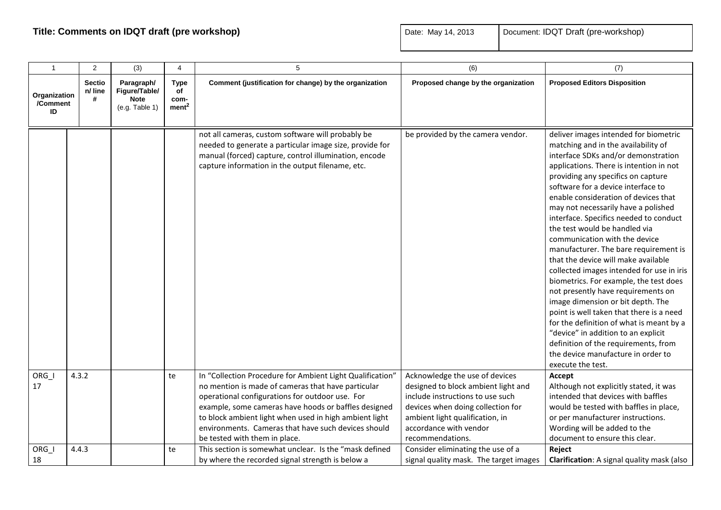| $\mathbf{1}$                   | $\overline{2}$                | (3)                                                          | 4                                              | 5                                                                                                                                                                                                                                                                                                                                                                            | (6)                                                                                                                                                                                                                             | (7)                                                                                                                                                                                                                                                                                                                                                                                                                                                                                                                                                                                                                                                                                                                                                                                                                                                                                                                       |
|--------------------------------|-------------------------------|--------------------------------------------------------------|------------------------------------------------|------------------------------------------------------------------------------------------------------------------------------------------------------------------------------------------------------------------------------------------------------------------------------------------------------------------------------------------------------------------------------|---------------------------------------------------------------------------------------------------------------------------------------------------------------------------------------------------------------------------------|---------------------------------------------------------------------------------------------------------------------------------------------------------------------------------------------------------------------------------------------------------------------------------------------------------------------------------------------------------------------------------------------------------------------------------------------------------------------------------------------------------------------------------------------------------------------------------------------------------------------------------------------------------------------------------------------------------------------------------------------------------------------------------------------------------------------------------------------------------------------------------------------------------------------------|
| Organization<br>/Comment<br>ID | <b>Sectio</b><br>n/ line<br># | Paragraph/<br>Figure/Table/<br><b>Note</b><br>(e.g. Table 1) | <b>Type</b><br>of<br>com-<br>ment <sup>2</sup> | Comment (justification for change) by the organization                                                                                                                                                                                                                                                                                                                       | Proposed change by the organization                                                                                                                                                                                             | <b>Proposed Editors Disposition</b>                                                                                                                                                                                                                                                                                                                                                                                                                                                                                                                                                                                                                                                                                                                                                                                                                                                                                       |
|                                |                               |                                                              |                                                | not all cameras, custom software will probably be<br>needed to generate a particular image size, provide for<br>manual (forced) capture, control illumination, encode<br>capture information in the output filename, etc.                                                                                                                                                    | be provided by the camera vendor.                                                                                                                                                                                               | deliver images intended for biometric<br>matching and in the availability of<br>interface SDKs and/or demonstration<br>applications. There is intention in not<br>providing any specifics on capture<br>software for a device interface to<br>enable consideration of devices that<br>may not necessarily have a polished<br>interface. Specifics needed to conduct<br>the test would be handled via<br>communication with the device<br>manufacturer. The bare requirement is<br>that the device will make available<br>collected images intended for use in iris<br>biometrics. For example, the test does<br>not presently have requirements on<br>image dimension or bit depth. The<br>point is well taken that there is a need<br>for the definition of what is meant by a<br>"device" in addition to an explicit<br>definition of the requirements, from<br>the device manufacture in order to<br>execute the test. |
| $ORG_l$<br>17                  | 4.3.2                         |                                                              | te                                             | In "Collection Procedure for Ambient Light Qualification"<br>no mention is made of cameras that have particular<br>operational configurations for outdoor use. For<br>example, some cameras have hoods or baffles designed<br>to block ambient light when used in high ambient light<br>environments. Cameras that have such devices should<br>be tested with them in place. | Acknowledge the use of devices<br>designed to block ambient light and<br>include instructions to use such<br>devices when doing collection for<br>ambient light qualification, in<br>accordance with vendor<br>recommendations. | Accept<br>Although not explicitly stated, it was<br>intended that devices with baffles<br>would be tested with baffles in place,<br>or per manufacturer instructions.<br>Wording will be added to the<br>document to ensure this clear.                                                                                                                                                                                                                                                                                                                                                                                                                                                                                                                                                                                                                                                                                   |
| ORG_I<br>18                    | 4.4.3                         |                                                              | te                                             | This section is somewhat unclear. Is the "mask defined<br>by where the recorded signal strength is below a                                                                                                                                                                                                                                                                   | Consider eliminating the use of a<br>signal quality mask. The target images                                                                                                                                                     | Reject<br>Clarification: A signal quality mask (also                                                                                                                                                                                                                                                                                                                                                                                                                                                                                                                                                                                                                                                                                                                                                                                                                                                                      |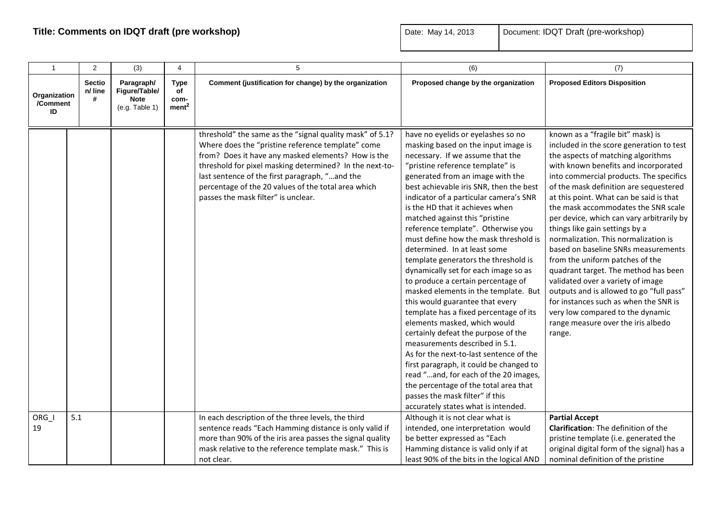| $\mathbf{1}$                   | $\overline{2}$         | (3)                                                          | $\overline{4}$                                 | 5                                                                                                                                                                                                                                                                                                                                                                              | (6)                                                                                                                                                                                                                                                                                                                                                                                                                                                                                                                                                                                                                                                                                                                                                                                                                                                                                                                                                                                                                                                                  | (7)                                                                                                                                                                                                                                                                                                                                                                                                                                                                                                                                                                                                                                                                                                                                                                                       |
|--------------------------------|------------------------|--------------------------------------------------------------|------------------------------------------------|--------------------------------------------------------------------------------------------------------------------------------------------------------------------------------------------------------------------------------------------------------------------------------------------------------------------------------------------------------------------------------|----------------------------------------------------------------------------------------------------------------------------------------------------------------------------------------------------------------------------------------------------------------------------------------------------------------------------------------------------------------------------------------------------------------------------------------------------------------------------------------------------------------------------------------------------------------------------------------------------------------------------------------------------------------------------------------------------------------------------------------------------------------------------------------------------------------------------------------------------------------------------------------------------------------------------------------------------------------------------------------------------------------------------------------------------------------------|-------------------------------------------------------------------------------------------------------------------------------------------------------------------------------------------------------------------------------------------------------------------------------------------------------------------------------------------------------------------------------------------------------------------------------------------------------------------------------------------------------------------------------------------------------------------------------------------------------------------------------------------------------------------------------------------------------------------------------------------------------------------------------------------|
| Organization<br>/Comment<br>ID | Sectio<br>n/ line<br># | Paragraph/<br>Figure/Table/<br><b>Note</b><br>(e.g. Table 1) | <b>Type</b><br>of<br>com-<br>ment <sup>2</sup> | Comment (justification for change) by the organization                                                                                                                                                                                                                                                                                                                         | Proposed change by the organization                                                                                                                                                                                                                                                                                                                                                                                                                                                                                                                                                                                                                                                                                                                                                                                                                                                                                                                                                                                                                                  | <b>Proposed Editors Disposition</b>                                                                                                                                                                                                                                                                                                                                                                                                                                                                                                                                                                                                                                                                                                                                                       |
|                                |                        |                                                              |                                                | threshold" the same as the "signal quality mask" of 5.1?<br>Where does the "pristine reference template" come<br>from? Does it have any masked elements? How is the<br>threshold for pixel masking determined? In the next-to-<br>last sentence of the first paragraph, "and the<br>percentage of the 20 values of the total area which<br>passes the mask filter" is unclear. | have no eyelids or eyelashes so no<br>masking based on the input image is<br>necessary. If we assume that the<br>"pristine reference template" is<br>generated from an image with the<br>best achievable iris SNR, then the best<br>indicator of a particular camera's SNR<br>is the HD that it achieves when<br>matched against this "pristine<br>reference template". Otherwise you<br>must define how the mask threshold is<br>determined. In at least some<br>template generators the threshold is<br>dynamically set for each image so as<br>to produce a certain percentage of<br>masked elements in the template. But<br>this would guarantee that every<br>template has a fixed percentage of its<br>elements masked, which would<br>certainly defeat the purpose of the<br>measurements described in 5.1.<br>As for the next-to-last sentence of the<br>first paragraph, it could be changed to<br>read "and, for each of the 20 images,<br>the percentage of the total area that<br>passes the mask filter" if this<br>accurately states what is intended. | known as a "fragile bit" mask) is<br>included in the score generation to test<br>the aspects of matching algorithms<br>with known benefits and incorporated<br>into commercial products. The specifics<br>of the mask definition are sequestered<br>at this point. What can be said is that<br>the mask accommodates the SNR scale<br>per device, which can vary arbitrarily by<br>things like gain settings by a<br>normalization. This normalization is<br>based on baseline SNRs measurements<br>from the uniform patches of the<br>quadrant target. The method has been<br>validated over a variety of image<br>outputs and is allowed to go "full pass"<br>for instances such as when the SNR is<br>very low compared to the dynamic<br>range measure over the iris albedo<br>range. |
| ORG I<br>19                    | 5.1                    |                                                              |                                                | In each description of the three levels, the third<br>sentence reads "Each Hamming distance is only valid if<br>more than 90% of the iris area passes the signal quality<br>mask relative to the reference template mask." This is<br>not clear.                                                                                                                               | Although it is not clear what is<br>intended, one interpretation would<br>be better expressed as "Each<br>Hamming distance is valid only if at<br>least 90% of the bits in the logical AND                                                                                                                                                                                                                                                                                                                                                                                                                                                                                                                                                                                                                                                                                                                                                                                                                                                                           | <b>Partial Accept</b><br><b>Clarification:</b> The definition of the<br>pristine template (i.e. generated the<br>original digital form of the signal) has a<br>nominal definition of the pristine                                                                                                                                                                                                                                                                                                                                                                                                                                                                                                                                                                                         |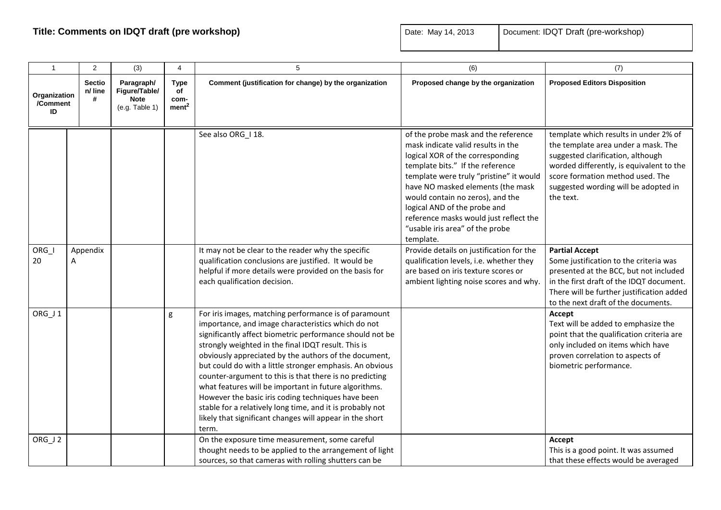| $\overline{1}$                 | 2                             | (3)                                                          | 4                                       | 5                                                                                                                                                                                                                                                                                                                                                                                                                                                                                                                                                                                                                                                               | (6)                                                                                                                                                                                                                                                                                                                                                                                             | (7)                                                                                                                                                                                                                                                    |
|--------------------------------|-------------------------------|--------------------------------------------------------------|-----------------------------------------|-----------------------------------------------------------------------------------------------------------------------------------------------------------------------------------------------------------------------------------------------------------------------------------------------------------------------------------------------------------------------------------------------------------------------------------------------------------------------------------------------------------------------------------------------------------------------------------------------------------------------------------------------------------------|-------------------------------------------------------------------------------------------------------------------------------------------------------------------------------------------------------------------------------------------------------------------------------------------------------------------------------------------------------------------------------------------------|--------------------------------------------------------------------------------------------------------------------------------------------------------------------------------------------------------------------------------------------------------|
| Organization<br>/Comment<br>ID | <b>Sectio</b><br>n/ line<br># | Paragraph/<br>Figure/Table/<br><b>Note</b><br>(e.g. Table 1) | Type<br>of<br>com-<br>ment <sup>2</sup> | Comment (justification for change) by the organization                                                                                                                                                                                                                                                                                                                                                                                                                                                                                                                                                                                                          | Proposed change by the organization                                                                                                                                                                                                                                                                                                                                                             | <b>Proposed Editors Disposition</b>                                                                                                                                                                                                                    |
|                                |                               |                                                              |                                         | See also ORG_I 18.                                                                                                                                                                                                                                                                                                                                                                                                                                                                                                                                                                                                                                              | of the probe mask and the reference<br>mask indicate valid results in the<br>logical XOR of the corresponding<br>template bits." If the reference<br>template were truly "pristine" it would<br>have NO masked elements (the mask<br>would contain no zeros), and the<br>logical AND of the probe and<br>reference masks would just reflect the<br>"usable iris area" of the probe<br>template. | template which results in under 2% of<br>the template area under a mask. The<br>suggested clarification, although<br>worded differently, is equivalent to the<br>score formation method used. The<br>suggested wording will be adopted in<br>the text. |
| ORG I<br>20                    | Appendix<br>Α                 |                                                              |                                         | It may not be clear to the reader why the specific<br>qualification conclusions are justified. It would be<br>helpful if more details were provided on the basis for<br>each qualification decision.                                                                                                                                                                                                                                                                                                                                                                                                                                                            | Provide details on justification for the<br>qualification levels, i.e. whether they<br>are based on iris texture scores or<br>ambient lighting noise scores and why.                                                                                                                                                                                                                            | <b>Partial Accept</b><br>Some justification to the criteria was<br>presented at the BCC, but not included<br>in the first draft of the IDQT document.<br>There will be further justification added<br>to the next draft of the documents.              |
| ORG_J1                         |                               |                                                              | g                                       | For iris images, matching performance is of paramount<br>importance, and image characteristics which do not<br>significantly affect biometric performance should not be<br>strongly weighted in the final IDQT result. This is<br>obviously appreciated by the authors of the document,<br>but could do with a little stronger emphasis. An obvious<br>counter-argument to this is that there is no predicting<br>what features will be important in future algorithms.<br>However the basic iris coding techniques have been<br>stable for a relatively long time, and it is probably not<br>likely that significant changes will appear in the short<br>term. |                                                                                                                                                                                                                                                                                                                                                                                                 | Accept<br>Text will be added to emphasize the<br>point that the qualification criteria are<br>only included on items which have<br>proven correlation to aspects of<br>biometric performance.                                                          |
| ORG_J2                         |                               |                                                              |                                         | On the exposure time measurement, some careful<br>thought needs to be applied to the arrangement of light<br>sources, so that cameras with rolling shutters can be                                                                                                                                                                                                                                                                                                                                                                                                                                                                                              |                                                                                                                                                                                                                                                                                                                                                                                                 | Accept<br>This is a good point. It was assumed<br>that these effects would be averaged                                                                                                                                                                 |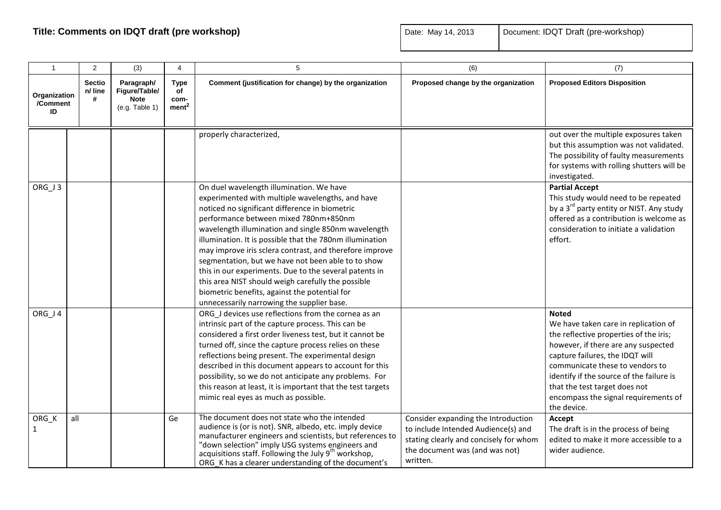| $\overline{1}$                 | 2                             | (3)                                                          | 4                                              | 5                                                                                                                                                                                                                                                                                                                                                                                                                                                                                                                                                                                                                                          | (6)                                                                                                                                                                | (7)                                                                                                                                                                                                                                                                                                                                             |
|--------------------------------|-------------------------------|--------------------------------------------------------------|------------------------------------------------|--------------------------------------------------------------------------------------------------------------------------------------------------------------------------------------------------------------------------------------------------------------------------------------------------------------------------------------------------------------------------------------------------------------------------------------------------------------------------------------------------------------------------------------------------------------------------------------------------------------------------------------------|--------------------------------------------------------------------------------------------------------------------------------------------------------------------|-------------------------------------------------------------------------------------------------------------------------------------------------------------------------------------------------------------------------------------------------------------------------------------------------------------------------------------------------|
| Organization<br>/Comment<br>ID | <b>Sectio</b><br>n/ line<br># | Paragraph/<br>Figure/Table/<br><b>Note</b><br>(e.g. Table 1) | <b>Type</b><br>of<br>com-<br>ment <sup>2</sup> | Comment (justification for change) by the organization                                                                                                                                                                                                                                                                                                                                                                                                                                                                                                                                                                                     | Proposed change by the organization                                                                                                                                | <b>Proposed Editors Disposition</b>                                                                                                                                                                                                                                                                                                             |
|                                |                               |                                                              |                                                | properly characterized,                                                                                                                                                                                                                                                                                                                                                                                                                                                                                                                                                                                                                    |                                                                                                                                                                    | out over the multiple exposures taken<br>but this assumption was not validated.<br>The possibility of faulty measurements<br>for systems with rolling shutters will be<br>investigated.                                                                                                                                                         |
| ORG_J3                         |                               |                                                              |                                                | On duel wavelength illumination. We have<br>experimented with multiple wavelengths, and have<br>noticed no significant difference in biometric<br>performance between mixed 780nm+850nm<br>wavelength illumination and single 850nm wavelength<br>illumination. It is possible that the 780nm illumination<br>may improve iris sclera contrast, and therefore improve<br>segmentation, but we have not been able to to show<br>this in our experiments. Due to the several patents in<br>this area NIST should weigh carefully the possible<br>biometric benefits, against the potential for<br>unnecessarily narrowing the supplier base. |                                                                                                                                                                    | <b>Partial Accept</b><br>This study would need to be repeated<br>by a 3 <sup>rd</sup> party entity or NIST. Any study<br>offered as a contribution is welcome as<br>consideration to initiate a validation<br>effort.                                                                                                                           |
| ORG_J4                         |                               |                                                              |                                                | ORG_J devices use reflections from the cornea as an<br>intrinsic part of the capture process. This can be<br>considered a first order liveness test, but it cannot be<br>turned off, since the capture process relies on these<br>reflections being present. The experimental design<br>described in this document appears to account for this<br>possibility, so we do not anticipate any problems. For<br>this reason at least, it is important that the test targets<br>mimic real eyes as much as possible.                                                                                                                            |                                                                                                                                                                    | <b>Noted</b><br>We have taken care in replication of<br>the reflective properties of the iris;<br>however, if there are any suspected<br>capture failures, the IDQT will<br>communicate these to vendors to<br>identify if the source of the failure is<br>that the test target does not<br>encompass the signal requirements of<br>the device. |
| ORG_K<br>$\mathbf{1}$          | all                           |                                                              | Ge                                             | The document does not state who the intended<br>audience is (or is not). SNR, albedo, etc. imply device<br>manufacturer engineers and scientists, but references to<br>"down selection" imply USG systems engineers and<br>acquisitions staff. Following the July 9 <sup>th</sup> workshop,<br>ORG K has a clearer understanding of the document's                                                                                                                                                                                                                                                                                         | Consider expanding the Introduction<br>to include Intended Audience(s) and<br>stating clearly and concisely for whom<br>the document was (and was not)<br>written. | Accept<br>The draft is in the process of being<br>edited to make it more accessible to a<br>wider audience.                                                                                                                                                                                                                                     |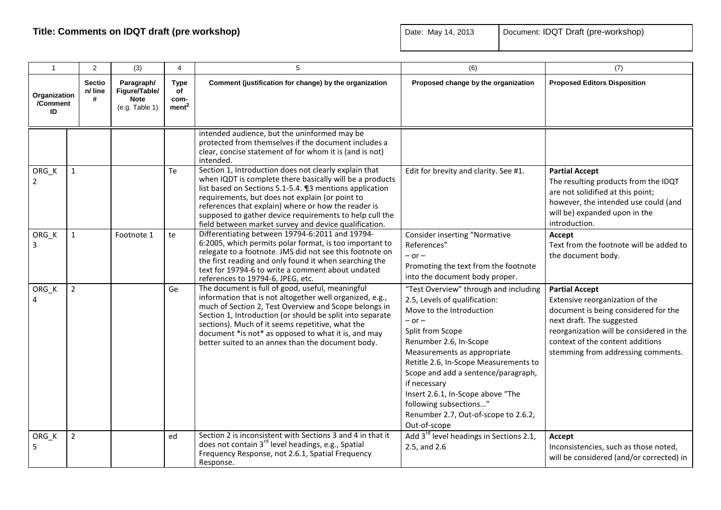|  | Document: IDQT Draft (pre-workshop) |
|--|-------------------------------------|
|--|-------------------------------------|

| $\overline{1}$                 | 2                             | (3)                                                          | 4                                              | 5                                                                                                                                                                                                                                                                                                                                                                                                          | (6)                                                                                                                                                                                                                                                                                                                                                                                                                  | (7)                                                                                                                                                                                                                                                 |
|--------------------------------|-------------------------------|--------------------------------------------------------------|------------------------------------------------|------------------------------------------------------------------------------------------------------------------------------------------------------------------------------------------------------------------------------------------------------------------------------------------------------------------------------------------------------------------------------------------------------------|----------------------------------------------------------------------------------------------------------------------------------------------------------------------------------------------------------------------------------------------------------------------------------------------------------------------------------------------------------------------------------------------------------------------|-----------------------------------------------------------------------------------------------------------------------------------------------------------------------------------------------------------------------------------------------------|
| Organization<br>/Comment<br>ID | <b>Sectio</b><br>n/ line<br># | Paragraph/<br>Figure/Table/<br><b>Note</b><br>(e.g. Table 1) | <b>Type</b><br>of<br>com-<br>ment <sup>2</sup> | Comment (justification for change) by the organization                                                                                                                                                                                                                                                                                                                                                     | Proposed change by the organization                                                                                                                                                                                                                                                                                                                                                                                  | <b>Proposed Editors Disposition</b>                                                                                                                                                                                                                 |
|                                |                               |                                                              |                                                | intended audience, but the uninformed may be<br>protected from themselves if the document includes a<br>clear, concise statement of for whom it is (and is not)<br>intended.                                                                                                                                                                                                                               |                                                                                                                                                                                                                                                                                                                                                                                                                      |                                                                                                                                                                                                                                                     |
| ORG_K<br>$\mathbf{2}$          | $\mathbf{1}$                  |                                                              | Te                                             | Section 1, Introduction does not clearly explain that<br>when IQDT is complete there basically will be a products<br>list based on Sections 5.1-5.4. ¶3 mentions application<br>requirements, but does not explain (or point to<br>references that explain) where or how the reader is<br>supposed to gather device requirements to help cull the<br>field between market survey and device qualification. | Edit for brevity and clarity. See #1.                                                                                                                                                                                                                                                                                                                                                                                | <b>Partial Accept</b><br>The resulting products from the IDQT<br>are not solidified at this point;<br>however, the intended use could (and<br>will be) expanded upon in the<br>introduction.                                                        |
| ORG_K<br>3                     | $\mathbf{1}$                  | Footnote 1                                                   | te                                             | Differentiating between 19794-6:2011 and 19794-<br>6:2005, which permits polar format, is too important to<br>relegate to a footnote. JMS did not see this footnote on<br>the first reading and only found it when searching the<br>text for 19794-6 to write a comment about undated<br>references to 19794-6, JPEG, etc.                                                                                 | <b>Consider inserting "Normative</b><br>References"<br>$-$ or $-$<br>Promoting the text from the footnote<br>into the document body proper.                                                                                                                                                                                                                                                                          | Accept<br>Text from the footnote will be added to<br>the document body.                                                                                                                                                                             |
| ORG K<br>4                     | $\overline{2}$                |                                                              | Ge                                             | The document is full of good, useful, meaningful<br>information that is not altogether well organized, e.g.,<br>much of Section 2, Test Overview and Scope belongs in<br>Section 1, Introduction (or should be split into separate<br>sections). Much of it seems repetitive, what the<br>document *is not* as opposed to what it is, and may<br>better suited to an annex than the document body.         | "Test Overview" through and including<br>2.5, Levels of qualification:<br>Move to the Introduction<br>$-$ or $-$<br>Split from Scope<br>Renumber 2.6, In-Scope<br>Measurements as appropriate<br>Retitle 2.6, In-Scope Measurements to<br>Scope and add a sentence/paragraph,<br>if necessary<br>Insert 2.6.1, In-Scope above "The<br>following subsections"<br>Renumber 2.7, Out-of-scope to 2.6.2,<br>Out-of-scope | <b>Partial Accept</b><br>Extensive reorganization of the<br>document is being considered for the<br>next draft. The suggested<br>reorganization will be considered in the<br>context of the content additions<br>stemming from addressing comments. |
| ORG_K<br>5                     | $\overline{2}$                |                                                              | ed                                             | Section 2 is inconsistent with Sections 3 and 4 in that it<br>does not contain 3 <sup>rd</sup> level headings, e.g., Spatial<br>Frequency Response, not 2.6.1, Spatial Frequency<br>Response.                                                                                                                                                                                                              | Add 3 <sup>rd</sup> level headings in Sections 2.1,<br>2.5, and 2.6                                                                                                                                                                                                                                                                                                                                                  | Accept<br>Inconsistencies, such as those noted,<br>will be considered (and/or corrected) in                                                                                                                                                         |